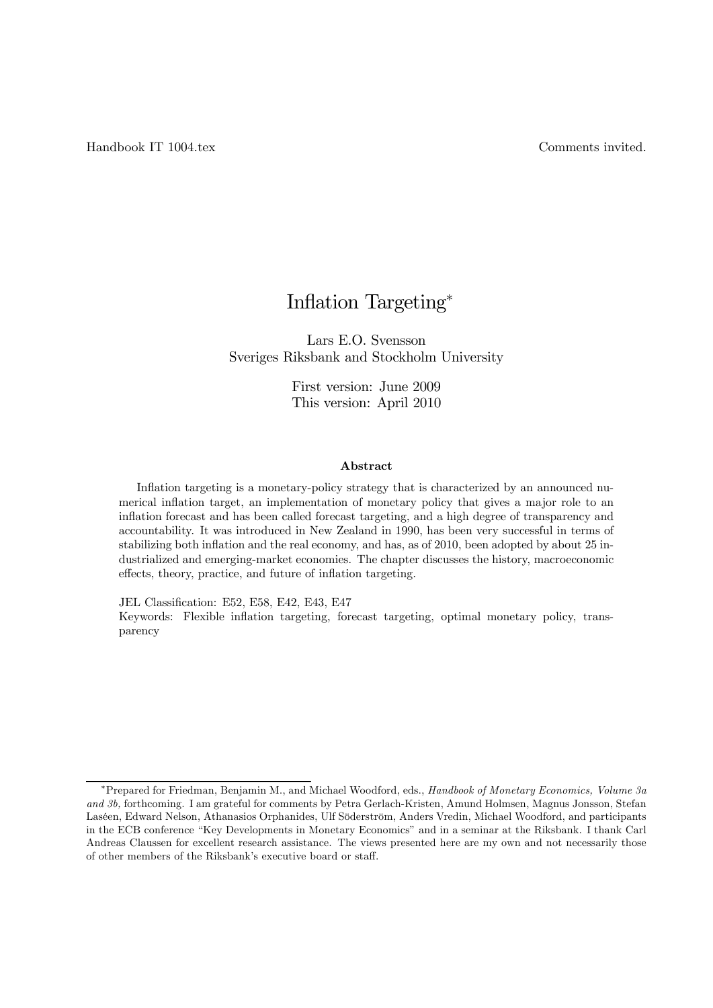# Inflation Targeting<sup>∗</sup>

Lars E.O. Svensson Sveriges Riksbank and Stockholm University

> First version: June 2009 This version: April 2010

## Abstract

Inflation targeting is a monetary-policy strategy that is characterized by an announced numerical inflation target, an implementation of monetary policy that gives a major role to an inflation forecast and has been called forecast targeting, and a high degree of transparency and accountability. It was introduced in New Zealand in 1990, has been very successful in terms of stabilizing both inflation and the real economy, and has, as of 2010, been adopted by about 25 industrialized and emerging-market economies. The chapter discusses the history, macroeconomic effects, theory, practice, and future of inflation targeting.

JEL Classification: E52, E58, E42, E43, E47

Keywords: Flexible inflation targeting, forecast targeting, optimal monetary policy, transparency

<sup>∗</sup>Prepared for Friedman, Benjamin M., and Michael Woodford, eds., Handbook of Monetary Economics, Volume 3a and 3b, forthcoming. I am grateful for comments by Petra Gerlach-Kristen, Amund Holmsen, Magnus Jonsson, Stefan Laséen, Edward Nelson, Athanasios Orphanides, Ulf Söderström, Anders Vredin, Michael Woodford, and participants in the ECB conference "Key Developments in Monetary Economics" and in a seminar at the Riksbank. I thank Carl Andreas Claussen for excellent research assistance. The views presented here are my own and not necessarily those of other members of the Riksbank's executive board or staff.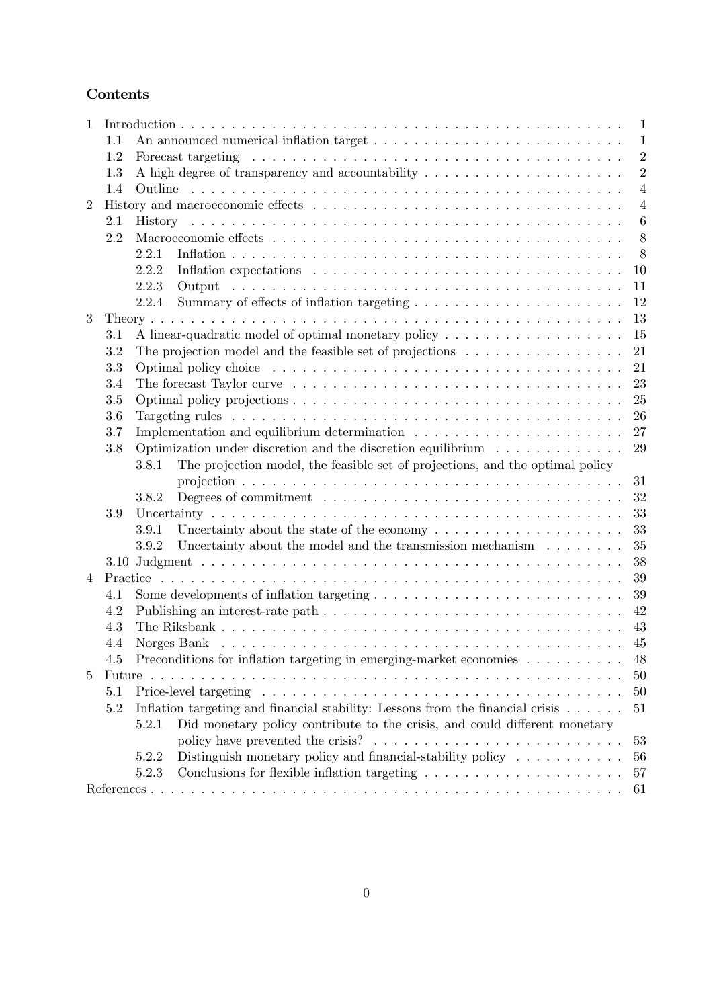## Contents

| $\mathbf{1}$   | $\overline{1}$                                                                                         |                                                                                                                    |                  |  |  |  |  |
|----------------|--------------------------------------------------------------------------------------------------------|--------------------------------------------------------------------------------------------------------------------|------------------|--|--|--|--|
|                | 1.1                                                                                                    |                                                                                                                    | $\mathbf{1}$     |  |  |  |  |
|                | 1.2                                                                                                    |                                                                                                                    | $\overline{2}$   |  |  |  |  |
|                | 1.3                                                                                                    |                                                                                                                    | $\overline{2}$   |  |  |  |  |
|                | 1.4                                                                                                    |                                                                                                                    | $\overline{4}$   |  |  |  |  |
| $\overline{2}$ |                                                                                                        |                                                                                                                    | $\overline{4}$   |  |  |  |  |
|                | 2.1                                                                                                    | History                                                                                                            | $\boldsymbol{6}$ |  |  |  |  |
|                | 2.2                                                                                                    |                                                                                                                    | 8                |  |  |  |  |
|                |                                                                                                        | 2.2.1                                                                                                              | 8                |  |  |  |  |
|                |                                                                                                        | 2.2.2                                                                                                              | 10               |  |  |  |  |
|                |                                                                                                        | 2.2.3                                                                                                              | 11               |  |  |  |  |
|                |                                                                                                        | 2.2.4                                                                                                              | 12               |  |  |  |  |
| 3              |                                                                                                        |                                                                                                                    | 13               |  |  |  |  |
|                | 3.1                                                                                                    |                                                                                                                    | 15               |  |  |  |  |
|                | 3.2                                                                                                    | The projection model and the feasible set of projections $\dots \dots \dots \dots \dots$                           | 21               |  |  |  |  |
|                | 3.3                                                                                                    |                                                                                                                    | 21               |  |  |  |  |
|                | 3.4                                                                                                    |                                                                                                                    | 23               |  |  |  |  |
|                | 3.5                                                                                                    |                                                                                                                    | 25               |  |  |  |  |
|                | 3.6                                                                                                    |                                                                                                                    | 26               |  |  |  |  |
|                | 3.7                                                                                                    |                                                                                                                    | 27               |  |  |  |  |
|                | 3.8                                                                                                    | Optimization under discretion and the discretion equilibrium $\ldots \ldots \ldots \ldots$                         | 29               |  |  |  |  |
|                |                                                                                                        | The projection model, the feasible set of projections, and the optimal policy<br>3.8.1                             |                  |  |  |  |  |
|                |                                                                                                        |                                                                                                                    | 31               |  |  |  |  |
|                |                                                                                                        | 3.8.2                                                                                                              | 32               |  |  |  |  |
|                | 3.9                                                                                                    |                                                                                                                    | 33               |  |  |  |  |
|                |                                                                                                        | Uncertainty about the state of the economy $\dots \dots \dots \dots \dots \dots \dots$<br>3.9.1                    | 33               |  |  |  |  |
|                |                                                                                                        | Uncertainty about the model and the transmission mechanism $\ldots \ldots \ldots$<br>3.9.2                         | 35               |  |  |  |  |
|                |                                                                                                        |                                                                                                                    | 38               |  |  |  |  |
| $\overline{4}$ |                                                                                                        |                                                                                                                    | 39               |  |  |  |  |
|                | 4.1                                                                                                    | Some developments of inflation targeting $\dots \dots \dots \dots \dots \dots \dots \dots \dots$                   | 39               |  |  |  |  |
|                | 4.2                                                                                                    |                                                                                                                    | 42               |  |  |  |  |
|                | 4.3                                                                                                    |                                                                                                                    | 43               |  |  |  |  |
|                | 4.4                                                                                                    |                                                                                                                    | 45               |  |  |  |  |
|                | Preconditions for inflation targeting in emerging-market economies $\ldots \ldots \ldots$<br>48<br>4.5 |                                                                                                                    |                  |  |  |  |  |
| 5              |                                                                                                        |                                                                                                                    | 50               |  |  |  |  |
|                | 5.1                                                                                                    | Price-level targeting $\ldots \ldots \ldots \ldots \ldots \ldots \ldots \ldots \ldots \ldots \ldots \ldots \ldots$ | 50               |  |  |  |  |
|                | 5.2                                                                                                    | Inflation targeting and financial stability: Lessons from the financial crisis                                     | 51               |  |  |  |  |
|                |                                                                                                        | Did monetary policy contribute to the crisis, and could different monetary<br>5.2.1                                |                  |  |  |  |  |
|                |                                                                                                        | policy have prevented the crisis? $\ldots \ldots \ldots \ldots \ldots \ldots \ldots \ldots$                        | 53               |  |  |  |  |
|                |                                                                                                        | Distinguish monetary policy and financial-stability policy $\ldots \ldots \ldots$<br>5.2.2                         | 56               |  |  |  |  |
|                |                                                                                                        | Conclusions for flexible inflation targeting $\ldots \ldots \ldots \ldots \ldots \ldots$<br>5.2.3                  | 57               |  |  |  |  |
|                |                                                                                                        |                                                                                                                    | 61               |  |  |  |  |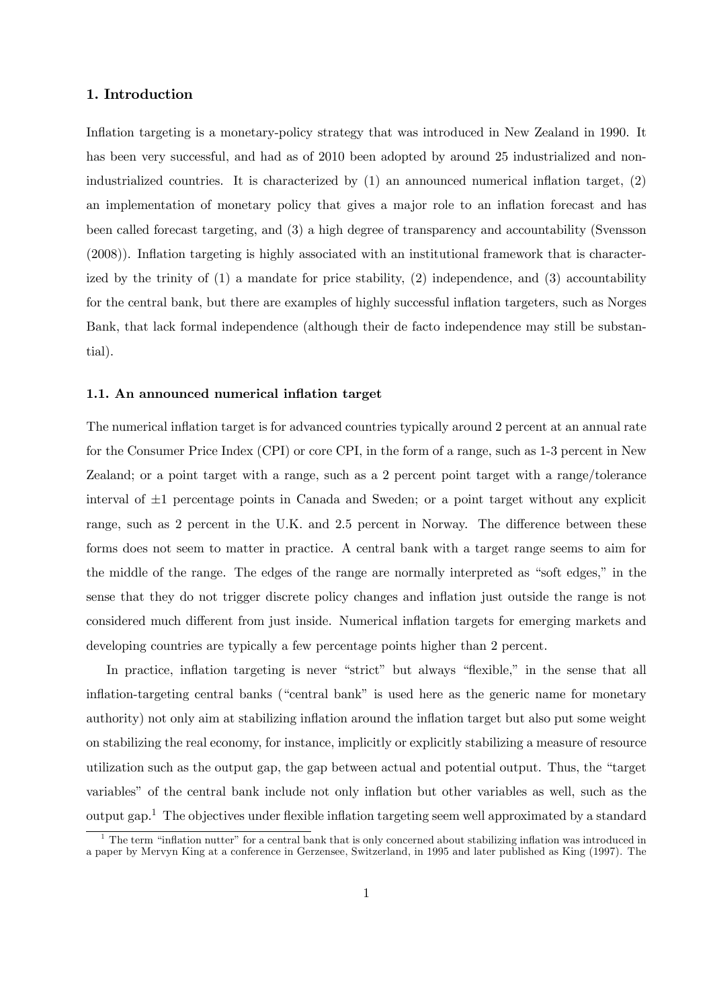## 1. Introduction

Inflation targeting is a monetary-policy strategy that was introduced in New Zealand in 1990. It has been very successful, and had as of 2010 been adopted by around 25 industrialized and nonindustrialized countries. It is characterized by (1) an announced numerical inflation target, (2) an implementation of monetary policy that gives a major role to an inflation forecast and has been called forecast targeting, and (3) a high degree of transparency and accountability (Svensson (2008)). Inflation targeting is highly associated with an institutional framework that is characterized by the trinity of  $(1)$  a mandate for price stability,  $(2)$  independence, and  $(3)$  accountability for the central bank, but there are examples of highly successful inflation targeters, such as Norges Bank, that lack formal independence (although their de facto independence may still be substantial).

#### 1.1. An announced numerical inflation target

The numerical inflation target is for advanced countries typically around 2 percent at an annual rate for the Consumer Price Index (CPI) or core CPI, in the form of a range, such as 1-3 percent in New Zealand; or a point target with a range, such as a 2 percent point target with a range/tolerance interval of  $\pm 1$  percentage points in Canada and Sweden; or a point target without any explicit range, such as 2 percent in the U.K. and 2.5 percent in Norway. The difference between these forms does not seem to matter in practice. A central bank with a target range seems to aim for the middle of the range. The edges of the range are normally interpreted as "soft edges," in the sense that they do not trigger discrete policy changes and inflation just outside the range is not considered much different from just inside. Numerical inflation targets for emerging markets and developing countries are typically a few percentage points higher than 2 percent.

In practice, inflation targeting is never "strict" but always "flexible," in the sense that all inflation-targeting central banks ("central bank" is used here as the generic name for monetary authority) not only aim at stabilizing inflation around the inflation target but also put some weight on stabilizing the real economy, for instance, implicitly or explicitly stabilizing a measure of resource utilization such as the output gap, the gap between actual and potential output. Thus, the "target variables" of the central bank include not only inflation but other variables as well, such as the output gap.1 The objectives under flexible inflation targeting seem well approximated by a standard

<sup>1</sup> The term "inflation nutter" for a central bank that is only concerned about stabilizing inflation was introduced in a paper by Mervyn King at a conference in Gerzensee, Switzerland, in 1995 and later published as King (1997). The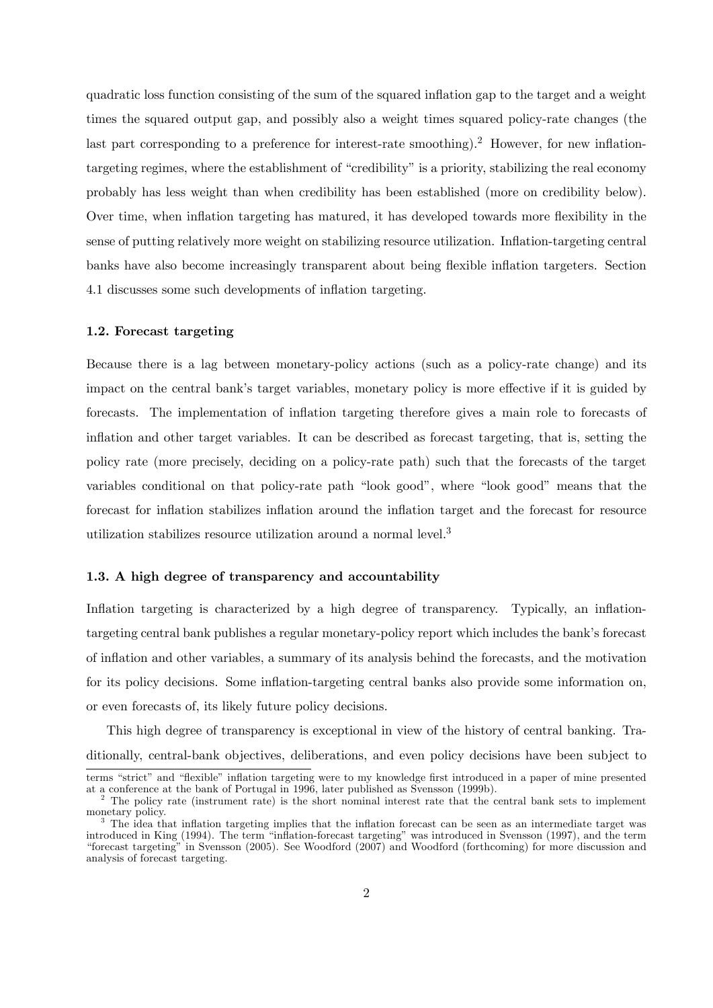quadratic loss function consisting of the sum of the squared inflation gap to the target and a weight times the squared output gap, and possibly also a weight times squared policy-rate changes (the last part corresponding to a preference for interest-rate smoothing).<sup>2</sup> However, for new inflationtargeting regimes, where the establishment of "credibility" is a priority, stabilizing the real economy probably has less weight than when credibility has been established (more on credibility below). Over time, when inflation targeting has matured, it has developed towards more flexibility in the sense of putting relatively more weight on stabilizing resource utilization. Inflation-targeting central banks have also become increasingly transparent about being flexible inflation targeters. Section 4.1 discusses some such developments of inflation targeting.

### 1.2. Forecast targeting

Because there is a lag between monetary-policy actions (such as a policy-rate change) and its impact on the central bank's target variables, monetary policy is more effective if it is guided by forecasts. The implementation of inflation targeting therefore gives a main role to forecasts of inflation and other target variables. It can be described as forecast targeting, that is, setting the policy rate (more precisely, deciding on a policy-rate path) such that the forecasts of the target variables conditional on that policy-rate path "look good", where "look good" means that the forecast for inflation stabilizes inflation around the inflation target and the forecast for resource utilization stabilizes resource utilization around a normal level.<sup>3</sup>

### 1.3. A high degree of transparency and accountability

Inflation targeting is characterized by a high degree of transparency. Typically, an inflationtargeting central bank publishes a regular monetary-policy report which includes the bank's forecast of inflation and other variables, a summary of its analysis behind the forecasts, and the motivation for its policy decisions. Some inflation-targeting central banks also provide some information on, or even forecasts of, its likely future policy decisions.

This high degree of transparency is exceptional in view of the history of central banking. Traditionally, central-bank objectives, deliberations, and even policy decisions have been subject to

terms "strict" and "flexible" inflation targeting were to my knowledge first introduced in a paper of mine presented at a conference at the bank of Portugal in 1996, later published as Svensson (1999b).

<sup>&</sup>lt;sup>2</sup> The policy rate (instrument rate) is the short nominal interest rate that the central bank sets to implement monetary policy.

<sup>&</sup>lt;sup>3</sup> The idea that inflation targeting implies that the inflation forecast can be seen as an intermediate target was introduced in King (1994). The term "inflation-forecast targeting" was introduced in Svensson (1997), and the term "forecast targeting" in Svensson (2005). See Woodford (2007) and Woodford (forthcoming) for more discussion and analysis of forecast targeting.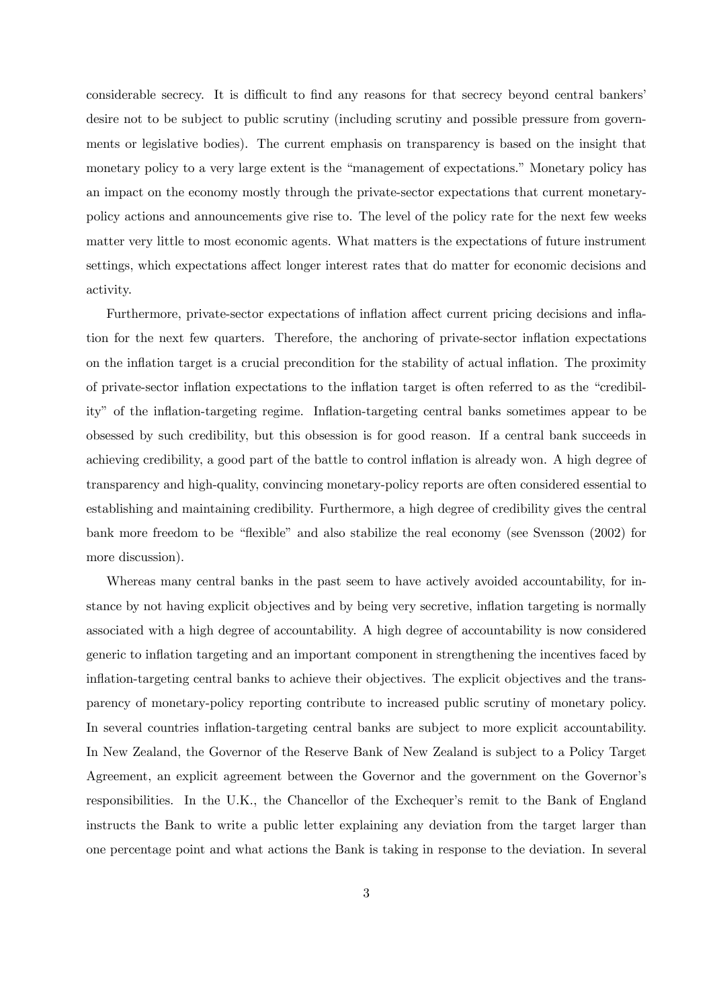considerable secrecy. It is difficult to find any reasons for that secrecy beyond central bankers' desire not to be subject to public scrutiny (including scrutiny and possible pressure from governments or legislative bodies). The current emphasis on transparency is based on the insight that monetary policy to a very large extent is the "management of expectations." Monetary policy has an impact on the economy mostly through the private-sector expectations that current monetarypolicy actions and announcements give rise to. The level of the policy rate for the next few weeks matter very little to most economic agents. What matters is the expectations of future instrument settings, which expectations affect longer interest rates that do matter for economic decisions and activity.

Furthermore, private-sector expectations of inflation affect current pricing decisions and inflation for the next few quarters. Therefore, the anchoring of private-sector inflation expectations on the inflation target is a crucial precondition for the stability of actual inflation. The proximity of private-sector inflation expectations to the inflation target is often referred to as the "credibility" of the inflation-targeting regime. Inflation-targeting central banks sometimes appear to be obsessed by such credibility, but this obsession is for good reason. If a central bank succeeds in achieving credibility, a good part of the battle to control inflation is already won. A high degree of transparency and high-quality, convincing monetary-policy reports are often considered essential to establishing and maintaining credibility. Furthermore, a high degree of credibility gives the central bank more freedom to be "flexible" and also stabilize the real economy (see Svensson (2002) for more discussion).

Whereas many central banks in the past seem to have actively avoided accountability, for instance by not having explicit objectives and by being very secretive, inflation targeting is normally associated with a high degree of accountability. A high degree of accountability is now considered generic to inflation targeting and an important component in strengthening the incentives faced by inflation-targeting central banks to achieve their objectives. The explicit objectives and the transparency of monetary-policy reporting contribute to increased public scrutiny of monetary policy. In several countries inflation-targeting central banks are subject to more explicit accountability. In New Zealand, the Governor of the Reserve Bank of New Zealand is subject to a Policy Target Agreement, an explicit agreement between the Governor and the government on the Governor's responsibilities. In the U.K., the Chancellor of the Exchequer's remit to the Bank of England instructs the Bank to write a public letter explaining any deviation from the target larger than one percentage point and what actions the Bank is taking in response to the deviation. In several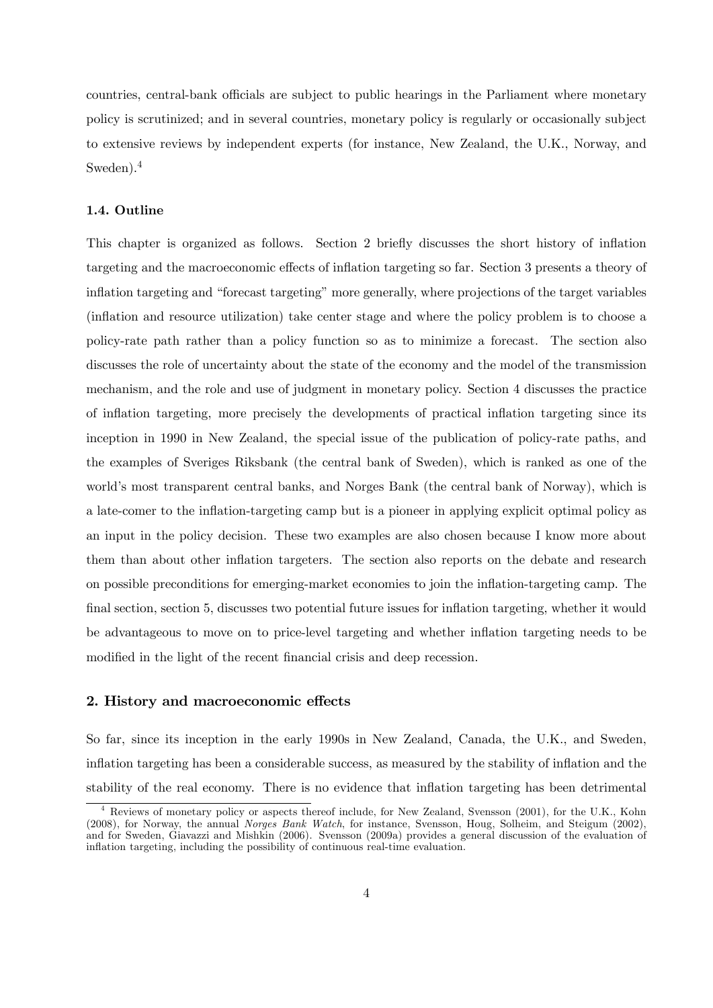countries, central-bank officials are subject to public hearings in the Parliament where monetary policy is scrutinized; and in several countries, monetary policy is regularly or occasionally subject to extensive reviews by independent experts (for instance, New Zealand, the U.K., Norway, and Sweden).<sup>4</sup>

## 1.4. Outline

This chapter is organized as follows. Section 2 briefly discusses the short history of inflation targeting and the macroeconomic effects of inflation targeting so far. Section 3 presents a theory of inflation targeting and "forecast targeting" more generally, where projections of the target variables (inflation and resource utilization) take center stage and where the policy problem is to choose a policy-rate path rather than a policy function so as to minimize a forecast. The section also discusses the role of uncertainty about the state of the economy and the model of the transmission mechanism, and the role and use of judgment in monetary policy. Section 4 discusses the practice of inflation targeting, more precisely the developments of practical inflation targeting since its inception in 1990 in New Zealand, the special issue of the publication of policy-rate paths, and the examples of Sveriges Riksbank (the central bank of Sweden), which is ranked as one of the world's most transparent central banks, and Norges Bank (the central bank of Norway), which is a late-comer to the inflation-targeting camp but is a pioneer in applying explicit optimal policy as an input in the policy decision. These two examples are also chosen because I know more about them than about other inflation targeters. The section also reports on the debate and research on possible preconditions for emerging-market economies to join the inflation-targeting camp. The final section, section 5, discusses two potential future issues for inflation targeting, whether it would be advantageous to move on to price-level targeting and whether inflation targeting needs to be modified in the light of the recent financial crisis and deep recession.

## 2. History and macroeconomic effects

So far, since its inception in the early 1990s in New Zealand, Canada, the U.K., and Sweden, inflation targeting has been a considerable success, as measured by the stability of inflation and the stability of the real economy. There is no evidence that inflation targeting has been detrimental

<sup>4</sup> Reviews of monetary policy or aspects thereof include, for New Zealand, Svensson (2001), for the U.K., Kohn (2008), for Norway, the annual Norges Bank Watch, for instance, Svensson, Houg, Solheim, and Steigum (2002), and for Sweden, Giavazzi and Mishkin (2006). Svensson (2009a) provides a general discussion of the evaluation of inflation targeting, including the possibility of continuous real-time evaluation.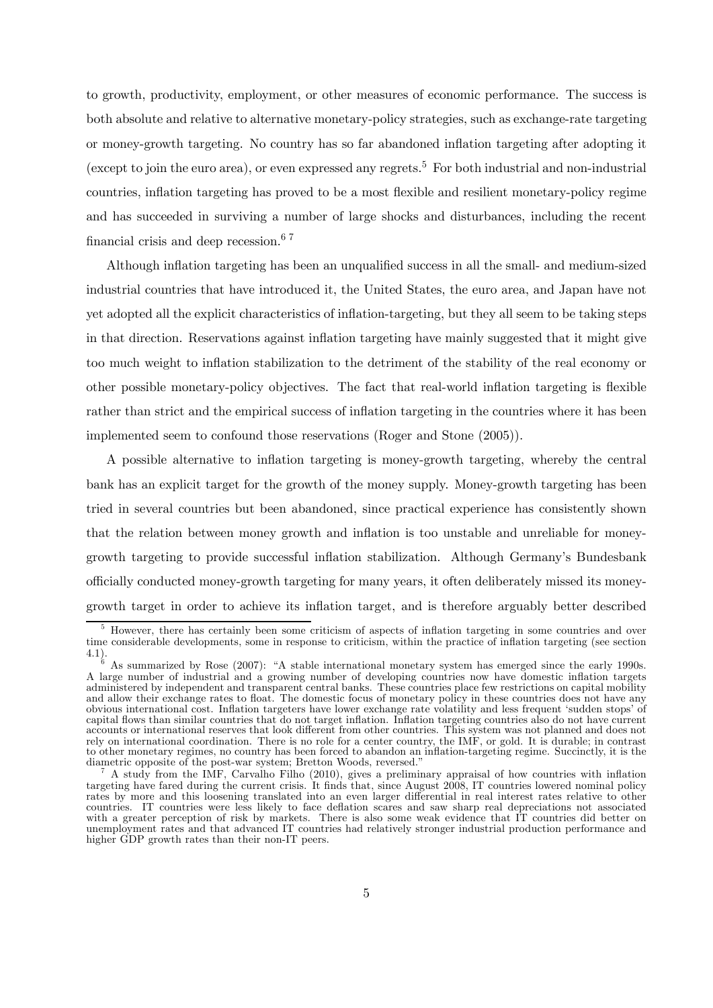to growth, productivity, employment, or other measures of economic performance. The success is both absolute and relative to alternative monetary-policy strategies, such as exchange-rate targeting or money-growth targeting. No country has so far abandoned inflation targeting after adopting it (except to join the euro area), or even expressed any regrets.<sup>5</sup> For both industrial and non-industrial countries, inflation targeting has proved to be a most flexible and resilient monetary-policy regime and has succeeded in surviving a number of large shocks and disturbances, including the recent financial crisis and deep recession.<sup>67</sup>

Although inflation targeting has been an unqualified success in all the small- and medium-sized industrial countries that have introduced it, the United States, the euro area, and Japan have not yet adopted all the explicit characteristics of inflation-targeting, but they all seem to be taking steps in that direction. Reservations against inflation targeting have mainly suggested that it might give too much weight to inflation stabilization to the detriment of the stability of the real economy or other possible monetary-policy objectives. The fact that real-world inflation targeting is flexible rather than strict and the empirical success of inflation targeting in the countries where it has been implemented seem to confound those reservations (Roger and Stone (2005)).

A possible alternative to inflation targeting is money-growth targeting, whereby the central bank has an explicit target for the growth of the money supply. Money-growth targeting has been tried in several countries but been abandoned, since practical experience has consistently shown that the relation between money growth and inflation is too unstable and unreliable for moneygrowth targeting to provide successful inflation stabilization. Although Germany's Bundesbank officially conducted money-growth targeting for many years, it often deliberately missed its moneygrowth target in order to achieve its inflation target, and is therefore arguably better described

<sup>5</sup> However, there has certainly been some criticism of aspects of inflation targeting in some countries and over time considerable developments, some in response to criticism, within the practice of inflation targeting (see section 4.1).<br><sup>6</sup> As summarized by Rose (2007): "A stable international monetary system has emerged since the early 1990s.

A large number of industrial and a growing number of developing countries now have domestic inflation targets administered by independent and transparent central banks. These countries place few restrictions on capital mobility and allow their exchange rates to float. The domestic focus of monetary policy in these countries does not have any obvious international cost. Inflation targeters have lower exchange rate volatility and less frequent 'sudden stops' of capital flows than similar countries that do not target inflation. Inflation targeting countries also do not have current accounts or international reserves that look different from other countries. This system was not planned and does not rely on international coordination. There is no role for a center country, the IMF, or gold. It is durable; in contrast to other monetary regimes, no country has been forced to abandon an inflation-targeting regime. Succinctly, it is the

A study from the IMF, Carvalho Filho (2010), gives a preliminary appraisal of how countries with inflation targeting have fared during the current crisis. It finds that, since August 2008, IT countries lowered nominal policy rates by more and this loosening translated into an even larger differential in real interest rates relative to other countries. IT countries were less likely to face deflation scares and saw sharp real depreciations not associated with a greater perception of risk by markets. There is also some weak evidence that IT countries did better on unemployment rates and that advanced IT countries had relatively stronger industrial production performance and higher GDP growth rates than their non-IT peers.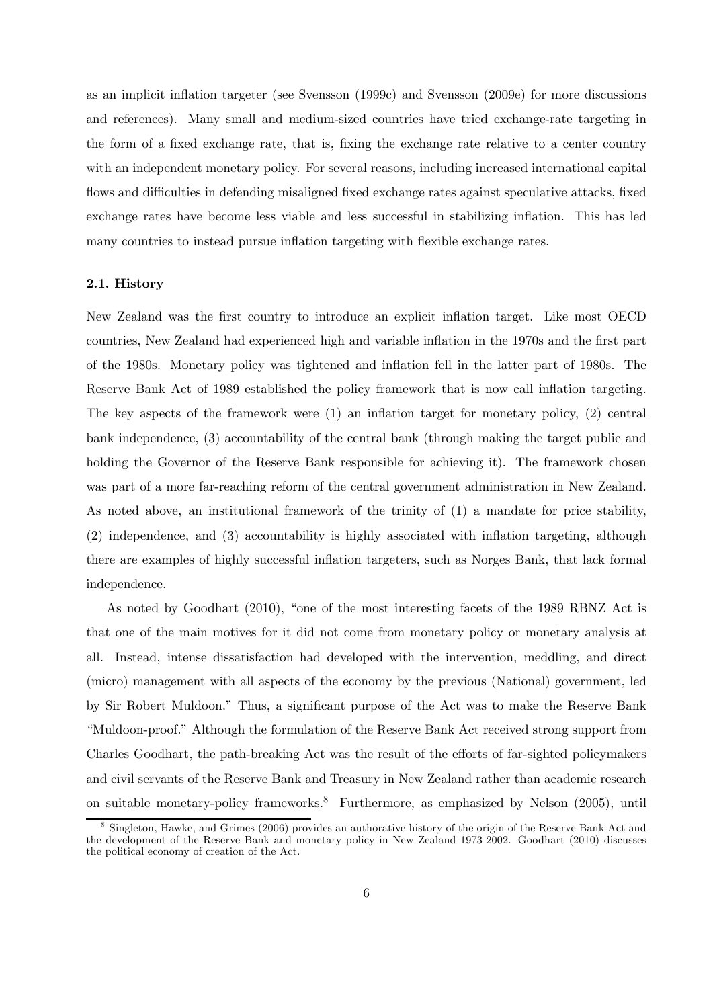as an implicit inflation targeter (see Svensson (1999c) and Svensson (2009e) for more discussions and references). Many small and medium-sized countries have tried exchange-rate targeting in the form of a fixed exchange rate, that is, fixing the exchange rate relative to a center country with an independent monetary policy. For several reasons, including increased international capital flows and difficulties in defending misaligned fixed exchange rates against speculative attacks, fixed exchange rates have become less viable and less successful in stabilizing inflation. This has led many countries to instead pursue inflation targeting with flexible exchange rates.

## 2.1. History

New Zealand was the first country to introduce an explicit inflation target. Like most OECD countries, New Zealand had experienced high and variable inflation in the 1970s and the first part of the 1980s. Monetary policy was tightened and inflation fell in the latter part of 1980s. The Reserve Bank Act of 1989 established the policy framework that is now call inflation targeting. The key aspects of the framework were (1) an inflation target for monetary policy, (2) central bank independence, (3) accountability of the central bank (through making the target public and holding the Governor of the Reserve Bank responsible for achieving it). The framework chosen was part of a more far-reaching reform of the central government administration in New Zealand. As noted above, an institutional framework of the trinity of (1) a mandate for price stability, (2) independence, and (3) accountability is highly associated with inflation targeting, although there are examples of highly successful inflation targeters, such as Norges Bank, that lack formal independence.

As noted by Goodhart (2010), "one of the most interesting facets of the 1989 RBNZ Act is that one of the main motives for it did not come from monetary policy or monetary analysis at all. Instead, intense dissatisfaction had developed with the intervention, meddling, and direct (micro) management with all aspects of the economy by the previous (National) government, led by Sir Robert Muldoon." Thus, a significant purpose of the Act was to make the Reserve Bank "Muldoon-proof." Although the formulation of the Reserve Bank Act received strong support from Charles Goodhart, the path-breaking Act was the result of the efforts of far-sighted policymakers and civil servants of the Reserve Bank and Treasury in New Zealand rather than academic research on suitable monetary-policy frameworks.<sup>8</sup> Furthermore, as emphasized by Nelson  $(2005)$ , until

<sup>8</sup> Singleton, Hawke, and Grimes (2006) provides an authorative history of the origin of the Reserve Bank Act and the development of the Reserve Bank and monetary policy in New Zealand 1973-2002. Goodhart (2010) discusses the political economy of creation of the Act.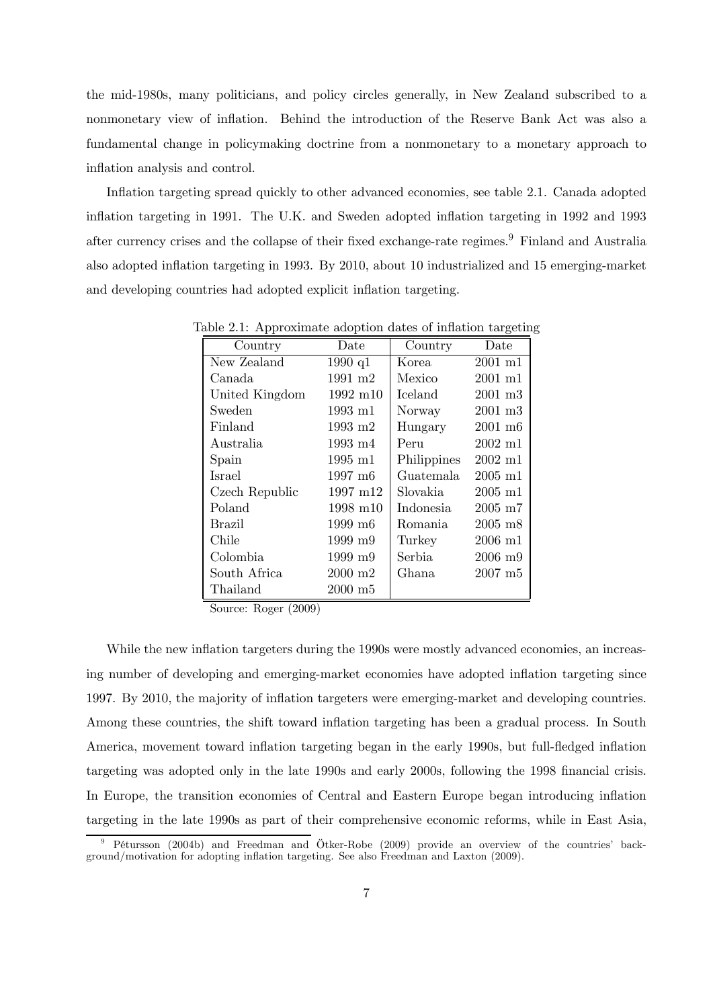the mid-1980s, many politicians, and policy circles generally, in New Zealand subscribed to a nonmonetary view of inflation. Behind the introduction of the Reserve Bank Act was also a fundamental change in policymaking doctrine from a nonmonetary to a monetary approach to inflation analysis and control.

Inflation targeting spread quickly to other advanced economies, see table 2.1. Canada adopted inflation targeting in 1991. The U.K. and Sweden adopted inflation targeting in 1992 and 1993 after currency crises and the collapse of their fixed exchange-rate regimes.<sup>9</sup> Finland and Australia also adopted inflation targeting in 1993. By 2010, about 10 industrialized and 15 emerging-market and developing countries had adopted explicit inflation targeting.

| Country        | Date                   | Country        | Date                   |
|----------------|------------------------|----------------|------------------------|
| New Zealand    | 1990q1                 | Korea.         | $2001 \; \mathrm{m}$ 1 |
| Canada         | $1991 \;{\rm m2}$      | Mexico         | $2001 \; \mathrm{m}$ 1 |
| United Kingdom | $1992 \text{ m}10$     | <b>Iceland</b> | $2001 \; \mathrm{m}3$  |
| Sweden         | $1993 \; \mathrm{m1}$  | Norway         | $2001 \; \mathrm{m3}$  |
| Finland        | $1993 \; \mathrm{m2}$  | Hungary        | $2001 \,\mathrm{m}6$   |
| Australia      | $1993 \; \mathrm{m}4$  | Peru           | $2002 \; \mathrm{m}$ 1 |
| Spain          | $1995 \; \mathrm{m}$ 1 | Philippines    | $2002 \; \mathrm{m}$ 1 |
| <b>Israel</b>  | $1997 \text{ m}6$      | Guatemala      | $2005 \; \mathrm{m}$ 1 |
| Czech Republic | $1997 \text{ m}12$     | Slovakia       | $2005 \; \mathrm{m}$ 1 |
| Poland         | $1998$ m $10$          | Indonesia      | $2005 \; \mathrm{m}$   |
| Brazil         | 1999 m6                | Romania        | $2005 \; \mathrm{m}8$  |
| Chile          | 1999 m9                | Turkey         | $2006 \; \mathrm{m}$ 1 |
| Colombia       | 1999 m9                | Serbia         | $2006 \,\mathrm{m}9$   |
| South Africa   | $2000 \; \mathrm{m2}$  | Ghana          | $2007 \; \mathrm{m}5$  |
| Thailand       | $2000 \; \mathrm{m}5$  |                |                        |

Table 2.1: Approximate adoption dates of inflation targeting

Source: Roger (2009)

While the new inflation targeters during the 1990s were mostly advanced economies, an increasing number of developing and emerging-market economies have adopted inflation targeting since 1997. By 2010, the majority of inflation targeters were emerging-market and developing countries. Among these countries, the shift toward inflation targeting has been a gradual process. In South America, movement toward inflation targeting began in the early 1990s, but full-fledged inflation targeting was adopted only in the late 1990s and early 2000s, following the 1998 financial crisis. In Europe, the transition economies of Central and Eastern Europe began introducing inflation targeting in the late 1990s as part of their comprehensive economic reforms, while in East Asia,

<sup>9</sup> Pétursson (2004b) and Freedman and Ötker-Robe (2009) provide an overview of the countries' background/motivation for adopting inflation targeting. See also Freedman and Laxton (2009).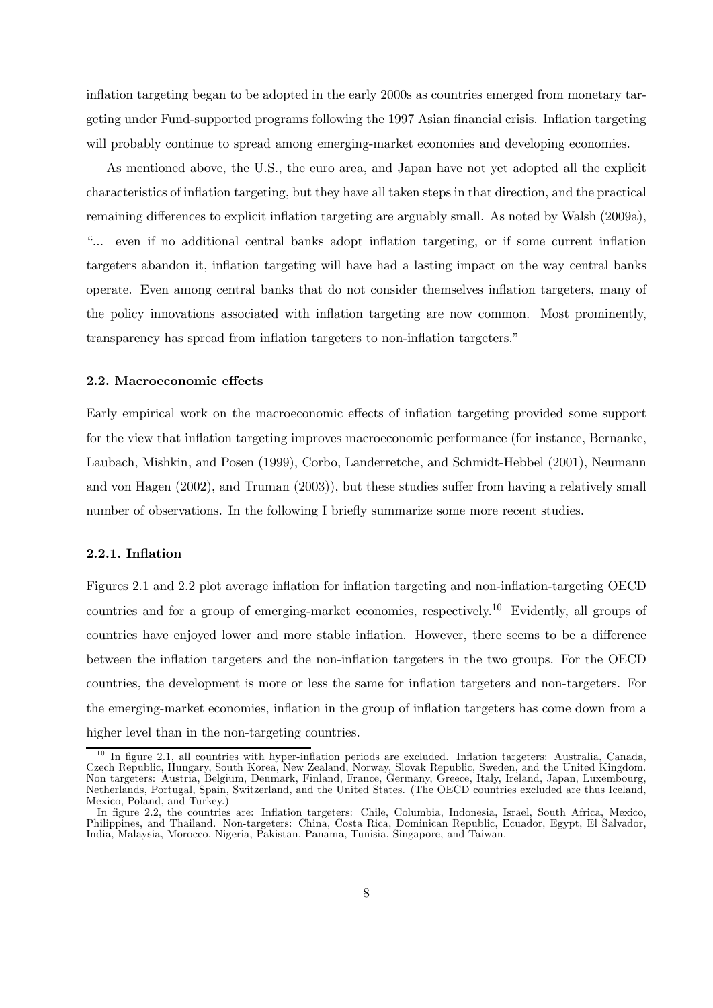inflation targeting began to be adopted in the early 2000s as countries emerged from monetary targeting under Fund-supported programs following the 1997 Asian financial crisis. Inflation targeting will probably continue to spread among emerging-market economies and developing economies.

As mentioned above, the U.S., the euro area, and Japan have not yet adopted all the explicit characteristics of inflation targeting, but they have all taken steps in that direction, and the practical remaining differences to explicit inflation targeting are arguably small. As noted by Walsh (2009a), "... even if no additional central banks adopt inflation targeting, or if some current inflation targeters abandon it, inflation targeting will have had a lasting impact on the way central banks operate. Even among central banks that do not consider themselves inflation targeters, many of the policy innovations associated with inflation targeting are now common. Most prominently, transparency has spread from inflation targeters to non-inflation targeters."

## 2.2. Macroeconomic effects

Early empirical work on the macroeconomic effects of inflation targeting provided some support for the view that inflation targeting improves macroeconomic performance (for instance, Bernanke, Laubach, Mishkin, and Posen (1999), Corbo, Landerretche, and Schmidt-Hebbel (2001), Neumann and von Hagen (2002), and Truman (2003)), but these studies suffer from having a relatively small number of observations. In the following I briefly summarize some more recent studies.

### 2.2.1. Inflation

Figures 2.1 and 2.2 plot average inflation for inflation targeting and non-inflation-targeting OECD countries and for a group of emerging-market economies, respectively.10 Evidently, all groups of countries have enjoyed lower and more stable inflation. However, there seems to be a difference between the inflation targeters and the non-inflation targeters in the two groups. For the OECD countries, the development is more or less the same for inflation targeters and non-targeters. For the emerging-market economies, inflation in the group of inflation targeters has come down from a higher level than in the non-targeting countries.

 $10$  In figure 2.1, all countries with hyper-inflation periods are excluded. Inflation targeters: Australia, Canada, Czech Republic, Hungary, South Korea, New Zealand, Norway, Slovak Republic, Sweden, and the United Kingdom. Non targeters: Austria, Belgium, Denmark, Finland, France, Germany, Greece, Italy, Ireland, Japan, Luxembourg, Netherlands, Portugal, Spain, Switzerland, and the United States. (The OECD countries excluded are thus Iceland, Mexico, Poland, and Turkey.)

In figure 2.2, the countries are: Inflation targeters: Chile, Columbia, Indonesia, Israel, South Africa, Mexico, Philippines, and Thailand. Non-targeters: China, Costa Rica, Dominican Republic, Ecuador, Egypt, El Salvador, India, Malaysia, Morocco, Nigeria, Pakistan, Panama, Tunisia, Singapore, and Taiwan.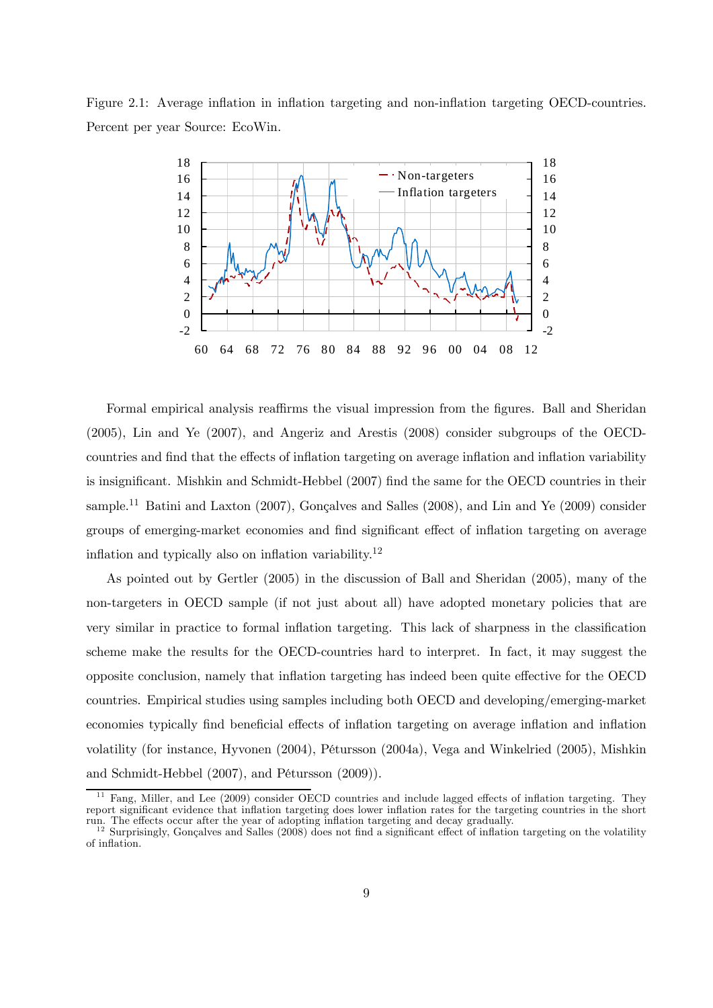Figure 2.1: Average inflation in inflation targeting and non-inflation targeting OECD-countries. Percent per year Source: EcoWin.



Formal empirical analysis reaffirms the visual impression from the figures. Ball and Sheridan (2005), Lin and Ye (2007), and Angeriz and Arestis (2008) consider subgroups of the OECDcountries and find that the effects of inflation targeting on average inflation and inflation variability is insignificant. Mishkin and Schmidt-Hebbel (2007) find the same for the OECD countries in their sample.<sup>11</sup> Batini and Laxton (2007), Gonçalves and Salles (2008), and Lin and Ye (2009) consider groups of emerging-market economies and find significant effect of inflation targeting on average inflation and typically also on inflation variability.12

As pointed out by Gertler (2005) in the discussion of Ball and Sheridan (2005), many of the non-targeters in OECD sample (if not just about all) have adopted monetary policies that are very similar in practice to formal inflation targeting. This lack of sharpness in the classification scheme make the results for the OECD-countries hard to interpret. In fact, it may suggest the opposite conclusion, namely that inflation targeting has indeed been quite effective for the OECD countries. Empirical studies using samples including both OECD and developing/emerging-market economies typically find beneficial effects of inflation targeting on average inflation and inflation volatility (for instance, Hyvonen (2004), Pétursson (2004a), Vega and Winkelried (2005), Mishkin and Schmidt-Hebbel (2007), and Pétursson (2009)).

 $11$  Fang, Miller, and Lee (2009) consider OECD countries and include lagged effects of inflation targeting. They report significant evidence that inflation targeting does lower inflation rates for the targeting countries in the short run. The effects occur after the year of adopting inflation targeting and decay gradually.<br><sup>12</sup> Surprisingly, Gonçalves and Salles (2008) does not find a significant effect of inflation targeting on the volatility

of inflation.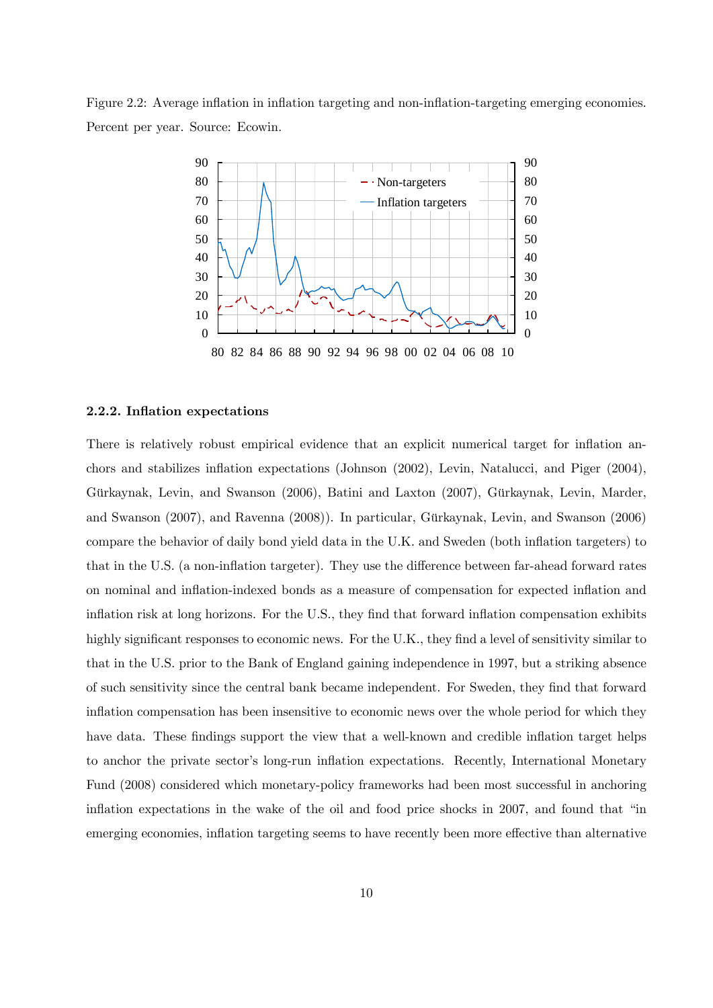Figure 2.2: Average inflation in inflation targeting and non-inflation-targeting emerging economies. Percent per year. Source: Ecowin.



## 2.2.2. Inflation expectations

There is relatively robust empirical evidence that an explicit numerical target for inflation anchors and stabilizes inflation expectations (Johnson (2002), Levin, Natalucci, and Piger (2004), Gürkaynak, Levin, and Swanson (2006), Batini and Laxton (2007), Gürkaynak, Levin, Marder, and Swanson (2007), and Ravenna (2008)). In particular, Gürkaynak, Levin, and Swanson (2006) compare the behavior of daily bond yield data in the U.K. and Sweden (both inflation targeters) to that in the U.S. (a non-inflation targeter). They use the difference between far-ahead forward rates on nominal and inflation-indexed bonds as a measure of compensation for expected inflation and inflation risk at long horizons. For the U.S., they find that forward inflation compensation exhibits highly significant responses to economic news. For the U.K., they find a level of sensitivity similar to that in the U.S. prior to the Bank of England gaining independence in 1997, but a striking absence of such sensitivity since the central bank became independent. For Sweden, they find that forward inflation compensation has been insensitive to economic news over the whole period for which they have data. These findings support the view that a well-known and credible inflation target helps to anchor the private sector's long-run inflation expectations. Recently, International Monetary Fund (2008) considered which monetary-policy frameworks had been most successful in anchoring inflation expectations in the wake of the oil and food price shocks in 2007, and found that "in emerging economies, inflation targeting seems to have recently been more effective than alternative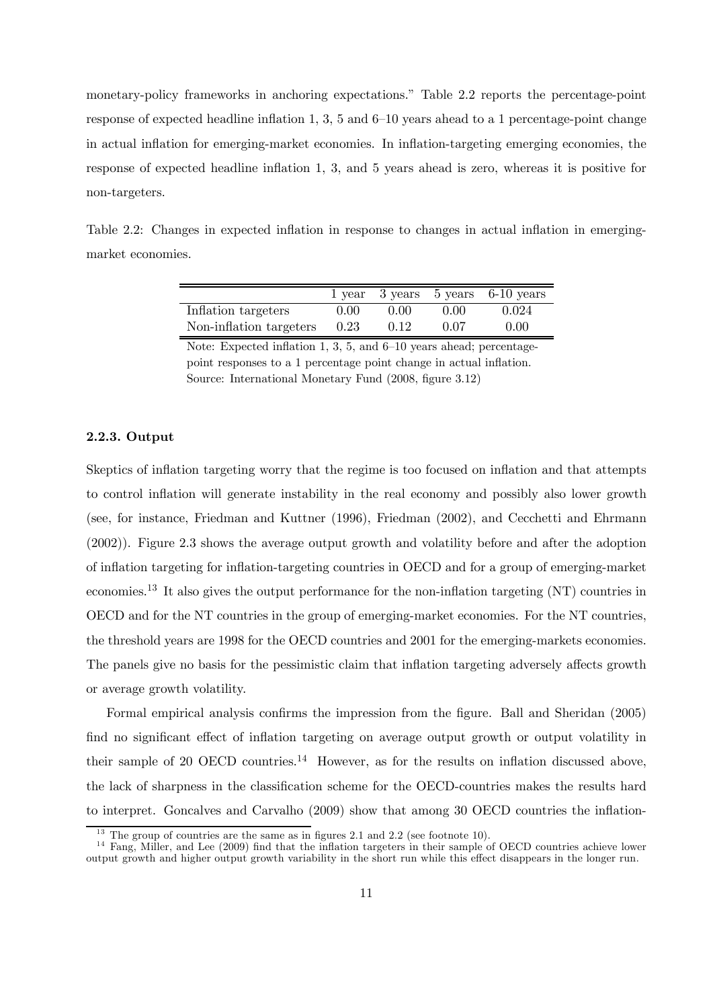monetary-policy frameworks in anchoring expectations." Table 2.2 reports the percentage-point response of expected headline inflation 1, 3, 5 and 6—10 years ahead to a 1 percentage-point change in actual inflation for emerging-market economies. In inflation-targeting emerging economies, the response of expected headline inflation 1, 3, and 5 years ahead is zero, whereas it is positive for non-targeters.

Table 2.2: Changes in expected inflation in response to changes in actual inflation in emergingmarket economies.

|                         | 1 year |      |       | $3 \text{ years}$ 5 years 6-10 years |  |  |
|-------------------------|--------|------|-------|--------------------------------------|--|--|
| Inflation targeters     | 0.00   | 0.00 | 0. OO | 0.024                                |  |  |
| Non-inflation targeters | 0.23   | 0.12 | 0.07  | 0.00                                 |  |  |
| .                       |        |      |       |                                      |  |  |

Note: Expected inflation 1, 3, 5, and 6–10 years ahead; percentagepoint responses to a 1 percentage point change in actual inflation. Source: International Monetary Fund (2008, figure 3.12)

## 2.2.3. Output

Skeptics of inflation targeting worry that the regime is too focused on inflation and that attempts to control inflation will generate instability in the real economy and possibly also lower growth (see, for instance, Friedman and Kuttner (1996), Friedman (2002), and Cecchetti and Ehrmann (2002)). Figure 2.3 shows the average output growth and volatility before and after the adoption of inflation targeting for inflation-targeting countries in OECD and for a group of emerging-market economies.13 It also gives the output performance for the non-inflation targeting (NT) countries in OECD and for the NT countries in the group of emerging-market economies. For the NT countries, the threshold years are 1998 for the OECD countries and 2001 for the emerging-markets economies. The panels give no basis for the pessimistic claim that inflation targeting adversely affects growth or average growth volatility.

Formal empirical analysis confirms the impression from the figure. Ball and Sheridan (2005) find no significant effect of inflation targeting on average output growth or output volatility in their sample of 20 OECD countries.<sup>14</sup> However, as for the results on inflation discussed above, the lack of sharpness in the classification scheme for the OECD-countries makes the results hard to interpret. Goncalves and Carvalho (2009) show that among 30 OECD countries the inflation-

<sup>&</sup>lt;sup>13</sup> The group of countries are the same as in figures 2.1 and 2.2 (see footnote 10).<br><sup>14</sup> Fang, Miller, and Lee (2009) find that the inflation targeters in their sample of OECD countries achieve lower output growth and higher output growth variability in the short run while this effect disappears in the longer run.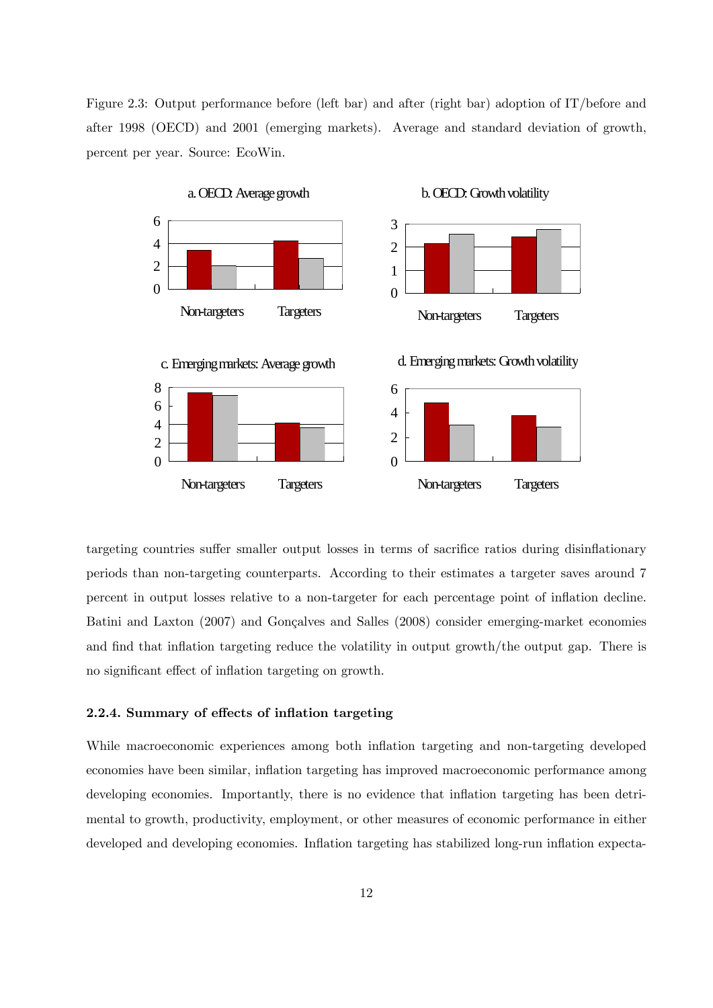Figure 2.3: Output performance before (left bar) and after (right bar) adoption of IT/before and after 1998 (OECD) and 2001 (emerging markets). Average and standard deviation of growth, percent per year. Source: EcoWin.



targeting countries suffer smaller output losses in terms of sacrifice ratios during disinflationary periods than non-targeting counterparts. According to their estimates a targeter saves around 7 percent in output losses relative to a non-targeter for each percentage point of inflation decline. Batini and Laxton (2007) and Gonçalves and Salles (2008) consider emerging-market economies and find that inflation targeting reduce the volatility in output growth/the output gap. There is no significant effect of inflation targeting on growth.

## 2.2.4. Summary of effects of inflation targeting

While macroeconomic experiences among both inflation targeting and non-targeting developed economies have been similar, inflation targeting has improved macroeconomic performance among developing economies. Importantly, there is no evidence that inflation targeting has been detrimental to growth, productivity, employment, or other measures of economic performance in either developed and developing economies. Inflation targeting has stabilized long-run inflation expecta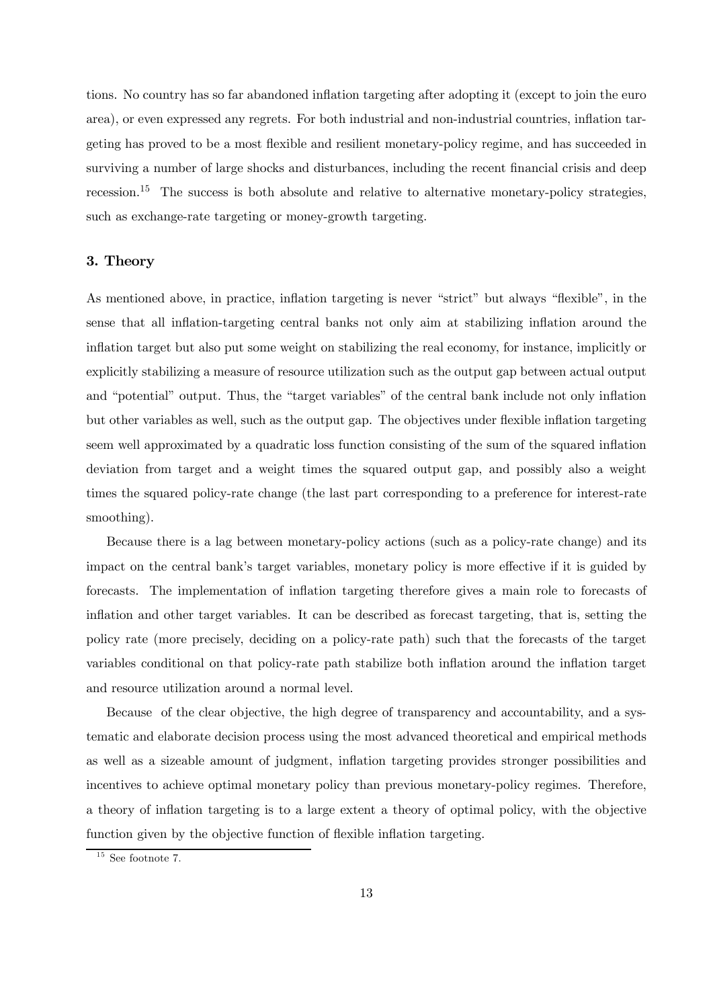tions. No country has so far abandoned inflation targeting after adopting it (except to join the euro area), or even expressed any regrets. For both industrial and non-industrial countries, inflation targeting has proved to be a most flexible and resilient monetary-policy regime, and has succeeded in surviving a number of large shocks and disturbances, including the recent financial crisis and deep recession.<sup>15</sup> The success is both absolute and relative to alternative monetary-policy strategies, such as exchange-rate targeting or money-growth targeting.

## 3. Theory

As mentioned above, in practice, inflation targeting is never "strict" but always "flexible", in the sense that all inflation-targeting central banks not only aim at stabilizing inflation around the inflation target but also put some weight on stabilizing the real economy, for instance, implicitly or explicitly stabilizing a measure of resource utilization such as the output gap between actual output and "potential" output. Thus, the "target variables" of the central bank include not only inflation but other variables as well, such as the output gap. The objectives under flexible inflation targeting seem well approximated by a quadratic loss function consisting of the sum of the squared inflation deviation from target and a weight times the squared output gap, and possibly also a weight times the squared policy-rate change (the last part corresponding to a preference for interest-rate smoothing).

Because there is a lag between monetary-policy actions (such as a policy-rate change) and its impact on the central bank's target variables, monetary policy is more effective if it is guided by forecasts. The implementation of inflation targeting therefore gives a main role to forecasts of inflation and other target variables. It can be described as forecast targeting, that is, setting the policy rate (more precisely, deciding on a policy-rate path) such that the forecasts of the target variables conditional on that policy-rate path stabilize both inflation around the inflation target and resource utilization around a normal level.

Because of the clear objective, the high degree of transparency and accountability, and a systematic and elaborate decision process using the most advanced theoretical and empirical methods as well as a sizeable amount of judgment, inflation targeting provides stronger possibilities and incentives to achieve optimal monetary policy than previous monetary-policy regimes. Therefore, a theory of inflation targeting is to a large extent a theory of optimal policy, with the objective function given by the objective function of flexible inflation targeting.

 $15$  See footnote 7.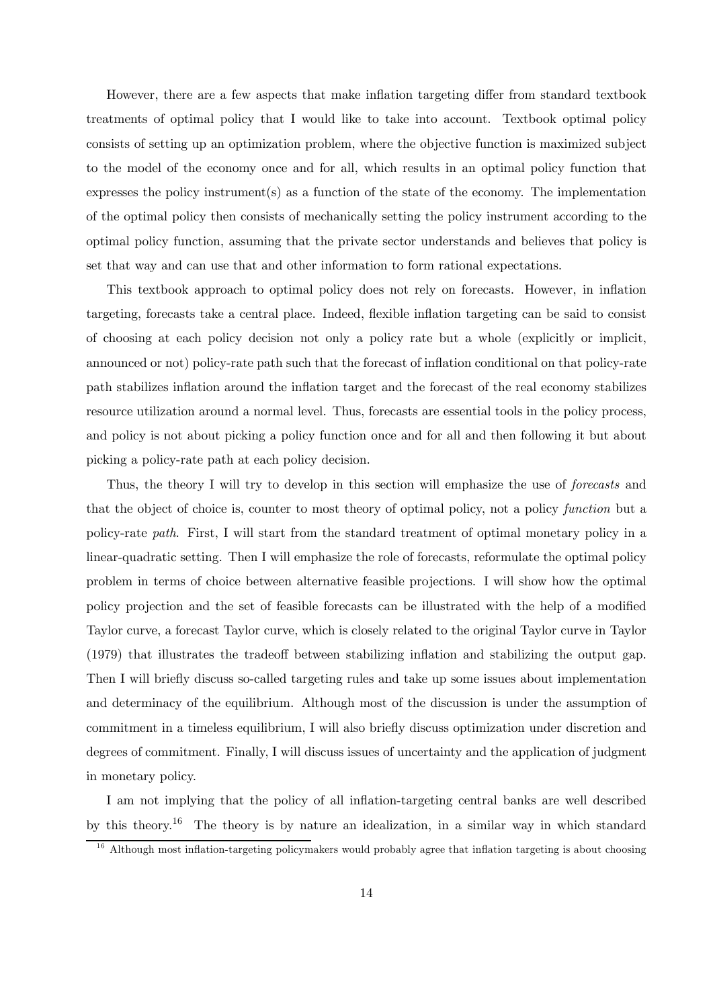However, there are a few aspects that make inflation targeting differ from standard textbook treatments of optimal policy that I would like to take into account. Textbook optimal policy consists of setting up an optimization problem, where the objective function is maximized subject to the model of the economy once and for all, which results in an optimal policy function that expresses the policy instrument(s) as a function of the state of the economy. The implementation of the optimal policy then consists of mechanically setting the policy instrument according to the optimal policy function, assuming that the private sector understands and believes that policy is set that way and can use that and other information to form rational expectations.

This textbook approach to optimal policy does not rely on forecasts. However, in inflation targeting, forecasts take a central place. Indeed, flexible inflation targeting can be said to consist of choosing at each policy decision not only a policy rate but a whole (explicitly or implicit, announced or not) policy-rate path such that the forecast of inflation conditional on that policy-rate path stabilizes inflation around the inflation target and the forecast of the real economy stabilizes resource utilization around a normal level. Thus, forecasts are essential tools in the policy process, and policy is not about picking a policy function once and for all and then following it but about picking a policy-rate path at each policy decision.

Thus, the theory I will try to develop in this section will emphasize the use of forecasts and that the object of choice is, counter to most theory of optimal policy, not a policy function but a policy-rate path. First, I will start from the standard treatment of optimal monetary policy in a linear-quadratic setting. Then I will emphasize the role of forecasts, reformulate the optimal policy problem in terms of choice between alternative feasible projections. I will show how the optimal policy projection and the set of feasible forecasts can be illustrated with the help of a modified Taylor curve, a forecast Taylor curve, which is closely related to the original Taylor curve in Taylor (1979) that illustrates the tradeoff between stabilizing inflation and stabilizing the output gap. Then I will briefly discuss so-called targeting rules and take up some issues about implementation and determinacy of the equilibrium. Although most of the discussion is under the assumption of commitment in a timeless equilibrium, I will also briefly discuss optimization under discretion and degrees of commitment. Finally, I will discuss issues of uncertainty and the application of judgment in monetary policy.

I am not implying that the policy of all inflation-targeting central banks are well described by this theory.<sup>16</sup> The theory is by nature an idealization, in a similar way in which standard

 $16$  Although most inflation-targeting policymakers would probably agree that inflation targeting is about choosing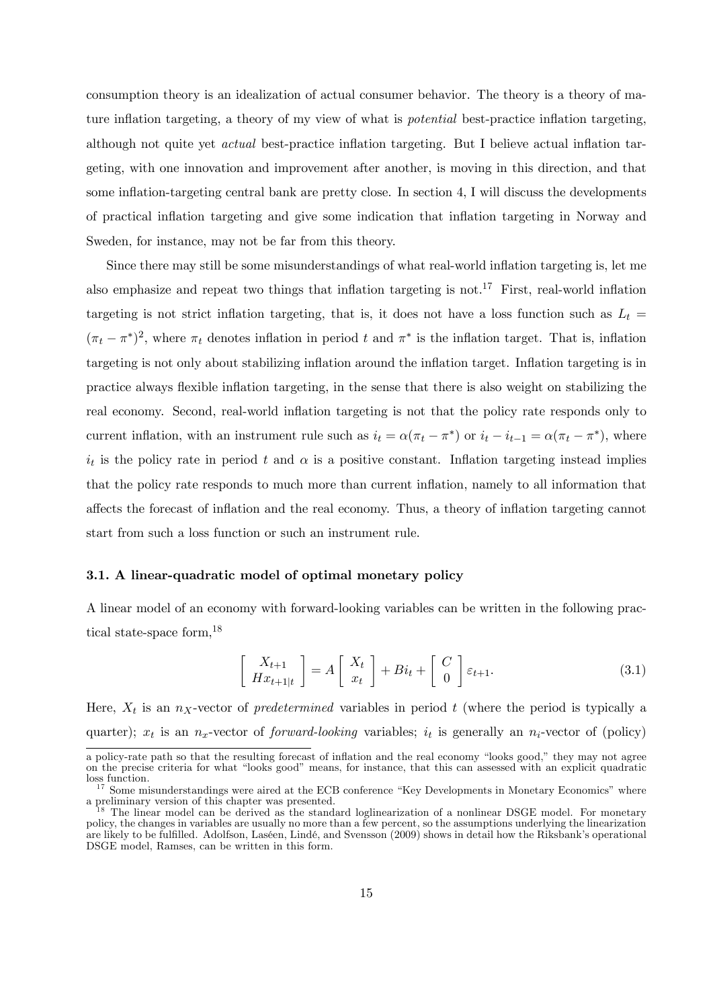consumption theory is an idealization of actual consumer behavior. The theory is a theory of mature inflation targeting, a theory of my view of what is potential best-practice inflation targeting, although not quite yet actual best-practice inflation targeting. But I believe actual inflation targeting, with one innovation and improvement after another, is moving in this direction, and that some inflation-targeting central bank are pretty close. In section 4, I will discuss the developments of practical inflation targeting and give some indication that inflation targeting in Norway and Sweden, for instance, may not be far from this theory.

Since there may still be some misunderstandings of what real-world inflation targeting is, let me also emphasize and repeat two things that inflation targeting is not.<sup>17</sup> First, real-world inflation targeting is not strict inflation targeting, that is, it does not have a loss function such as  $L_t =$  $(\pi_t - \pi^*)^2$ , where  $\pi_t$  denotes inflation in period t and  $\pi^*$  is the inflation target. That is, inflation targeting is not only about stabilizing inflation around the inflation target. Inflation targeting is in practice always flexible inflation targeting, in the sense that there is also weight on stabilizing the real economy. Second, real-world inflation targeting is not that the policy rate responds only to current inflation, with an instrument rule such as  $i_t = \alpha(\pi_t - \pi^*)$  or  $i_t - i_{t-1} = \alpha(\pi_t - \pi^*)$ , where  $i_t$  is the policy rate in period t and  $\alpha$  is a positive constant. Inflation targeting instead implies that the policy rate responds to much more than current inflation, namely to all information that affects the forecast of inflation and the real economy. Thus, a theory of inflation targeting cannot start from such a loss function or such an instrument rule.

## 3.1. A linear-quadratic model of optimal monetary policy

A linear model of an economy with forward-looking variables can be written in the following practical state-space form,<sup>18</sup>

$$
\begin{bmatrix} X_{t+1} \\ Hx_{t+1|t} \end{bmatrix} = A \begin{bmatrix} X_t \\ x_t \end{bmatrix} + Bi_t + \begin{bmatrix} C \\ 0 \end{bmatrix} \varepsilon_{t+1}.
$$
 (3.1)

Here,  $X_t$  is an  $n_X$ -vector of *predetermined* variables in period t (where the period is typically a quarter);  $x_t$  is an  $n_x$ -vector of *forward-looking* variables;  $i_t$  is generally an  $n_i$ -vector of (policy)

a policy-rate path so that the resulting forecast of inflation and the real economy "looks good," they may not agree on the precise criteria for what "looks good" means, for instance, that this can assessed with an explicit quadratic loss function.<br><sup>17</sup> Some misunderstandings were aired at the ECB conference "Key Developments in Monetary Economics" where

a preliminary version of this chapter was presented.<br><sup>18</sup> The linear model can be derived as the standard loglinearization of a nonlinear DSGE model. For monetary

policy, the changes in variables are usually no more than a few percent, so the assumptions underlying the linearization are likely to be fulfilled. Adolfson, Laséen, Lindé, and Svensson (2009) shows in detail how the Riksbank's operational DSGE model, Ramses, can be written in this form.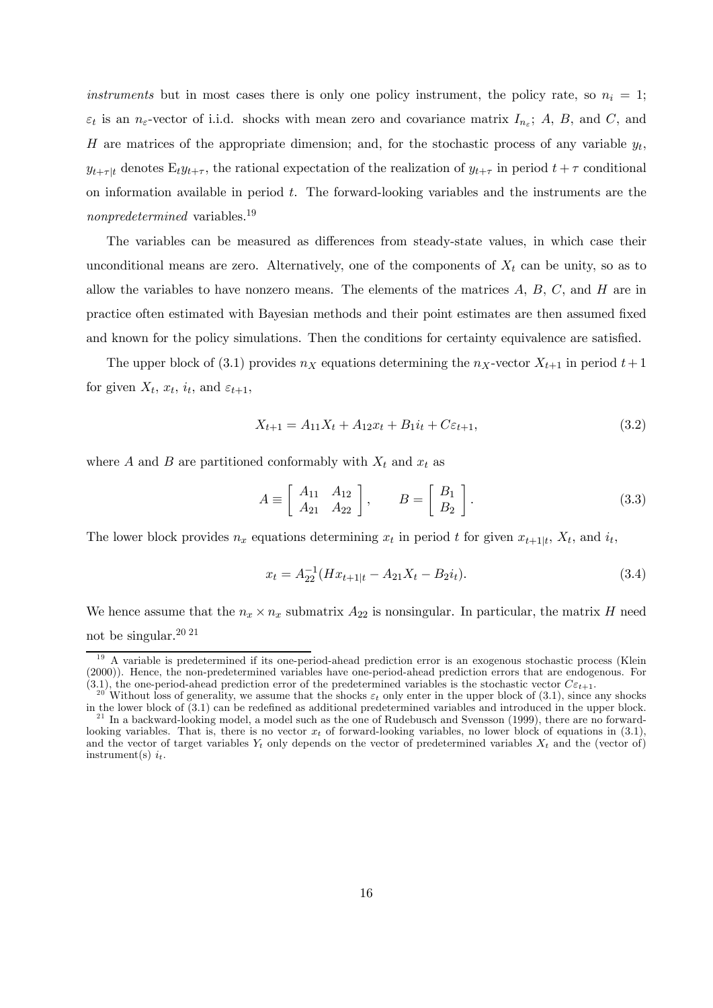*instruments* but in most cases there is only one policy instrument, the policy rate, so  $n_i = 1$ ;  $\varepsilon_t$  is an  $n_{\varepsilon}$ -vector of i.i.d. shocks with mean zero and covariance matrix  $I_{n_{\varepsilon}}$ ; A, B, and C, and H are matrices of the appropriate dimension; and, for the stochastic process of any variable  $y_t$ ,  $y_{t+\tau|t}$  denotes  $E_t y_{t+\tau}$ , the rational expectation of the realization of  $y_{t+\tau}$  in period  $t+\tau$  conditional on information available in period  $t$ . The forward-looking variables and the instruments are the nonpredetermined variables.<sup>19</sup>

The variables can be measured as differences from steady-state values, in which case their unconditional means are zero. Alternatively, one of the components of  $X_t$  can be unity, so as to allow the variables to have nonzero means. The elements of the matrices  $A, B, C$ , and  $H$  are in practice often estimated with Bayesian methods and their point estimates are then assumed fixed and known for the policy simulations. Then the conditions for certainty equivalence are satisfied.

The upper block of (3.1) provides  $n_X$  equations determining the  $n_X$ -vector  $X_{t+1}$  in period  $t+1$ for given  $X_t$ ,  $x_t$ ,  $i_t$ , and  $\varepsilon_{t+1}$ ,

$$
X_{t+1} = A_{11}X_t + A_{12}x_t + B_1i_t + C\varepsilon_{t+1},
$$
\n(3.2)

where A and B are partitioned conformably with  $X_t$  and  $x_t$  as

$$
A \equiv \left[ \begin{array}{cc} A_{11} & A_{12} \\ A_{21} & A_{22} \end{array} \right], \qquad B = \left[ \begin{array}{c} B_1 \\ B_2 \end{array} \right]. \tag{3.3}
$$

The lower block provides  $n_x$  equations determining  $x_t$  in period t for given  $x_{t+1|t}$ ,  $X_t$ , and  $i_t$ ,

$$
x_t = A_{22}^{-1}(Hx_{t+1|t} - A_{21}X_t - B_2i_t).
$$
\n(3.4)

We hence assume that the  $n_x \times n_x$  submatrix  $A_{22}$  is nonsingular. In particular, the matrix H need not be singular.20 21

 $19$  A variable is predetermined if its one-period-ahead prediction error is an exogenous stochastic process (Klein (2000)). Hence, the non-predetermined variables have one-period-ahead prediction errors that are endogenous. For  $(3.1)$ , the one-period-ahead prediction error of the predetermined variables is the stochastic vector  $C\varepsilon_{t+1}$ .<br><sup>20</sup> Without loss of generality, we assume that the shocks  $\varepsilon_t$  only enter in the upper block of (3.1),

in the lower block of  $(3.1)$  can be redefined as additional predetermined variables and introduced in the upper block.<br><sup>21</sup> In a backward-looking model, a model such as the one of Rudebusch and Svensson (1999), there are looking variables. That is, there is no vector  $x_t$  of forward-looking variables, no lower block of equations in (3.1), and the vector of target variables  $Y_t$  only depends on the vector of predetermined variables  $X_t$  and the (vector of) instrument(s)  $i_t$ .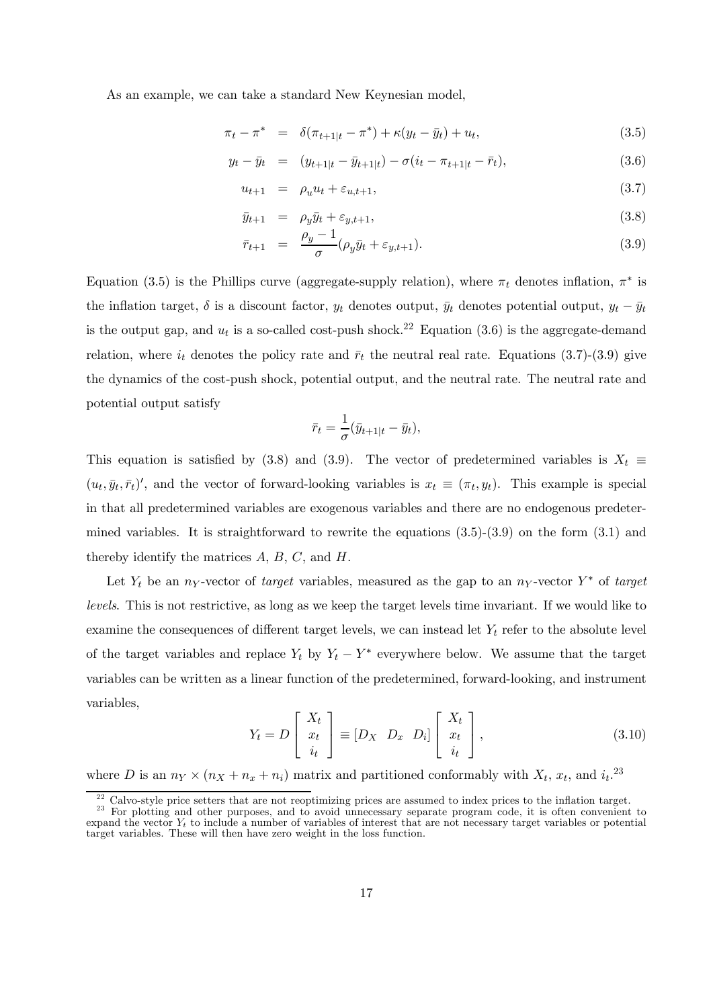As an example, we can take a standard New Keynesian model,

$$
\pi_t - \pi^* = \delta(\pi_{t+1|t} - \pi^*) + \kappa(y_t - \bar{y}_t) + u_t,
$$
\n(3.5)

$$
y_t - \bar{y}_t = (y_{t+1|t} - \bar{y}_{t+1|t}) - \sigma(i_t - \pi_{t+1|t} - \bar{r}_t),
$$
\n(3.6)

$$
u_{t+1} = \rho_u u_t + \varepsilon_{u,t+1}, \tag{3.7}
$$

$$
\bar{y}_{t+1} = \rho_y \bar{y}_t + \varepsilon_{y,t+1},\tag{3.8}
$$

$$
\bar{r}_{t+1} = \frac{\rho_y - 1}{\sigma} (\rho_y \bar{y}_t + \varepsilon_{y,t+1}). \tag{3.9}
$$

Equation (3.5) is the Phillips curve (aggregate-supply relation), where  $\pi_t$  denotes inflation,  $\pi^*$  is the inflation target,  $\delta$  is a discount factor,  $y_t$  denotes output,  $\bar{y}_t$  denotes potential output,  $y_t - \bar{y}_t$ is the output gap, and  $u_t$  is a so-called cost-push shock.<sup>22</sup> Equation (3.6) is the aggregate-demand relation, where  $i_t$  denotes the policy rate and  $\bar{r}_t$  the neutral real rate. Equations (3.7)-(3.9) give the dynamics of the cost-push shock, potential output, and the neutral rate. The neutral rate and potential output satisfy

$$
\bar{r}_t = \frac{1}{\sigma} (\bar{y}_{t+1|t} - \bar{y}_t),
$$

This equation is satisfied by (3.8) and (3.9). The vector of predetermined variables is  $X_t \equiv$  $(u_t, \bar{y}_t, \bar{r}_t)'$ , and the vector of forward-looking variables is  $x_t \equiv (\pi_t, y_t)$ . This example is special in that all predetermined variables are exogenous variables and there are no endogenous predetermined variables. It is straightforward to rewrite the equations  $(3.5)-(3.9)$  on the form  $(3.1)$  and thereby identify the matrices  $A, B, C$ , and  $H$ .

Let  $Y_t$  be an n<sub>y</sub>-vector of target variables, measured as the gap to an n<sub>y</sub>-vector  $Y^*$  of target levels. This is not restrictive, as long as we keep the target levels time invariant. If we would like to examine the consequences of different target levels, we can instead let  $Y_t$  refer to the absolute level of the target variables and replace  $Y_t$  by  $Y_t - Y^*$  everywhere below. We assume that the target variables can be written as a linear function of the predetermined, forward-looking, and instrument variables,

$$
Y_t = D\begin{bmatrix} X_t \\ x_t \\ i_t \end{bmatrix} \equiv \begin{bmatrix} D_X & D_x & D_i \end{bmatrix} \begin{bmatrix} X_t \\ x_t \\ i_t \end{bmatrix},
$$
\n(3.10)

where D is an  $n_Y \times (n_X + n_x + n_i)$  matrix and partitioned conformably with  $X_t$ ,  $x_t$ , and  $i_t$ .<sup>23</sup>

 $\frac{22}{23}$  Calvo-style price setters that are not reoptimizing prices are assumed to index prices to the inflation target.<br><sup>23</sup> For plotting and other purposes, and to avoid unnecessary separate program code, it is often expand the vector  $Y_t$  to include a number of variables of interest that are not necessary target variables or potential target variables. These will then have zero weight in the loss function.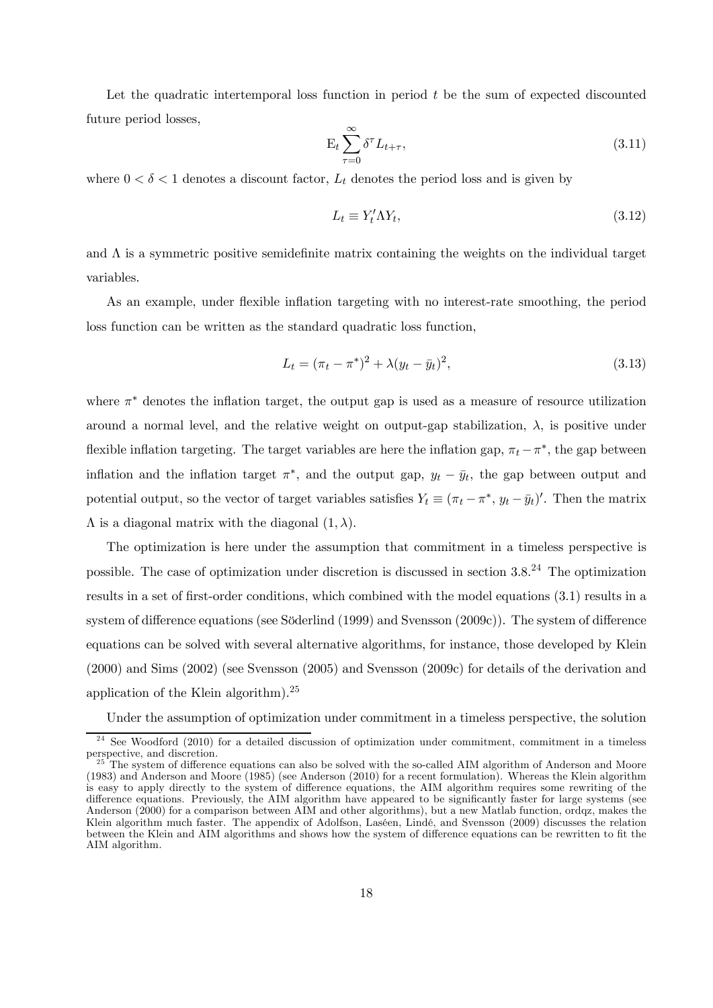Let the quadratic intertemporal loss function in period  $t$  be the sum of expected discounted future period losses,

$$
E_t \sum_{\tau=0}^{\infty} \delta^{\tau} L_{t+\tau}, \tag{3.11}
$$

where  $0 < \delta < 1$  denotes a discount factor,  $L_t$  denotes the period loss and is given by

$$
L_t \equiv Y_t' \Lambda Y_t,\tag{3.12}
$$

and  $\Lambda$  is a symmetric positive semidefinite matrix containing the weights on the individual target variables.

As an example, under flexible inflation targeting with no interest-rate smoothing, the period loss function can be written as the standard quadratic loss function,

$$
L_t = (\pi_t - \pi^*)^2 + \lambda (y_t - \bar{y}_t)^2,
$$
\n(3.13)

where  $\pi^*$  denotes the inflation target, the output gap is used as a measure of resource utilization around a normal level, and the relative weight on output-gap stabilization,  $\lambda$ , is positive under flexible inflation targeting. The target variables are here the inflation gap,  $\pi_t - \pi^*$ , the gap between inflation and the inflation target  $\pi^*$ , and the output gap,  $y_t - \bar{y}_t$ , the gap between output and potential output, so the vector of target variables satisfies  $Y_t \equiv (\pi_t - \pi^*, y_t - \bar{y}_t)'$ . Then the matrix  $\Lambda$  is a diagonal matrix with the diagonal  $(1, \lambda)$ .

The optimization is here under the assumption that commitment in a timeless perspective is possible. The case of optimization under discretion is discussed in section 3.8.24 The optimization results in a set of first-order conditions, which combined with the model equations (3.1) results in a system of difference equations (see Söderlind (1999) and Svensson (2009c)). The system of difference equations can be solved with several alternative algorithms, for instance, those developed by Klein (2000) and Sims (2002) (see Svensson (2005) and Svensson (2009c) for details of the derivation and application of the Klein algorithm).25

Under the assumption of optimization under commitment in a timeless perspective, the solution

 $24$  See Woodford (2010) for a detailed discussion of optimization under commitment, commitment in a timeless perspective, and discretion.<br><sup>25</sup> The system of difference equations can also be solved with the so-called AIM algorithm of Anderson and Moore

<sup>(1983)</sup> and Anderson and Moore (1985) (see Anderson (2010) for a recent formulation). Whereas the Klein algorithm is easy to apply directly to the system of difference equations, the AIM algorithm requires some rewriting of the difference equations. Previously, the AIM algorithm have appeared to be significantly faster for large systems (see Anderson (2000) for a comparison between AIM and other algorithms), but a new Matlab function, ordqz, makes the Klein algorithm much faster. The appendix of Adolfson, Laséen, Lindé, and Svensson (2009) discusses the relation between the Klein and AIM algorithms and shows how the system of difference equations can be rewritten to fit the AIM algorithm.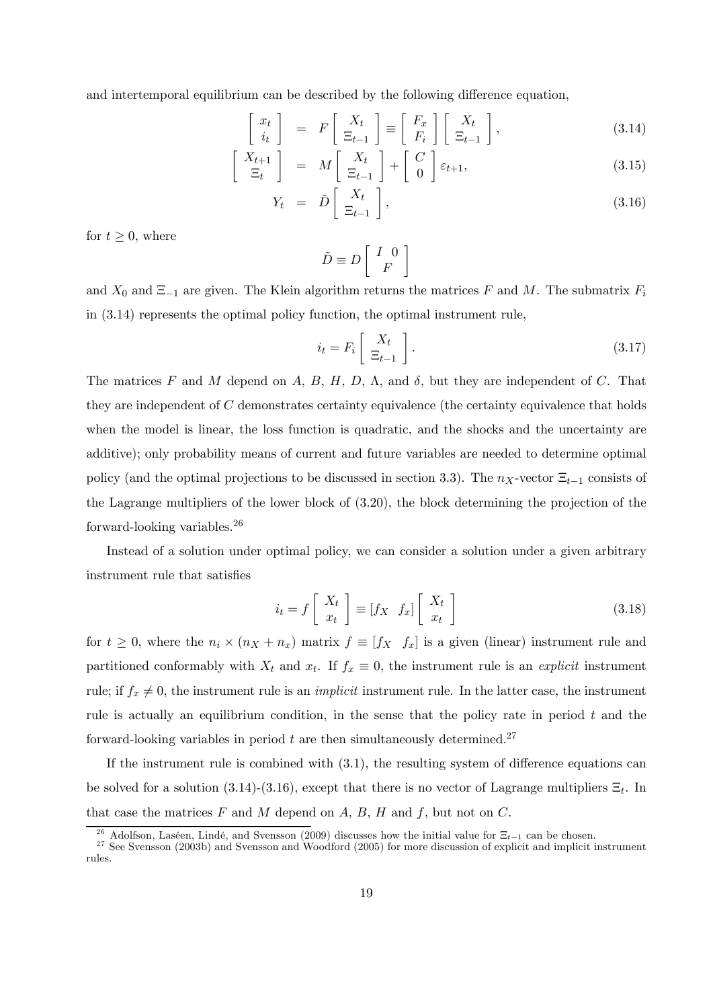and intertemporal equilibrium can be described by the following difference equation,

$$
\begin{bmatrix} x_t \\ i_t \end{bmatrix} = F \begin{bmatrix} X_t \\ \Xi_{t-1} \end{bmatrix} \equiv \begin{bmatrix} F_x \\ F_i \end{bmatrix} \begin{bmatrix} X_t \\ \Xi_{t-1} \end{bmatrix},
$$
\n(3.14)

$$
\left[\begin{array}{c} X_{t+1} \\ \Xi_t \end{array}\right] = M \left[\begin{array}{c} X_t \\ \Xi_{t-1} \end{array}\right] + \left[\begin{array}{c} C \\ 0 \end{array}\right] \varepsilon_{t+1}, \tag{3.15}
$$

$$
Y_t = \tilde{D} \left[ \begin{array}{c} X_t \\ \Xi_{t-1} \end{array} \right], \tag{3.16}
$$

for  $t \geq 0$ , where

$$
\tilde{D}\equiv D\left[\begin{array}{c} I\ \ \, 0\\ F\end{array}\right]
$$

and  $X_0$  and  $\Xi_{-1}$  are given. The Klein algorithm returns the matrices F and M. The submatrix  $F_i$ in (3.14) represents the optimal policy function, the optimal instrument rule,

$$
i_t = F_i \left[ \begin{array}{c} X_t \\ \Xi_{t-1} \end{array} \right]. \tag{3.17}
$$

The matrices F and M depend on A, B, H, D,  $\Lambda$ , and  $\delta$ , but they are independent of C. That they are independent of  $C$  demonstrates certainty equivalence (the certainty equivalence that holds when the model is linear, the loss function is quadratic, and the shocks and the uncertainty are additive); only probability means of current and future variables are needed to determine optimal policy (and the optimal projections to be discussed in section 3.3). The  $n<sub>X</sub>$ -vector  $\Xi_{t-1}$  consists of the Lagrange multipliers of the lower block of (3.20), the block determining the projection of the forward-looking variables.<sup>26</sup>

Instead of a solution under optimal policy, we can consider a solution under a given arbitrary instrument rule that satisfies

$$
i_t = f\left[\begin{array}{c} X_t \\ x_t \end{array}\right] \equiv [f_X \ f_x] \left[\begin{array}{c} X_t \\ x_t \end{array}\right]
$$
 (3.18)

for  $t \geq 0$ , where the  $n_i \times (n_X + n_x)$  matrix  $f \equiv [f_X \quad f_x]$  is a given (linear) instrument rule and partitioned conformably with  $X_t$  and  $x_t$ . If  $f_x \equiv 0$ , the instrument rule is an *explicit* instrument rule; if  $f_x \neq 0$ , the instrument rule is an *implicit* instrument rule. In the latter case, the instrument rule is actually an equilibrium condition, in the sense that the policy rate in period  $t$  and the forward-looking variables in period  $t$  are then simultaneously determined.<sup>27</sup>

If the instrument rule is combined with (3.1), the resulting system of difference equations can be solved for a solution (3.14)-(3.16), except that there is no vector of Lagrange multipliers  $\Xi_t$ . In that case the matrices  $F$  and  $M$  depend on  $A, B, H$  and  $f$ , but not on  $C$ .

<sup>&</sup>lt;sup>26</sup> Adolfson, Laséen, Lindé, and Svensson (2009) discusses how the initial value for  $\Xi_{t-1}$  can be chosen. <sup>27</sup> See Svensson (2003b) and Svensson and Woodford (2005) for more discussion of explicit and implicit instru rules.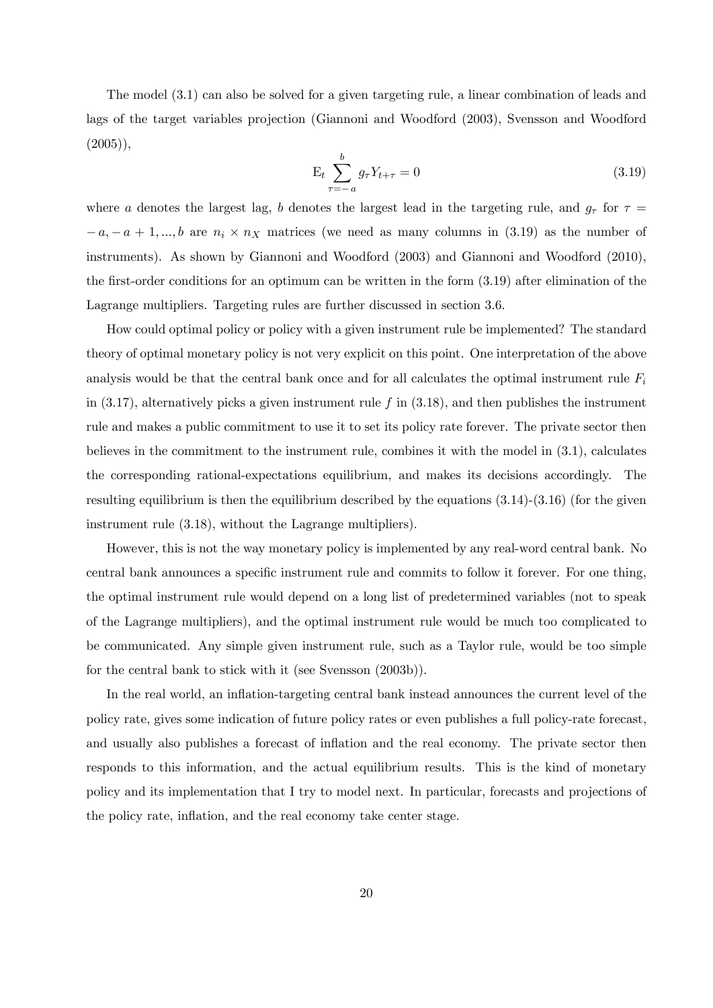The model (3.1) can also be solved for a given targeting rule, a linear combination of leads and lags of the target variables projection (Giannoni and Woodford (2003), Svensson and Woodford  $(2005)$ ,

$$
E_t \sum_{\tau=-a}^{b} g_{\tau} Y_{t+\tau} = 0 \tag{3.19}
$$

where *a* denotes the largest lag, *b* denotes the largest lead in the targeting rule, and  $g<sub>\tau</sub>$  for  $\tau$  =  $-a, -a+1, \ldots, b$  are  $n_i \times n_X$  matrices (we need as many columns in (3.19) as the number of instruments). As shown by Giannoni and Woodford (2003) and Giannoni and Woodford (2010), the first-order conditions for an optimum can be written in the form (3.19) after elimination of the Lagrange multipliers. Targeting rules are further discussed in section 3.6.

How could optimal policy or policy with a given instrument rule be implemented? The standard theory of optimal monetary policy is not very explicit on this point. One interpretation of the above analysis would be that the central bank once and for all calculates the optimal instrument rule  $F_i$ in  $(3.17)$ , alternatively picks a given instrument rule f in  $(3.18)$ , and then publishes the instrument rule and makes a public commitment to use it to set its policy rate forever. The private sector then believes in the commitment to the instrument rule, combines it with the model in (3.1), calculates the corresponding rational-expectations equilibrium, and makes its decisions accordingly. The resulting equilibrium is then the equilibrium described by the equations (3.14)-(3.16) (for the given instrument rule (3.18), without the Lagrange multipliers).

However, this is not the way monetary policy is implemented by any real-word central bank. No central bank announces a specific instrument rule and commits to follow it forever. For one thing, the optimal instrument rule would depend on a long list of predetermined variables (not to speak of the Lagrange multipliers), and the optimal instrument rule would be much too complicated to be communicated. Any simple given instrument rule, such as a Taylor rule, would be too simple for the central bank to stick with it (see Svensson (2003b)).

In the real world, an inflation-targeting central bank instead announces the current level of the policy rate, gives some indication of future policy rates or even publishes a full policy-rate forecast, and usually also publishes a forecast of inflation and the real economy. The private sector then responds to this information, and the actual equilibrium results. This is the kind of monetary policy and its implementation that I try to model next. In particular, forecasts and projections of the policy rate, inflation, and the real economy take center stage.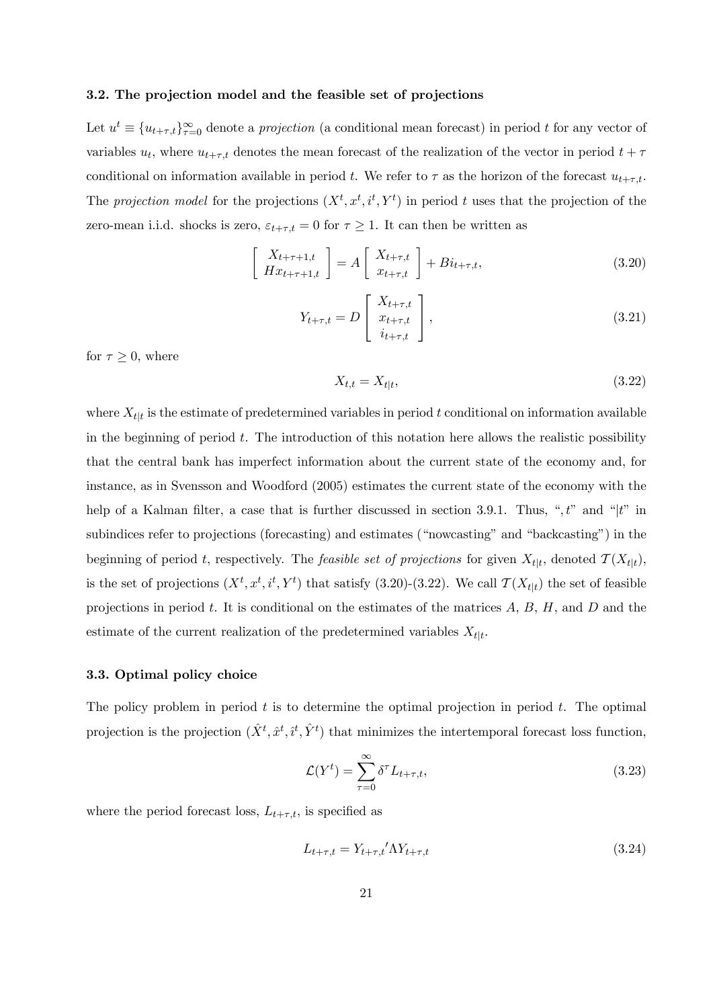#### 3.2. The projection model and the feasible set of projections

Let  $u^t \equiv \{u_{t+\tau,t}\}_{\tau=0}^{\infty}$  denote a *projection* (a conditional mean forecast) in period t for any vector of variables  $u_t$ , where  $u_{t+\tau,t}$  denotes the mean forecast of the realization of the vector in period  $t+\tau$ conditional on information available in period t. We refer to  $\tau$  as the horizon of the forecast  $u_{t+\tau,t}$ . The projection model for the projections  $(X^t, x^t, i^t, Y^t)$  in period t uses that the projection of the zero-mean i.i.d. shocks is zero,  $\varepsilon_{t+\tau,t} = 0$  for  $\tau \geq 1$ . It can then be written as

$$
\begin{bmatrix} X_{t+\tau+1,t} \\ Hx_{t+\tau+1,t} \end{bmatrix} = A \begin{bmatrix} X_{t+\tau,t} \\ x_{t+\tau,t} \end{bmatrix} + Bi_{t+\tau,t},
$$
\n(3.20)

$$
Y_{t+\tau,t} = D\left[\begin{array}{c} X_{t+\tau,t} \\ x_{t+\tau,t} \\ i_{t+\tau,t} \end{array}\right],
$$
\n(3.21)

for  $\tau \geq 0$ , where

$$
X_{t,t} = X_{t|t},\tag{3.22}
$$

where  $X_{t|t}$  is the estimate of predetermined variables in period  $t$  conditional on information available in the beginning of period  $t$ . The introduction of this notation here allows the realistic possibility that the central bank has imperfect information about the current state of the economy and, for instance, as in Svensson and Woodford (2005) estimates the current state of the economy with the help of a Kalman filter, a case that is further discussed in section 3.9.1. Thus, ", $t$ " and "| $t$ " in subindices refer to projections (forecasting) and estimates ("nowcasting" and "backcasting") in the beginning of period t, respectively. The feasible set of projections for given  $X_{t|t}$ , denoted  $\mathcal{T}(X_{t|t})$ , is the set of projections  $(X^t, x^t, i^t, Y^t)$  that satisfy (3.20)-(3.22). We call  $\mathcal{T}(X_{t|t})$  the set of feasible projections in period  $t$ . It is conditional on the estimates of the matrices  $A, B, H$ , and  $D$  and the estimate of the current realization of the predetermined variables  $X_{t|t}$ .

## 3.3. Optimal policy choice

The policy problem in period  $t$  is to determine the optimal projection in period  $t$ . The optimal projection is the projection  $(\hat{X}^t, \hat{x}^t, \hat{i}^t, \hat{Y}^t)$  that minimizes the intertemporal forecast loss function,

$$
\mathcal{L}(Y^t) = \sum_{\tau=0}^{\infty} \delta^{\tau} L_{t+\tau,t},
$$
\n(3.23)

where the period forecast loss,  $L_{t+\tau,t}$ , is specified as

$$
L_{t+\tau,t} = Y_{t+\tau,t} \Lambda Y_{t+\tau,t} \tag{3.24}
$$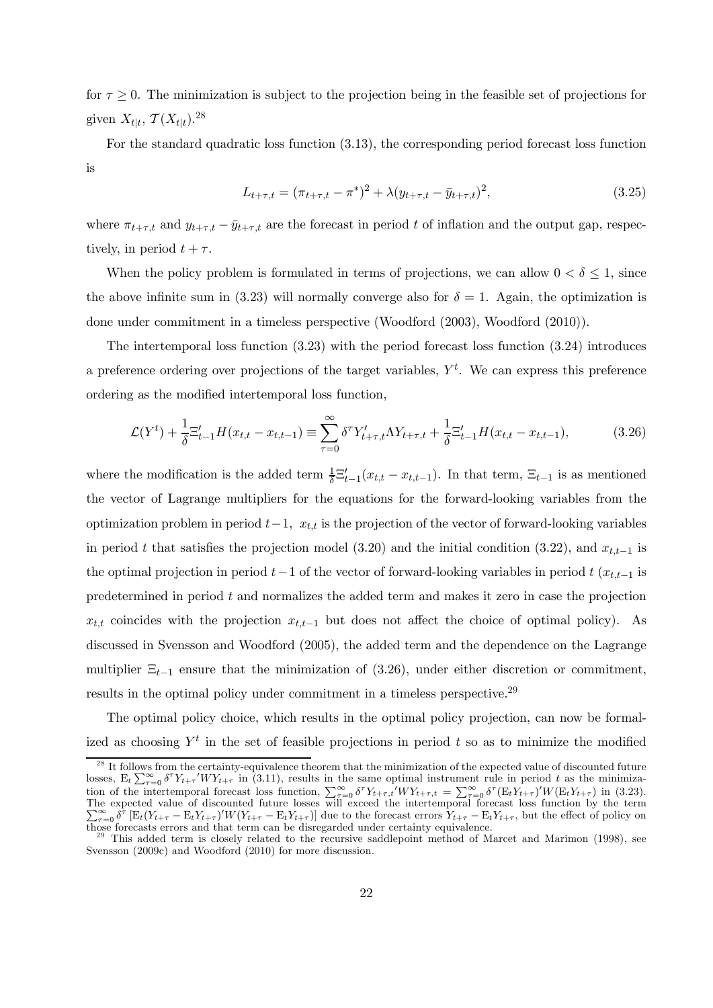for  $\tau \geq 0$ . The minimization is subject to the projection being in the feasible set of projections for given  $X_{t|t}$ ,  $\mathcal{T}(X_{t|t})$ .<sup>28</sup>

For the standard quadratic loss function (3.13), the corresponding period forecast loss function is

$$
L_{t+\tau,t} = (\pi_{t+\tau,t} - \pi^*)^2 + \lambda (y_{t+\tau,t} - \bar{y}_{t+\tau,t})^2,
$$
\n(3.25)

where  $\pi_{t+\tau,t}$  and  $y_{t+\tau,t} - \bar{y}_{t+\tau,t}$  are the forecast in period t of inflation and the output gap, respectively, in period  $t + \tau$ .

When the policy problem is formulated in terms of projections, we can allow  $0 < \delta \leq 1$ , since the above infinite sum in (3.23) will normally converge also for  $\delta = 1$ . Again, the optimization is done under commitment in a timeless perspective (Woodford (2003), Woodford (2010)).

The intertemporal loss function (3.23) with the period forecast loss function (3.24) introduces a preference ordering over projections of the target variables,  $Y<sup>t</sup>$ . We can express this preference ordering as the modified intertemporal loss function,

$$
\mathcal{L}(Y^t) + \frac{1}{\delta} \Xi'_{t-1} H(x_{t,t} - x_{t,t-1}) \equiv \sum_{\tau=0}^{\infty} \delta^{\tau} Y'_{t+\tau,t} \Lambda Y_{t+\tau,t} + \frac{1}{\delta} \Xi'_{t-1} H(x_{t,t} - x_{t,t-1}), \tag{3.26}
$$

where the modification is the added term  $\frac{1}{\delta} \Xi'_{t-1}(x_{t,t} - x_{t,t-1})$ . In that term,  $\Xi_{t-1}$  is as mentioned the vector of Lagrange multipliers for the equations for the forward-looking variables from the optimization problem in period  $t-1$ ,  $x_{t,t}$  is the projection of the vector of forward-looking variables in period t that satisfies the projection model (3.20) and the initial condition (3.22), and  $x_{t,t-1}$  is the optimal projection in period  $t-1$  of the vector of forward-looking variables in period  $t$  ( $x_{t,t-1}$  is predetermined in period  $t$  and normalizes the added term and makes it zero in case the projection  $x_{t,t}$  coincides with the projection  $x_{t,t-1}$  but does not affect the choice of optimal policy). As discussed in Svensson and Woodford (2005), the added term and the dependence on the Lagrange multiplier  $\Xi_{t-1}$  ensure that the minimization of (3.26), under either discretion or commitment, results in the optimal policy under commitment in a timeless perspective.<sup>29</sup>

The optimal policy choice, which results in the optimal policy projection, can now be formalized as choosing  $Y^t$  in the set of feasible projections in period  $t$  so as to minimize the modified

<sup>&</sup>lt;sup>28</sup> It follows from the certainty-equivalence theorem that the minimization of the expected value of discounted future losses,  $E_t \sum_{\tau=0}^{\infty} \delta^{\tau} Y_{t+\tau} W Y_{t+\tau}$  in (3.11), results in the same optimal instrument rule in period t as the minimization of the intertemporal forecast loss function,  $\sum_{\tau=0}^{\infty} \delta^{\tau} Y_{t+\tau,t} W Y_{t+\tau,t} = \sum_{\tau=0}^{\infty} \delta^{\tau} (E_t Y_{t+\tau})' W (E_t Y_{t+\tau})$  in (3.23). The expected value of discounted future losses will exce ed the intertemporal forecast loss function by the term  $\sum_{\tau=0}^{\infty} \delta^{\tau} \left[ \mathbf{E}_{t}(Y_{t+\tau}-\mathbf{E}_{t}Y_{t+\tau})'W(Y_{t+\tau}-\mathbf{E}_{t}Y_{t+\tau}) \right]$  due to the forecast errors  $Y_{t+\tau}-\mathbf{E}_{t}Y_{t+\tau}$ , but the effect of policy on

those forecasts errors and that term can be disregarded under certainty equivalence.<br><sup>29</sup> This added term is closely related to the recursive saddlepoint method of Marcet and Marimon (1998), see Svensson (2009c) and Woodford (2010) for more discussion.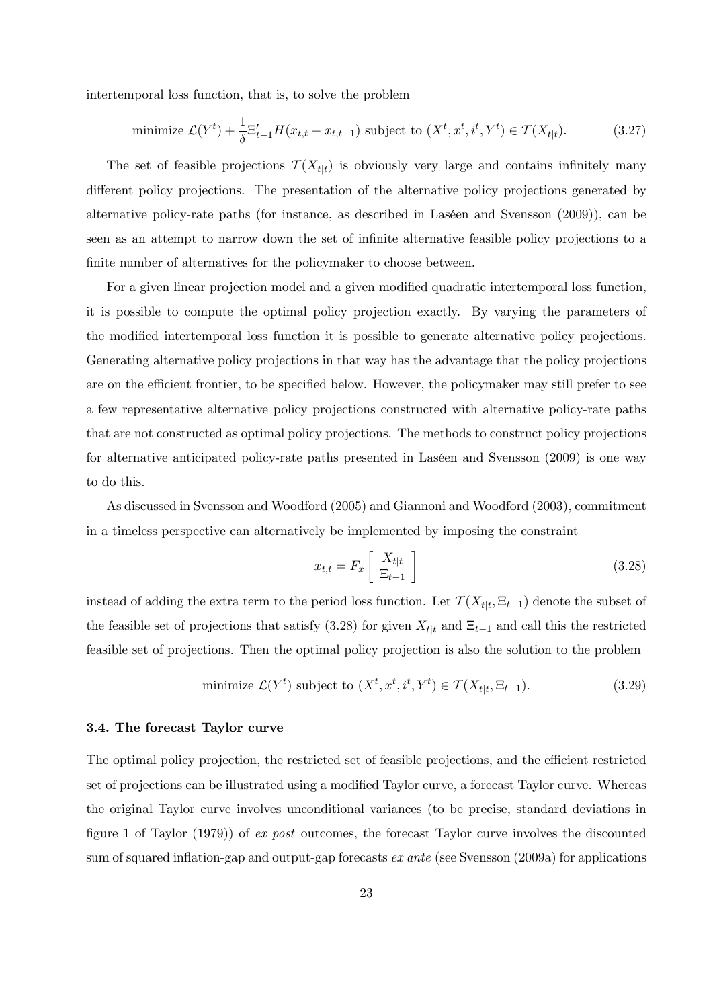intertemporal loss function, that is, to solve the problem

minimize 
$$
\mathcal{L}(Y^t) + \frac{1}{\delta} \Xi'_{t-1} H(x_{t,t} - x_{t,t-1})
$$
 subject to  $(X^t, x^t, i^t, Y^t) \in \mathcal{T}(X_{t|t})$ . (3.27)

The set of feasible projections  $\mathcal{T}(X_{t|t})$  is obviously very large and contains infinitely many different policy projections. The presentation of the alternative policy projections generated by alternative policy-rate paths (for instance, as described in Laséen and Svensson (2009)), can be seen as an attempt to narrow down the set of infinite alternative feasible policy projections to a finite number of alternatives for the policymaker to choose between.

For a given linear projection model and a given modified quadratic intertemporal loss function, it is possible to compute the optimal policy projection exactly. By varying the parameters of the modified intertemporal loss function it is possible to generate alternative policy projections. Generating alternative policy projections in that way has the advantage that the policy projections are on the efficient frontier, to be specified below. However, the policymaker may still prefer to see a few representative alternative policy projections constructed with alternative policy-rate paths that are not constructed as optimal policy projections. The methods to construct policy projections for alternative anticipated policy-rate paths presented in Laséen and Svensson (2009) is one way to do this.

As discussed in Svensson and Woodford (2005) and Giannoni and Woodford (2003), commitment in a timeless perspective can alternatively be implemented by imposing the constraint

$$
x_{t,t} = F_x \left[ \begin{array}{c} X_{t|t} \\ \Xi_{t-1} \end{array} \right] \tag{3.28}
$$

instead of adding the extra term to the period loss function. Let  $\mathcal{T}(X_{t|t}, \Xi_{t-1})$  denote the subset of the feasible set of projections that satisfy (3.28) for given  $X_{t|t}$  and  $\Xi_{t-1}$  and call this the restricted feasible set of projections. Then the optimal policy projection is also the solution to the problem

minimize 
$$
\mathcal{L}(Y^t)
$$
 subject to  $(X^t, x^t, i^t, Y^t) \in \mathcal{T}(X_{t|t}, \Xi_{t-1}).$  (3.29)

## 3.4. The forecast Taylor curve

The optimal policy projection, the restricted set of feasible projections, and the efficient restricted set of projections can be illustrated using a modified Taylor curve, a forecast Taylor curve. Whereas the original Taylor curve involves unconditional variances (to be precise, standard deviations in figure 1 of Taylor (1979)) of ex post outcomes, the forecast Taylor curve involves the discounted sum of squared inflation-gap and output-gap forecasts ex ante (see Svensson (2009a) for applications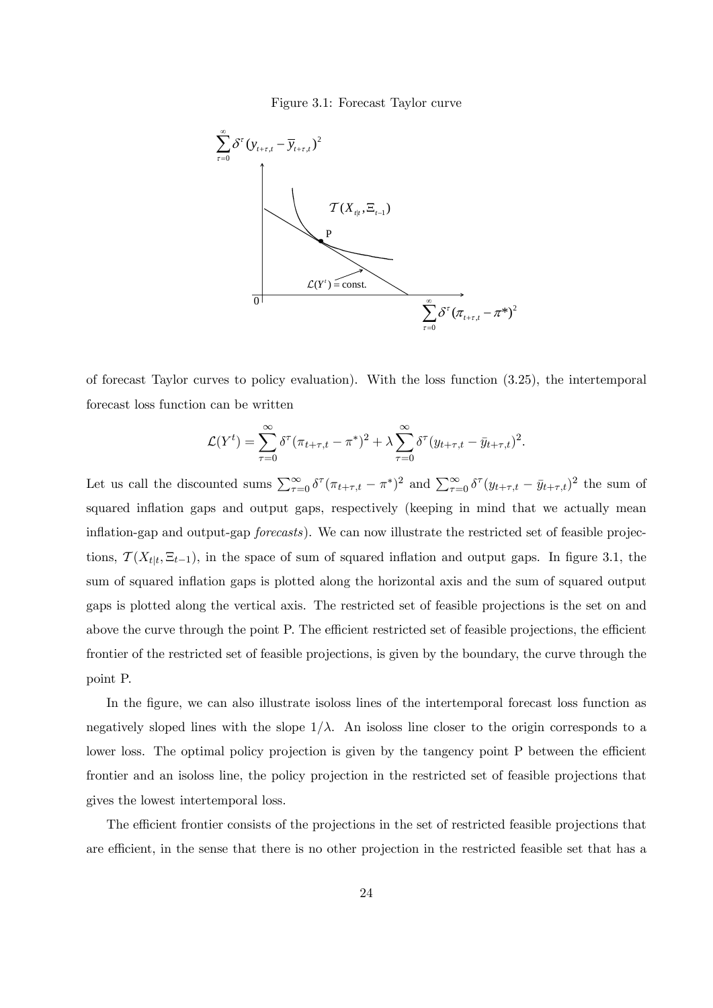Figure 3.1: Forecast Taylor curve



of forecast Taylor curves to policy evaluation). With the loss function (3.25), the intertemporal forecast loss function can be written

$$
\mathcal{L}(Y^t) = \sum_{\tau=0}^{\infty} \delta^{\tau} (\pi_{t+\tau,t} - \pi^*)^2 + \lambda \sum_{\tau=0}^{\infty} \delta^{\tau} (y_{t+\tau,t} - \bar{y}_{t+\tau,t})^2.
$$

Let us call the discounted sums  $\sum_{\tau=0}^{\infty} \delta^{\tau} (\pi_{t+\tau,t} - \pi^*)^2$  and  $\sum_{\tau=0}^{\infty} \delta^{\tau} (y_{t+\tau,t} - \bar{y}_{t+\tau,t})^2$  the sum of squared inflation gaps and output gaps, respectively (keeping in mind that we actually mean inflation-gap and output-gap forecasts). We can now illustrate the restricted set of feasible projections,  $\mathcal{T}(X_{t|t}, \Xi_{t-1})$ , in the space of sum of squared inflation and output gaps. In figure 3.1, the sum of squared inflation gaps is plotted along the horizontal axis and the sum of squared output gaps is plotted along the vertical axis. The restricted set of feasible projections is the set on and above the curve through the point P. The efficient restricted set of feasible projections, the efficient frontier of the restricted set of feasible projections, is given by the boundary, the curve through the point P.

In the figure, we can also illustrate isoloss lines of the intertemporal forecast loss function as negatively sloped lines with the slope  $1/\lambda$ . An isoloss line closer to the origin corresponds to a lower loss. The optimal policy projection is given by the tangency point P between the efficient frontier and an isoloss line, the policy projection in the restricted set of feasible projections that gives the lowest intertemporal loss.

The efficient frontier consists of the projections in the set of restricted feasible projections that are efficient, in the sense that there is no other projection in the restricted feasible set that has a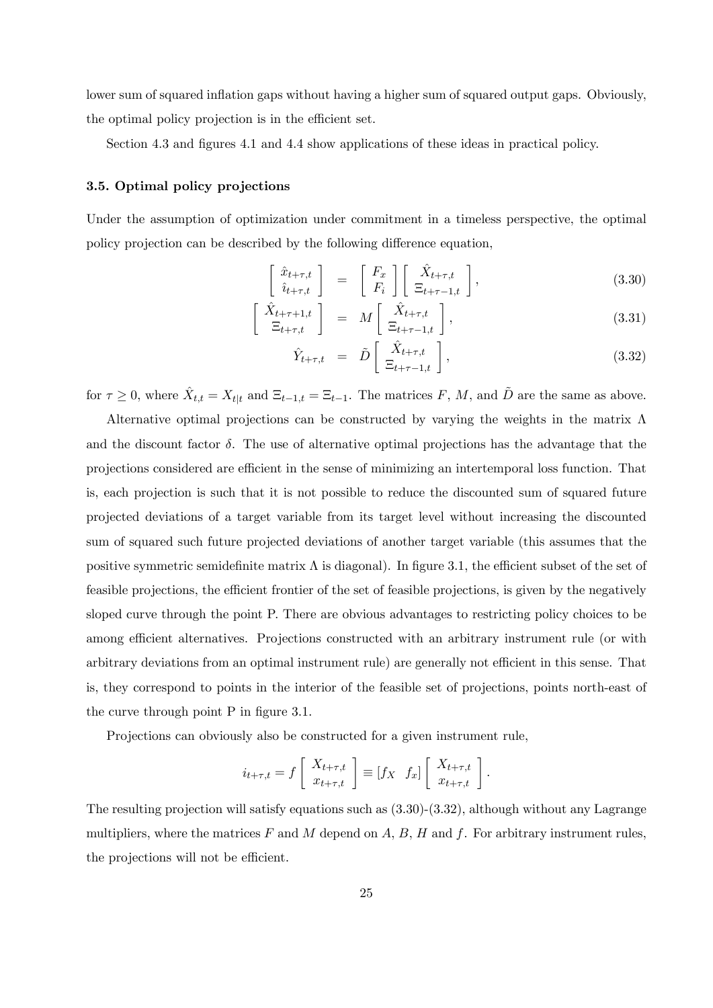lower sum of squared inflation gaps without having a higher sum of squared output gaps. Obviously, the optimal policy projection is in the efficient set.

Section 4.3 and figures 4.1 and 4.4 show applications of these ideas in practical policy.

## 3.5. Optimal policy projections

Under the assumption of optimization under commitment in a timeless perspective, the optimal policy projection can be described by the following difference equation,

$$
\begin{bmatrix}\n\hat{x}_{t+\tau,t} \\
\hat{i}_{t+\tau,t}\n\end{bmatrix} = \begin{bmatrix}\nF_x \\
F_i\n\end{bmatrix} \begin{bmatrix}\n\hat{X}_{t+\tau,t} \\
\Xi_{t+\tau-1,t}\n\end{bmatrix},
$$
\n(3.30)

$$
\begin{bmatrix}\n\hat{X}_{t+\tau+1,t} \\
\Xi_{t+\tau,t}\n\end{bmatrix} = M \begin{bmatrix}\n\hat{X}_{t+\tau,t} \\
\Xi_{t+\tau-1,t}\n\end{bmatrix},
$$
\n(3.31)

$$
\hat{Y}_{t+\tau,t} = \tilde{D} \left[ \begin{array}{c} \hat{X}_{t+\tau,t} \\ \Xi_{t+\tau-1,t} \end{array} \right],
$$
\n(3.32)

for  $\tau \geq 0$ , where  $\hat{X}_{t,t} = X_{t|t}$  and  $\Xi_{t-1,t} = \Xi_{t-1}$ . The matrices F, M, and  $\tilde{D}$  are the same as above.

Alternative optimal projections can be constructed by varying the weights in the matrix Λ and the discount factor  $\delta$ . The use of alternative optimal projections has the advantage that the projections considered are efficient in the sense of minimizing an intertemporal loss function. That is, each projection is such that it is not possible to reduce the discounted sum of squared future projected deviations of a target variable from its target level without increasing the discounted sum of squared such future projected deviations of another target variable (this assumes that the positive symmetric semidefinite matrix  $\Lambda$  is diagonal). In figure 3.1, the efficient subset of the set of feasible projections, the efficient frontier of the set of feasible projections, is given by the negatively sloped curve through the point P. There are obvious advantages to restricting policy choices to be among efficient alternatives. Projections constructed with an arbitrary instrument rule (or with arbitrary deviations from an optimal instrument rule) are generally not efficient in this sense. That is, they correspond to points in the interior of the feasible set of projections, points north-east of the curve through point P in figure 3.1.

Projections can obviously also be constructed for a given instrument rule,

$$
i_{t+\tau,t} = f\left[\begin{array}{c} X_{t+\tau,t} \\ x_{t+\tau,t} \end{array}\right] \equiv [f_X \ f_x] \left[\begin{array}{c} X_{t+\tau,t} \\ x_{t+\tau,t} \end{array}\right].
$$

The resulting projection will satisfy equations such as  $(3.30)-(3.32)$ , although without any Lagrange multipliers, where the matrices  $F$  and  $M$  depend on  $A, B, H$  and  $f$ . For arbitrary instrument rules, the projections will not be efficient.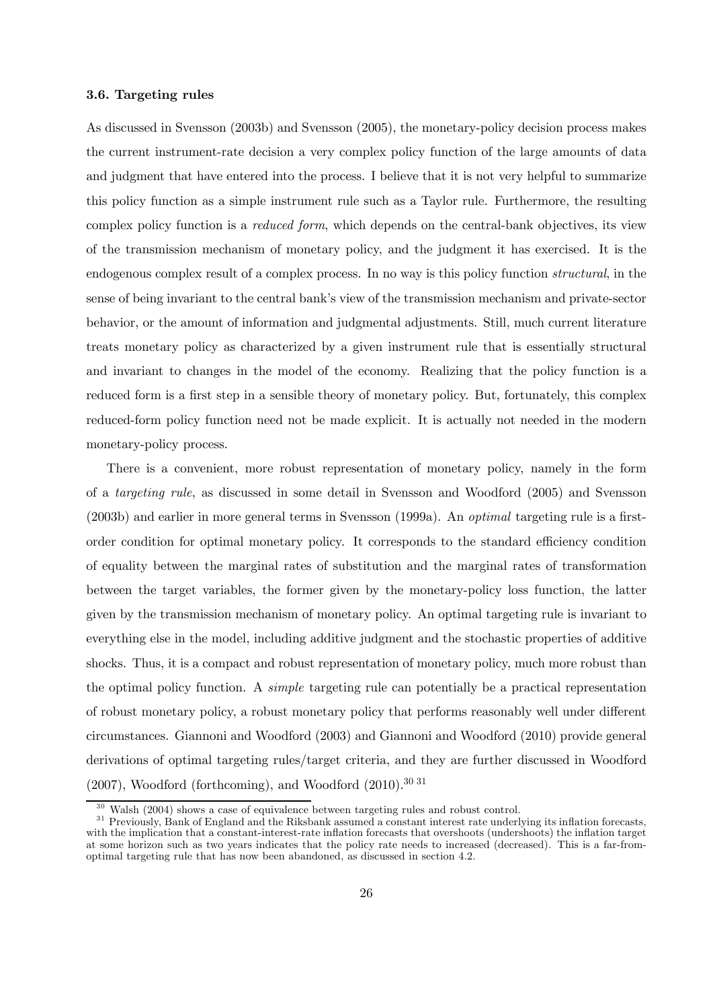### 3.6. Targeting rules

As discussed in Svensson (2003b) and Svensson (2005), the monetary-policy decision process makes the current instrument-rate decision a very complex policy function of the large amounts of data and judgment that have entered into the process. I believe that it is not very helpful to summarize this policy function as a simple instrument rule such as a Taylor rule. Furthermore, the resulting complex policy function is a reduced form, which depends on the central-bank objectives, its view of the transmission mechanism of monetary policy, and the judgment it has exercised. It is the endogenous complex result of a complex process. In no way is this policy function structural, in the sense of being invariant to the central bank's view of the transmission mechanism and private-sector behavior, or the amount of information and judgmental adjustments. Still, much current literature treats monetary policy as characterized by a given instrument rule that is essentially structural and invariant to changes in the model of the economy. Realizing that the policy function is a reduced form is a first step in a sensible theory of monetary policy. But, fortunately, this complex reduced-form policy function need not be made explicit. It is actually not needed in the modern monetary-policy process.

There is a convenient, more robust representation of monetary policy, namely in the form of a targeting rule, as discussed in some detail in Svensson and Woodford (2005) and Svensson (2003b) and earlier in more general terms in Svensson (1999a). An optimal targeting rule is a firstorder condition for optimal monetary policy. It corresponds to the standard efficiency condition of equality between the marginal rates of substitution and the marginal rates of transformation between the target variables, the former given by the monetary-policy loss function, the latter given by the transmission mechanism of monetary policy. An optimal targeting rule is invariant to everything else in the model, including additive judgment and the stochastic properties of additive shocks. Thus, it is a compact and robust representation of monetary policy, much more robust than the optimal policy function. A simple targeting rule can potentially be a practical representation of robust monetary policy, a robust monetary policy that performs reasonably well under different circumstances. Giannoni and Woodford (2003) and Giannoni and Woodford (2010) provide general derivations of optimal targeting rules/target criteria, and they are further discussed in Woodford  $(2007)$ , Woodford (forthcoming), and Woodford  $(2010)$ .<sup>30 31</sup>

 $30$  Walsh (2004) shows a case of equivalence between targeting rules and robust control.<br> $31$  Previously, Bank of England and the Riksbank assumed a constant interest rate underlying its inflation forecasts, with the implication that a constant-interest-rate inflation forecasts that overshoots (undershoots) the inflation target at some horizon such as two years indicates that the policy rate needs to increased (decreased). This is a far-fromoptimal targeting rule that has now been abandoned, as discussed in section 4.2.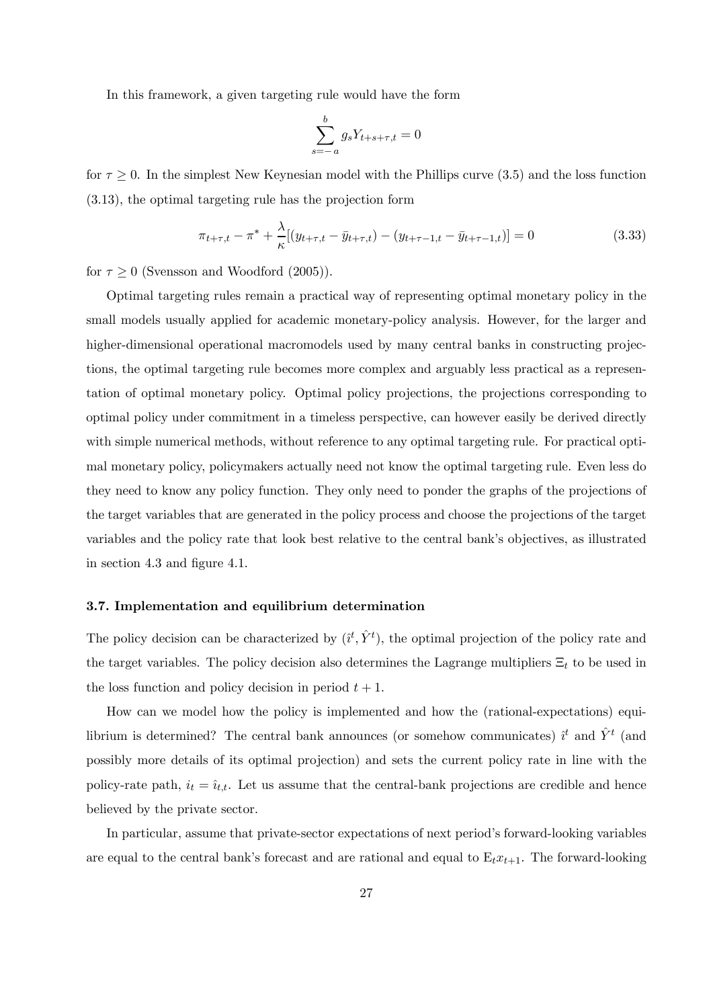In this framework, a given targeting rule would have the form

$$
\sum_{s=-a}^{b} g_s Y_{t+s+\tau,t} = 0
$$

for  $\tau \geq 0$ . In the simplest New Keynesian model with the Phillips curve (3.5) and the loss function (3.13), the optimal targeting rule has the projection form

$$
\pi_{t+\tau,t} - \pi^* + \frac{\lambda}{\kappa} [(y_{t+\tau,t} - \bar{y}_{t+\tau,t}) - (y_{t+\tau-1,t} - \bar{y}_{t+\tau-1,t})] = 0 \tag{3.33}
$$

for  $\tau \geq 0$  (Svensson and Woodford (2005)).

Optimal targeting rules remain a practical way of representing optimal monetary policy in the small models usually applied for academic monetary-policy analysis. However, for the larger and higher-dimensional operational macromodels used by many central banks in constructing projections, the optimal targeting rule becomes more complex and arguably less practical as a representation of optimal monetary policy. Optimal policy projections, the projections corresponding to optimal policy under commitment in a timeless perspective, can however easily be derived directly with simple numerical methods, without reference to any optimal targeting rule. For practical optimal monetary policy, policymakers actually need not know the optimal targeting rule. Even less do they need to know any policy function. They only need to ponder the graphs of the projections of the target variables that are generated in the policy process and choose the projections of the target variables and the policy rate that look best relative to the central bank's objectives, as illustrated in section 4.3 and figure 4.1.

#### 3.7. Implementation and equilibrium determination

The policy decision can be characterized by  $(\hat{i}^t, \hat{Y}^t)$ , the optimal projection of the policy rate and the target variables. The policy decision also determines the Lagrange multipliers  $\Xi_t$  to be used in the loss function and policy decision in period  $t + 1$ .

How can we model how the policy is implemented and how the (rational-expectations) equilibrium is determined? The central bank announces (or somehow communicates)  $\hat{i}^t$  and  $\hat{Y}^t$  (and possibly more details of its optimal projection) and sets the current policy rate in line with the policy-rate path,  $i_t = \hat{i}_{t,t}$ . Let us assume that the central-bank projections are credible and hence believed by the private sector.

In particular, assume that private-sector expectations of next period's forward-looking variables are equal to the central bank's forecast and are rational and equal to  $E_t x_{t+1}$ . The forward-looking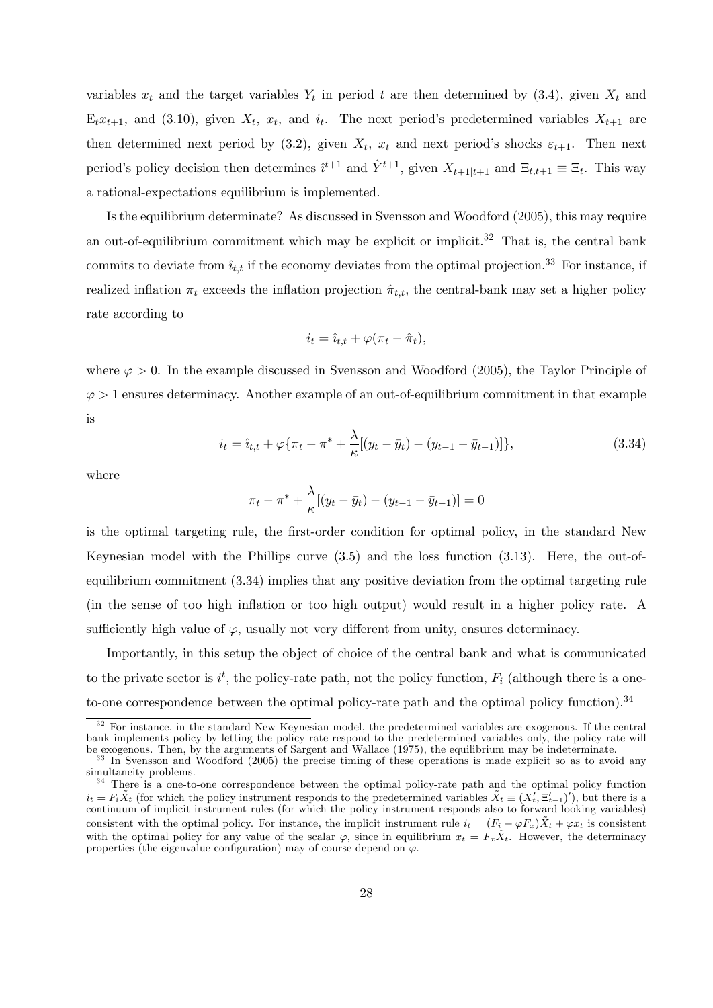variables  $x_t$  and the target variables  $Y_t$  in period t are then determined by (3.4), given  $X_t$  and  $E_t x_{t+1}$ , and (3.10), given  $X_t$ ,  $x_t$ , and  $i_t$ . The next period's predetermined variables  $X_{t+1}$  are then determined next period by (3.2), given  $X_t$ ,  $x_t$  and next period's shocks  $\varepsilon_{t+1}$ . Then next period's policy decision then determines  $i^{t+1}$  and  $\hat{Y}^{t+1}$ , given  $X_{t+1|t+1}$  and  $\Xi_{t,t+1} \equiv \Xi_t$ . This way a rational-expectations equilibrium is implemented.

Is the equilibrium determinate? As discussed in Svensson and Woodford (2005), this may require an out-of-equilibrium commitment which may be explicit or implicit.<sup>32</sup> That is, the central bank commits to deviate from  $\hat{u}_{t,t}$  if the economy deviates from the optimal projection.<sup>33</sup> For instance, if realized inflation  $\pi_t$  exceeds the inflation projection  $\hat{\pi}_{t,t}$ , the central-bank may set a higher policy rate according to

$$
i_t = \hat{i}_{t,t} + \varphi(\pi_t - \hat{\pi}_t),
$$

where  $\varphi > 0$ . In the example discussed in Svensson and Woodford (2005), the Taylor Principle of  $\varphi > 1$  ensures determinacy. Another example of an out-of-equilibrium commitment in that example is

$$
i_t = \hat{i}_{t,t} + \varphi \{ \pi_t - \pi^* + \frac{\lambda}{\kappa} [(y_t - \bar{y}_t) - (y_{t-1} - \bar{y}_{t-1})] \},\tag{3.34}
$$

where

$$
\pi_t - \pi^* + \frac{\lambda}{\kappa} [(y_t - \bar{y}_t) - (y_{t-1} - \bar{y}_{t-1})] = 0
$$

is the optimal targeting rule, the first-order condition for optimal policy, in the standard New Keynesian model with the Phillips curve (3.5) and the loss function (3.13). Here, the out-ofequilibrium commitment (3.34) implies that any positive deviation from the optimal targeting rule (in the sense of too high inflation or too high output) would result in a higher policy rate. A sufficiently high value of  $\varphi$ , usually not very different from unity, ensures determinacy.

Importantly, in this setup the object of choice of the central bank and what is communicated to the private sector is  $i^t$ , the policy-rate path, not the policy function,  $F_i$  (although there is a oneto-one correspondence between the optimal policy-rate path and the optimal policy function).<sup>34</sup>

<sup>&</sup>lt;sup>32</sup> For instance, in the standard New Keynesian model, the predetermined variables are exogenous. If the central bank implements policy by letting the policy rate respond to the predetermined variables only, the policy rate will be exogenous. Then, by the arguments of Sargent and Wallace  $(1975)$ , the equilibrium may be indeterminate.<br><sup>33</sup> In Svensson and Woodford (2005) the precise timing of these operations is made explicit so as to avoid any

simultaneity problems.<br><sup>34</sup> There is a one-to-one correspondence between the optimal policy-rate path and the optimal policy function

 $i_t = F_i \tilde{X}_t$  (for which the policy instrument responds to the predetermined variables  $\tilde{X}_t \equiv (X'_t, \Xi'_{t-1})'$ ), but there is a continuum of implicit instrument rules (for which the policy instrument responds also to forward-looking variables) consistent with the optimal policy. For instance, the implicit instrument rule  $i_t = (F_i - \varphi F_x) \tilde{X}_t + \varphi x_t$  is consistent with the optimal policy for any value of the scalar  $\varphi$ , since in equilibrium  $x_t = F_x \tilde{X}_t$ . However, the determinacy properties (the eigenvalue configuration) may of course depend on  $\varphi$ .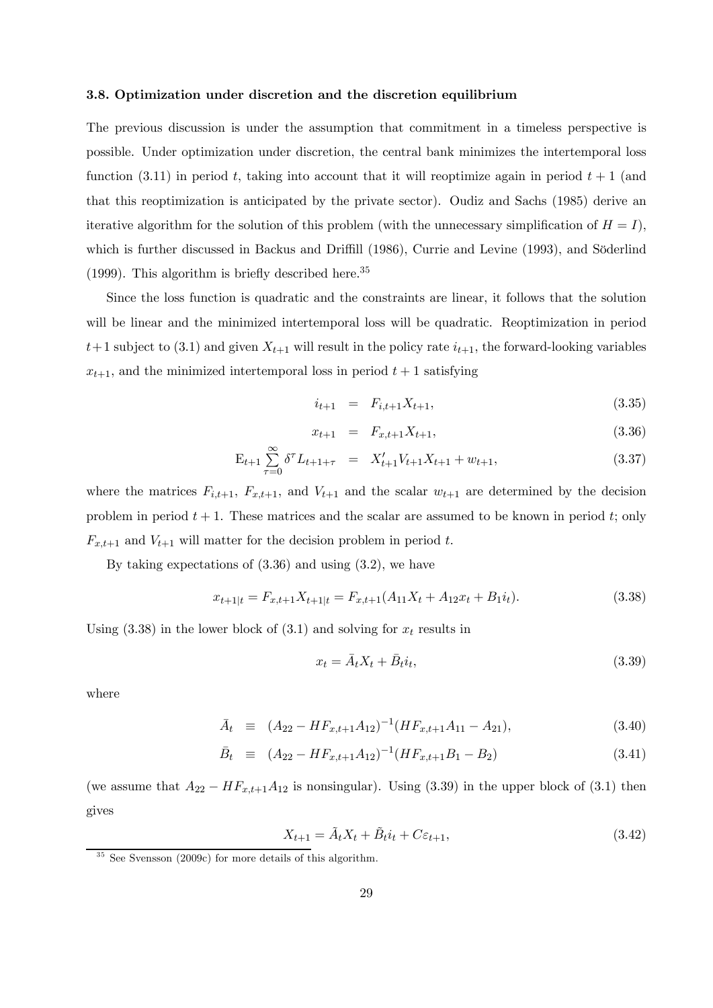#### 3.8. Optimization under discretion and the discretion equilibrium

The previous discussion is under the assumption that commitment in a timeless perspective is possible. Under optimization under discretion, the central bank minimizes the intertemporal loss function (3.11) in period t, taking into account that it will reoptimize again in period  $t + 1$  (and that this reoptimization is anticipated by the private sector). Oudiz and Sachs (1985) derive an iterative algorithm for the solution of this problem (with the unnecessary simplification of  $H = I$ ), which is further discussed in Backus and Driffill (1986), Currie and Levine (1993), and Söderlind (1999). This algorithm is briefly described here.<sup>35</sup>

Since the loss function is quadratic and the constraints are linear, it follows that the solution will be linear and the minimized intertemporal loss will be quadratic. Reoptimization in period  $t+1$  subject to (3.1) and given  $X_{t+1}$  will result in the policy rate  $i_{t+1}$ , the forward-looking variables  $x_{t+1}$ , and the minimized intertemporal loss in period  $t+1$  satisfying

$$
i_{t+1} = F_{i,t+1} X_{t+1}, \t\t(3.35)
$$

$$
x_{t+1} = F_{x,t+1} X_{t+1}, \t\t(3.36)
$$

$$
E_{t+1} \sum_{\tau=0}^{\infty} \delta^{\tau} L_{t+1+\tau} = X'_{t+1} V_{t+1} X_{t+1} + w_{t+1}, \tag{3.37}
$$

where the matrices  $F_{i,t+1}$ ,  $F_{x,t+1}$ , and  $V_{t+1}$  and the scalar  $w_{t+1}$  are determined by the decision problem in period  $t + 1$ . These matrices and the scalar are assumed to be known in period t; only  $F_{x,t+1}$  and  $V_{t+1}$  will matter for the decision problem in period t.

By taking expectations of  $(3.36)$  and using  $(3.2)$ , we have

$$
x_{t+1|t} = F_{x,t+1}X_{t+1|t} = F_{x,t+1}(A_{11}X_t + A_{12}x_t + B_1i_t).
$$
\n(3.38)

Using  $(3.38)$  in the lower block of  $(3.1)$  and solving for  $x_t$  results in

$$
x_t = \bar{A}_t X_t + \bar{B}_t i_t,\tag{3.39}
$$

where

$$
\bar{A}_t \equiv (A_{22} - HF_{x,t+1}A_{12})^{-1}(HF_{x,t+1}A_{11} - A_{21}), \tag{3.40}
$$

$$
\bar{B}_t \equiv (A_{22} - HF_{x,t+1}A_{12})^{-1}(HF_{x,t+1}B_1 - B_2) \tag{3.41}
$$

(we assume that  $A_{22} - HF_{x,t+1}A_{12}$  is nonsingular). Using (3.39) in the upper block of (3.1) then gives

$$
X_{t+1} = \tilde{A}_t X_t + \tilde{B}_t i_t + C\varepsilon_{t+1},
$$
\n(3.42)

 $35$  See Svensson (2009c) for more details of this algorithm.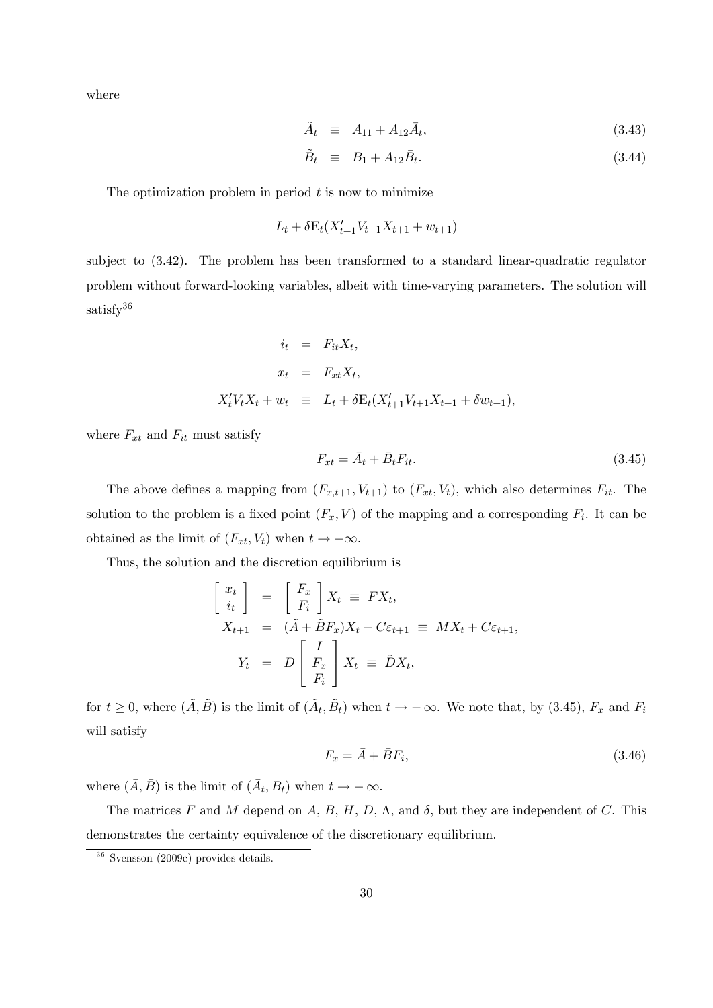where

$$
\tilde{A}_t \equiv A_{11} + A_{12}\bar{A}_t,\tag{3.43}
$$

$$
\tilde{B}_t \equiv B_1 + A_{12} \bar{B}_t. \tag{3.44}
$$

The optimization problem in period  $t$  is now to minimize

$$
L_t + \delta \mathcal{E}_t(X'_{t+1}V_{t+1}X_{t+1} + w_{t+1})
$$

subject to (3.42). The problem has been transformed to a standard linear-quadratic regulator problem without forward-looking variables, albeit with time-varying parameters. The solution will satisfy<sup>36</sup>

$$
i_t = F_{it}X_t,
$$
  
\n
$$
x_t = F_{xt}X_t,
$$
  
\n
$$
X_t'V_tX_t + w_t \equiv L_t + \delta E_t(X_{t+1}'V_{t+1}X_{t+1} + \delta w_{t+1}),
$$

where  $F_{xt}$  and  $F_{it}$  must satisfy

$$
F_{xt} = \bar{A}_t + \bar{B}_t F_{it}.
$$
\n(3.45)

The above defines a mapping from  $(F_{x,t+1}, V_{t+1})$  to  $(F_{xt}, V_t)$ , which also determines  $F_{it}$ . The solution to the problem is a fixed point  $(F_x, V)$  of the mapping and a corresponding  $F_i$ . It can be obtained as the limit of  $(F_{xt}, V_t)$  when  $t \to -\infty$ .

Thus, the solution and the discretion equilibrium is

$$
\begin{bmatrix} x_t \\ i_t \end{bmatrix} = \begin{bmatrix} F_x \\ F_i \end{bmatrix} X_t \equiv FX_t,
$$
  
\n
$$
X_{t+1} = (\tilde{A} + \tilde{B}F_x)X_t + C\varepsilon_{t+1} \equiv MX_t + C\varepsilon_{t+1},
$$
  
\n
$$
Y_t = D \begin{bmatrix} I \\ F_x \\ F_i \end{bmatrix} X_t \equiv \tilde{D}X_t,
$$

for  $t \geq 0$ , where  $(\tilde{A}, \tilde{B})$  is the limit of  $(\tilde{A}_t, \tilde{B}_t)$  when  $t \to -\infty$ . We note that, by (3.45),  $F_x$  and  $F_i$ will satisfy

$$
F_x = \bar{A} + \bar{B}F_i, \tag{3.46}
$$

where  $(\bar{A}, \bar{B})$  is the limit of  $(\bar{A}_t, B_t)$  when  $t \to -\infty$ .

The matrices F and M depend on A, B, H, D,  $\Lambda$ , and  $\delta$ , but they are independent of C. This demonstrates the certainty equivalence of the discretionary equilibrium.

 $36$  Svensson (2009c) provides details.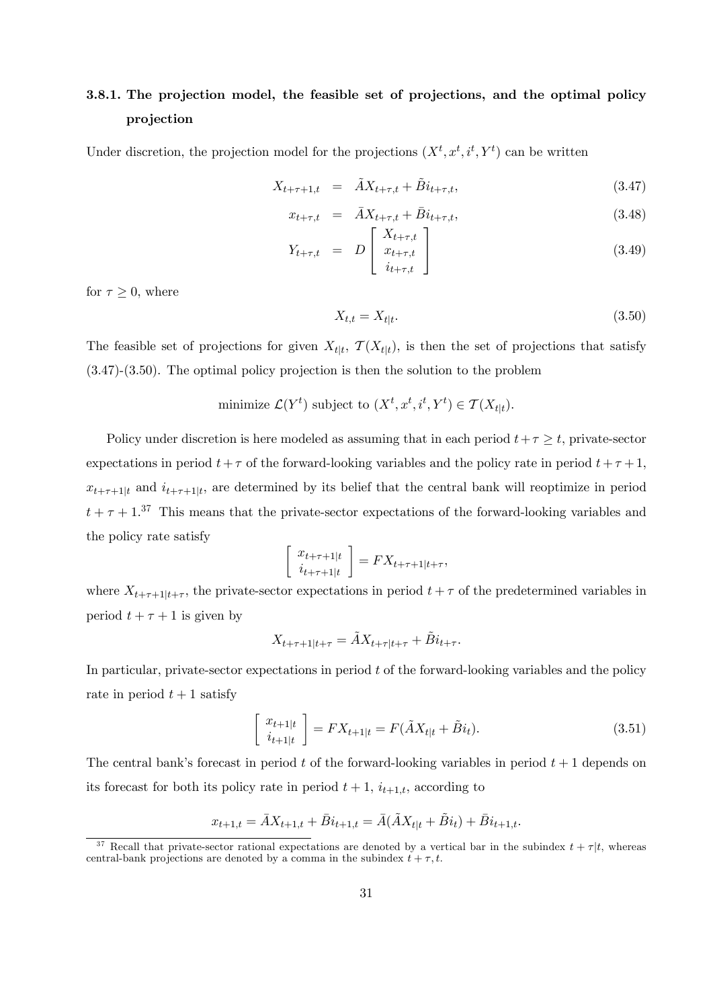## 3.8.1. The projection model, the feasible set of projections, and the optimal policy projection

Under discretion, the projection model for the projections  $(X^t, x^t, i^t, Y^t)$  can be written

$$
X_{t+\tau+1,t} = \tilde{A}X_{t+\tau,t} + \tilde{B}i_{t+\tau,t},
$$
\n(3.47)

$$
x_{t+\tau,t} = \bar{A}X_{t+\tau,t} + \bar{B}i_{t+\tau,t}, \qquad (3.48)
$$

$$
Y_{t+\tau,t} = D\begin{bmatrix} X_{t+\tau,t} \\ x_{t+\tau,t} \\ i_{t+\tau,t} \end{bmatrix}
$$
 (3.49)

for  $\tau \geq 0$ , where

$$
X_{t,t} = X_{t|t}.\tag{3.50}
$$

The feasible set of projections for given  $X_{t|t}$ ,  $\mathcal{T}(X_{t|t})$ , is then the set of projections that satisfy (3.47)-(3.50). The optimal policy projection is then the solution to the problem

minimize 
$$
\mathcal{L}(Y^t)
$$
 subject to  $(X^t, x^t, i^t, Y^t) \in \mathcal{T}(X_{t|t})$ .

Policy under discretion is here modeled as assuming that in each period  $t + \tau \geq t$ , private-sector expectations in period  $t + \tau$  of the forward-looking variables and the policy rate in period  $t + \tau + 1$ ,  $x_{t+\tau+1|t}$  and  $i_{t+\tau+1|t}$ , are determined by its belief that the central bank will reoptimize in period  $t + \tau + 1$ <sup>37</sup> This means that the private-sector expectations of the forward-looking variables and the policy rate satisfy

$$
\begin{bmatrix} x_{t+\tau+1|t} \\ i_{t+\tau+1|t} \end{bmatrix} = FX_{t+\tau+1|t+\tau},
$$

where  $X_{t+\tau+1|t+\tau}$ , the private-sector expectations in period  $t+\tau$  of the predetermined variables in period  $t + \tau + 1$  is given by

$$
X_{t+\tau+1|t+\tau} = \tilde{A}X_{t+\tau|t+\tau} + \tilde{B}i_{t+\tau}.
$$

In particular, private-sector expectations in period  $t$  of the forward-looking variables and the policy rate in period  $t + 1$  satisfy

$$
\begin{bmatrix} x_{t+1|t} \\ i_{t+1|t} \end{bmatrix} = FX_{t+1|t} = F(\tilde{A}X_{t|t} + \tilde{B}i_t). \tag{3.51}
$$

The central bank's forecast in period  $t$  of the forward-looking variables in period  $t+1$  depends on its forecast for both its policy rate in period  $t + 1$ ,  $i_{t+1,t}$ , according to

$$
x_{t+1,t} = \bar{A}X_{t+1,t} + \bar{B}i_{t+1,t} = \bar{A}(\tilde{A}X_{t|t} + \tilde{B}i_{t}) + \bar{B}i_{t+1,t}.
$$

Recall that private-sector rational expectations are denoted by a vertical bar in the subindex  $t + \tau |t$ , whereas central-bank projections are denoted by a comma in the subindex  $t + \tau, t$ .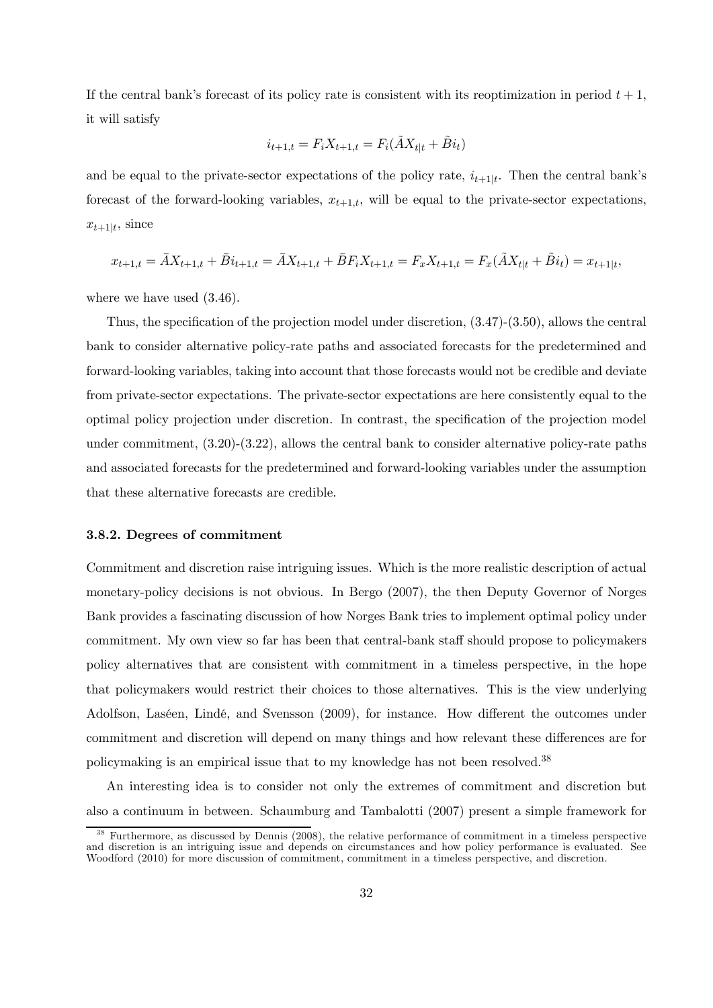If the central bank's forecast of its policy rate is consistent with its reoptimization in period  $t + 1$ , it will satisfy

$$
i_{t+1,t} = F_i X_{t+1,t} = F_i (\tilde{A} X_{t|t} + \tilde{B} i_t)
$$

and be equal to the private-sector expectations of the policy rate,  $i_{t+1|t}$ . Then the central bank's forecast of the forward-looking variables,  $x_{t+1,t}$ , will be equal to the private-sector expectations,  $x_{t+1|t}$ , since

$$
x_{t+1,t} = \bar{A}X_{t+1,t} + \bar{B}i_{t+1,t} = \bar{A}X_{t+1,t} + \bar{B}F_iX_{t+1,t} = F_xX_{t+1,t} = F_x(\tilde{A}X_{t|t} + \tilde{B}i_t) = x_{t+1|t},
$$

where we have used (3.46).

Thus, the specification of the projection model under discretion, (3.47)-(3.50), allows the central bank to consider alternative policy-rate paths and associated forecasts for the predetermined and forward-looking variables, taking into account that those forecasts would not be credible and deviate from private-sector expectations. The private-sector expectations are here consistently equal to the optimal policy projection under discretion. In contrast, the specification of the projection model under commitment, (3.20)-(3.22), allows the central bank to consider alternative policy-rate paths and associated forecasts for the predetermined and forward-looking variables under the assumption that these alternative forecasts are credible.

#### 3.8.2. Degrees of commitment

Commitment and discretion raise intriguing issues. Which is the more realistic description of actual monetary-policy decisions is not obvious. In Bergo (2007), the then Deputy Governor of Norges Bank provides a fascinating discussion of how Norges Bank tries to implement optimal policy under commitment. My own view so far has been that central-bank staff should propose to policymakers policy alternatives that are consistent with commitment in a timeless perspective, in the hope that policymakers would restrict their choices to those alternatives. This is the view underlying Adolfson, Laséen, Lindé, and Svensson (2009), for instance. How different the outcomes under commitment and discretion will depend on many things and how relevant these differences are for policymaking is an empirical issue that to my knowledge has not been resolved.38

An interesting idea is to consider not only the extremes of commitment and discretion but also a continuum in between. Schaumburg and Tambalotti (2007) present a simple framework for

<sup>&</sup>lt;sup>38</sup> Furthermore, as discussed by Dennis (2008), the relative performance of commitment in a timeless perspective and discretion is an intriguing issue and depends on circumstances and how policy performance is evaluated. See Woodford (2010) for more discussion of commitment, commitment in a timeless perspective, and discretion.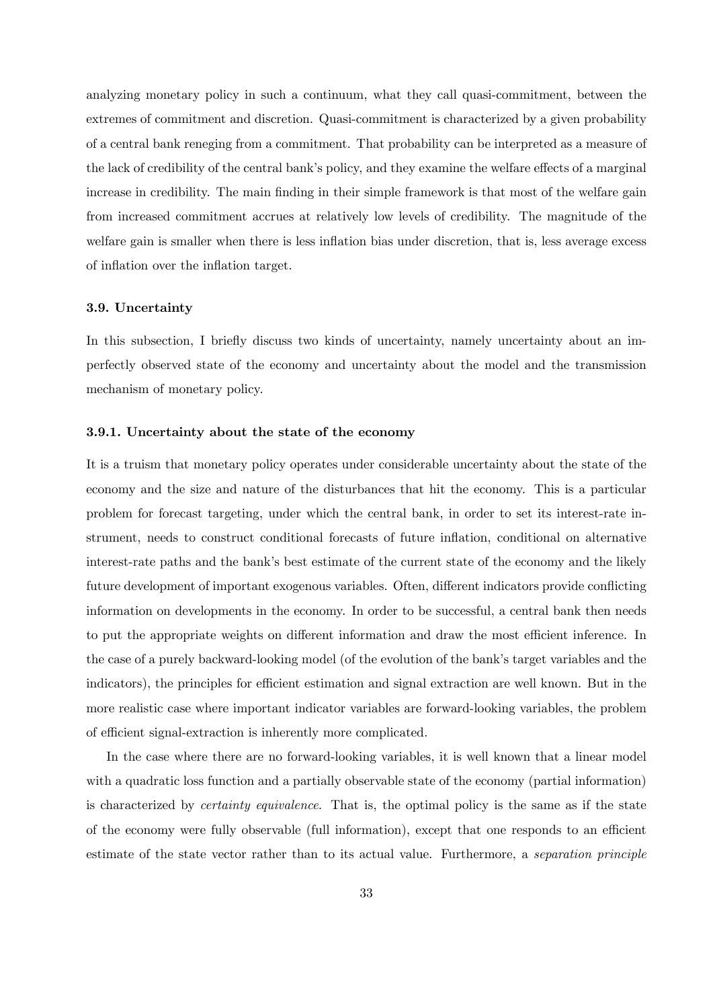analyzing monetary policy in such a continuum, what they call quasi-commitment, between the extremes of commitment and discretion. Quasi-commitment is characterized by a given probability of a central bank reneging from a commitment. That probability can be interpreted as a measure of the lack of credibility of the central bank's policy, and they examine the welfare effects of a marginal increase in credibility. The main finding in their simple framework is that most of the welfare gain from increased commitment accrues at relatively low levels of credibility. The magnitude of the welfare gain is smaller when there is less inflation bias under discretion, that is, less average excess of inflation over the inflation target.

#### 3.9. Uncertainty

In this subsection, I briefly discuss two kinds of uncertainty, namely uncertainty about an imperfectly observed state of the economy and uncertainty about the model and the transmission mechanism of monetary policy.

#### 3.9.1. Uncertainty about the state of the economy

It is a truism that monetary policy operates under considerable uncertainty about the state of the economy and the size and nature of the disturbances that hit the economy. This is a particular problem for forecast targeting, under which the central bank, in order to set its interest-rate instrument, needs to construct conditional forecasts of future inflation, conditional on alternative interest-rate paths and the bank's best estimate of the current state of the economy and the likely future development of important exogenous variables. Often, different indicators provide conflicting information on developments in the economy. In order to be successful, a central bank then needs to put the appropriate weights on different information and draw the most efficient inference. In the case of a purely backward-looking model (of the evolution of the bank's target variables and the indicators), the principles for efficient estimation and signal extraction are well known. But in the more realistic case where important indicator variables are forward-looking variables, the problem of efficient signal-extraction is inherently more complicated.

In the case where there are no forward-looking variables, it is well known that a linear model with a quadratic loss function and a partially observable state of the economy (partial information) is characterized by certainty equivalence. That is, the optimal policy is the same as if the state of the economy were fully observable (full information), except that one responds to an efficient estimate of the state vector rather than to its actual value. Furthermore, a separation principle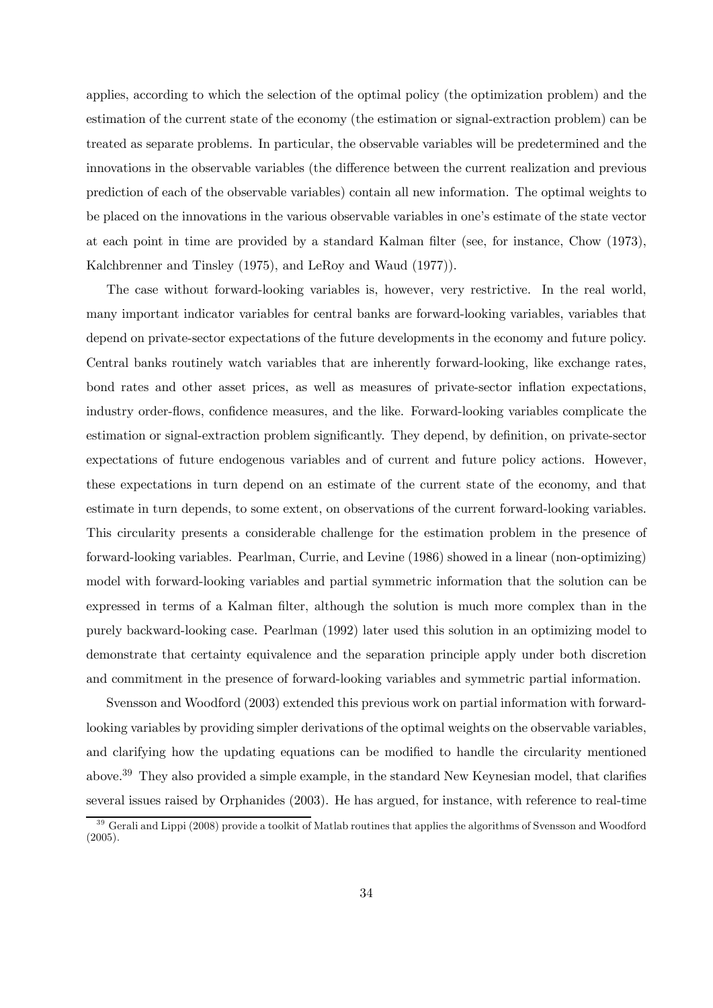applies, according to which the selection of the optimal policy (the optimization problem) and the estimation of the current state of the economy (the estimation or signal-extraction problem) can be treated as separate problems. In particular, the observable variables will be predetermined and the innovations in the observable variables (the difference between the current realization and previous prediction of each of the observable variables) contain all new information. The optimal weights to be placed on the innovations in the various observable variables in one's estimate of the state vector at each point in time are provided by a standard Kalman filter (see, for instance, Chow (1973), Kalchbrenner and Tinsley (1975), and LeRoy and Waud (1977)).

The case without forward-looking variables is, however, very restrictive. In the real world, many important indicator variables for central banks are forward-looking variables, variables that depend on private-sector expectations of the future developments in the economy and future policy. Central banks routinely watch variables that are inherently forward-looking, like exchange rates, bond rates and other asset prices, as well as measures of private-sector inflation expectations, industry order-flows, confidence measures, and the like. Forward-looking variables complicate the estimation or signal-extraction problem significantly. They depend, by definition, on private-sector expectations of future endogenous variables and of current and future policy actions. However, these expectations in turn depend on an estimate of the current state of the economy, and that estimate in turn depends, to some extent, on observations of the current forward-looking variables. This circularity presents a considerable challenge for the estimation problem in the presence of forward-looking variables. Pearlman, Currie, and Levine (1986) showed in a linear (non-optimizing) model with forward-looking variables and partial symmetric information that the solution can be expressed in terms of a Kalman filter, although the solution is much more complex than in the purely backward-looking case. Pearlman (1992) later used this solution in an optimizing model to demonstrate that certainty equivalence and the separation principle apply under both discretion and commitment in the presence of forward-looking variables and symmetric partial information.

Svensson and Woodford (2003) extended this previous work on partial information with forwardlooking variables by providing simpler derivations of the optimal weights on the observable variables, and clarifying how the updating equations can be modified to handle the circularity mentioned above.<sup>39</sup> They also provided a simple example, in the standard New Keynesian model, that clarifies several issues raised by Orphanides (2003). He has argued, for instance, with reference to real-time

 $39$  Gerali and Lippi (2008) provide a toolkit of Matlab routines that applies the algorithms of Svensson and Woodford (2005).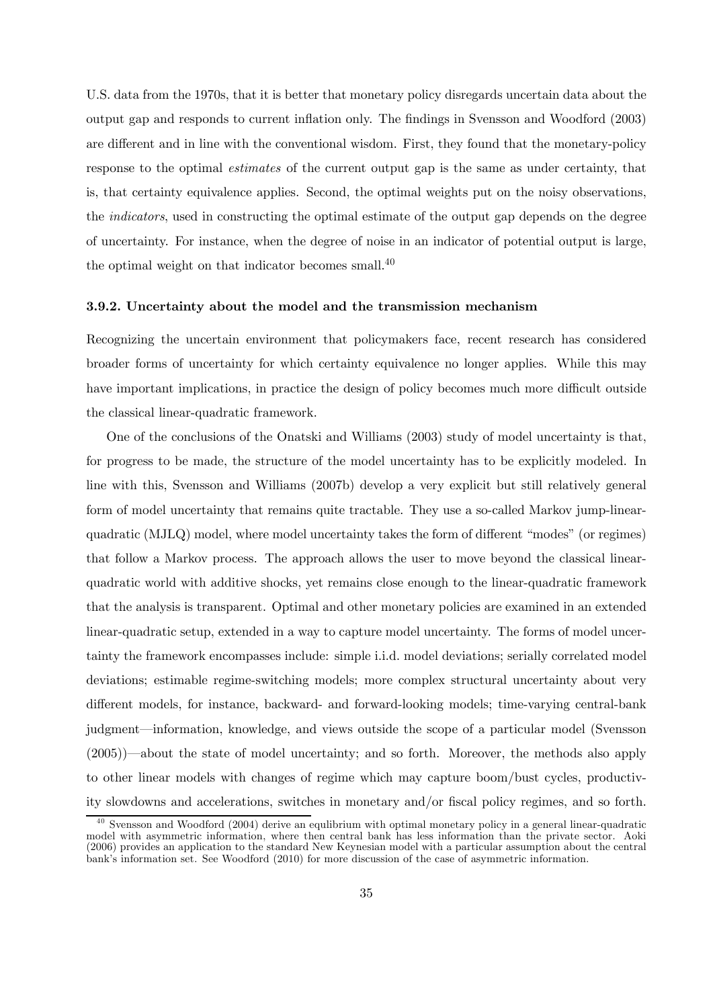U.S. data from the 1970s, that it is better that monetary policy disregards uncertain data about the output gap and responds to current inflation only. The findings in Svensson and Woodford (2003) are different and in line with the conventional wisdom. First, they found that the monetary-policy response to the optimal estimates of the current output gap is the same as under certainty, that is, that certainty equivalence applies. Second, the optimal weights put on the noisy observations, the indicators, used in constructing the optimal estimate of the output gap depends on the degree of uncertainty. For instance, when the degree of noise in an indicator of potential output is large, the optimal weight on that indicator becomes small. $^{40}$ 

#### 3.9.2. Uncertainty about the model and the transmission mechanism

Recognizing the uncertain environment that policymakers face, recent research has considered broader forms of uncertainty for which certainty equivalence no longer applies. While this may have important implications, in practice the design of policy becomes much more difficult outside the classical linear-quadratic framework.

One of the conclusions of the Onatski and Williams (2003) study of model uncertainty is that, for progress to be made, the structure of the model uncertainty has to be explicitly modeled. In line with this, Svensson and Williams (2007b) develop a very explicit but still relatively general form of model uncertainty that remains quite tractable. They use a so-called Markov jump-linearquadratic (MJLQ) model, where model uncertainty takes the form of different "modes" (or regimes) that follow a Markov process. The approach allows the user to move beyond the classical linearquadratic world with additive shocks, yet remains close enough to the linear-quadratic framework that the analysis is transparent. Optimal and other monetary policies are examined in an extended linear-quadratic setup, extended in a way to capture model uncertainty. The forms of model uncertainty the framework encompasses include: simple i.i.d. model deviations; serially correlated model deviations; estimable regime-switching models; more complex structural uncertainty about very different models, for instance, backward- and forward-looking models; time-varying central-bank judgment–information, knowledge, and views outside the scope of a particular model (Svensson (2005))–about the state of model uncertainty; and so forth. Moreover, the methods also apply to other linear models with changes of regime which may capture boom/bust cycles, productivity slowdowns and accelerations, switches in monetary and/or fiscal policy regimes, and so forth.

 $40$  Svensson and Woodford (2004) derive an equlibrium with optimal monetary policy in a general linear-quadratic model with asymmetric information, where then central bank has less information than the private sector. Aoki (2006) provides an application to the standard New Keynesian model with a particular assumption about the central bank's information set. See Woodford (2010) for more discussion of the case of asymmetric information.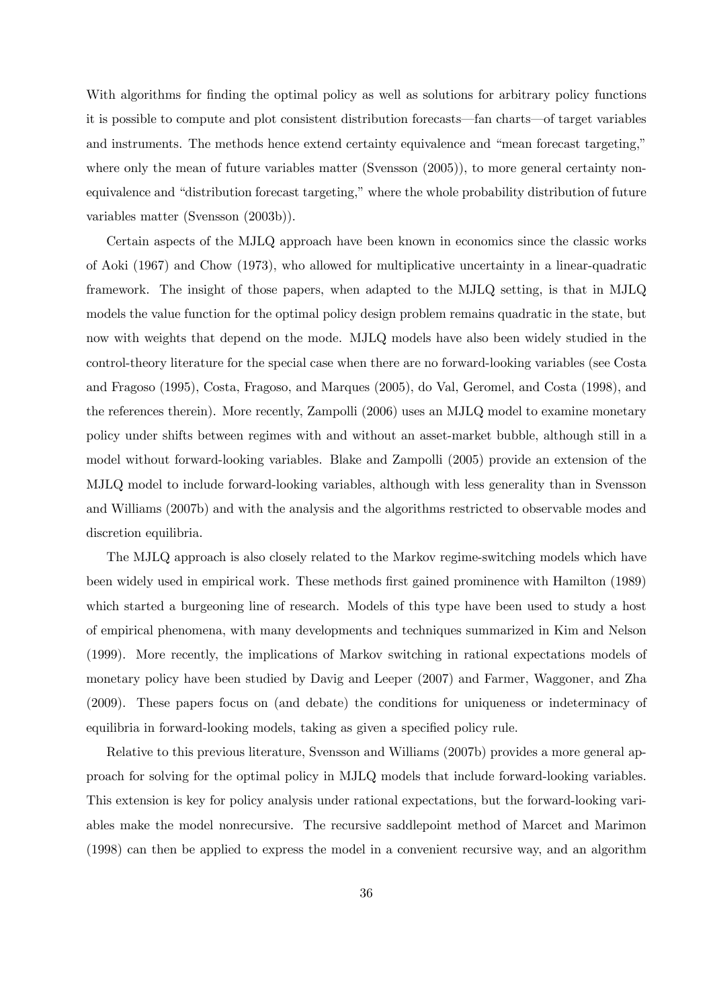With algorithms for finding the optimal policy as well as solutions for arbitrary policy functions it is possible to compute and plot consistent distribution forecasts–fan charts–of target variables and instruments. The methods hence extend certainty equivalence and "mean forecast targeting," where only the mean of future variables matter (Svensson  $(2005)$ ), to more general certainty nonequivalence and "distribution forecast targeting," where the whole probability distribution of future variables matter (Svensson (2003b)).

Certain aspects of the MJLQ approach have been known in economics since the classic works of Aoki (1967) and Chow (1973), who allowed for multiplicative uncertainty in a linear-quadratic framework. The insight of those papers, when adapted to the MJLQ setting, is that in MJLQ models the value function for the optimal policy design problem remains quadratic in the state, but now with weights that depend on the mode. MJLQ models have also been widely studied in the control-theory literature for the special case when there are no forward-looking variables (see Costa and Fragoso (1995), Costa, Fragoso, and Marques (2005), do Val, Geromel, and Costa (1998), and the references therein). More recently, Zampolli (2006) uses an MJLQ model to examine monetary policy under shifts between regimes with and without an asset-market bubble, although still in a model without forward-looking variables. Blake and Zampolli (2005) provide an extension of the MJLQ model to include forward-looking variables, although with less generality than in Svensson and Williams (2007b) and with the analysis and the algorithms restricted to observable modes and discretion equilibria.

The MJLQ approach is also closely related to the Markov regime-switching models which have been widely used in empirical work. These methods first gained prominence with Hamilton (1989) which started a burgeoning line of research. Models of this type have been used to study a host of empirical phenomena, with many developments and techniques summarized in Kim and Nelson (1999). More recently, the implications of Markov switching in rational expectations models of monetary policy have been studied by Davig and Leeper (2007) and Farmer, Waggoner, and Zha (2009). These papers focus on (and debate) the conditions for uniqueness or indeterminacy of equilibria in forward-looking models, taking as given a specified policy rule.

Relative to this previous literature, Svensson and Williams (2007b) provides a more general approach for solving for the optimal policy in MJLQ models that include forward-looking variables. This extension is key for policy analysis under rational expectations, but the forward-looking variables make the model nonrecursive. The recursive saddlepoint method of Marcet and Marimon (1998) can then be applied to express the model in a convenient recursive way, and an algorithm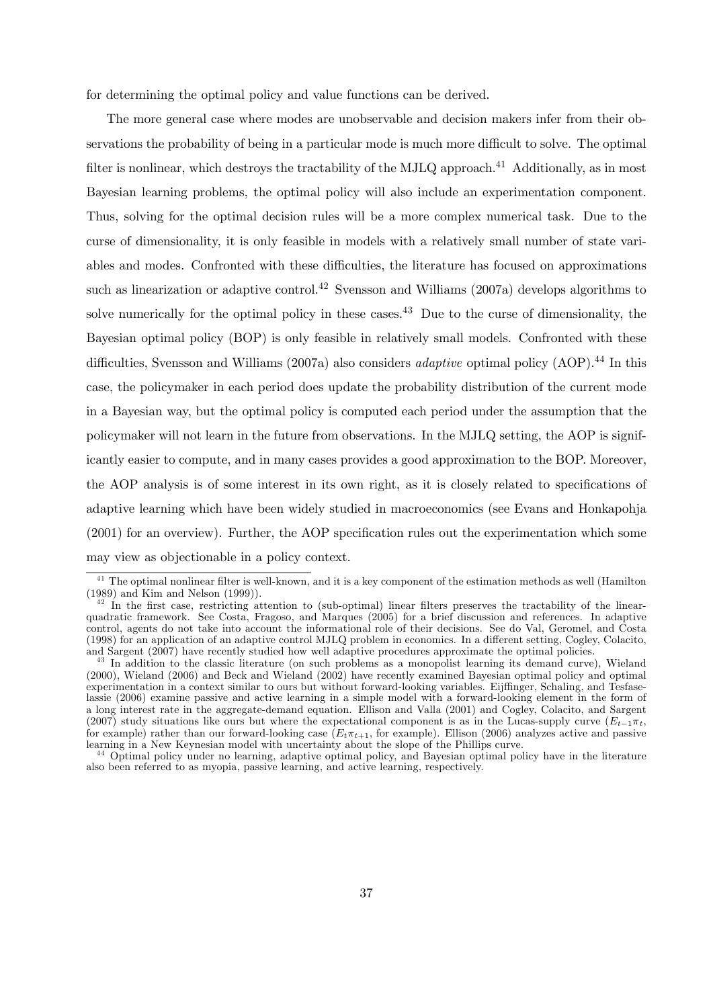for determining the optimal policy and value functions can be derived.

The more general case where modes are unobservable and decision makers infer from their observations the probability of being in a particular mode is much more difficult to solve. The optimal filter is nonlinear, which destroys the tractability of the MJLQ approach.<sup>41</sup> Additionally, as in most Bayesian learning problems, the optimal policy will also include an experimentation component. Thus, solving for the optimal decision rules will be a more complex numerical task. Due to the curse of dimensionality, it is only feasible in models with a relatively small number of state variables and modes. Confronted with these difficulties, the literature has focused on approximations such as linearization or adaptive control.<sup>42</sup> Svensson and Williams  $(2007a)$  develops algorithms to solve numerically for the optimal policy in these cases.<sup>43</sup> Due to the curse of dimensionality, the Bayesian optimal policy (BOP) is only feasible in relatively small models. Confronted with these difficulties, Svensson and Williams (2007a) also considers *adaptive* optimal policy (AOP).<sup>44</sup> In this case, the policymaker in each period does update the probability distribution of the current mode in a Bayesian way, but the optimal policy is computed each period under the assumption that the policymaker will not learn in the future from observations. In the MJLQ setting, the AOP is significantly easier to compute, and in many cases provides a good approximation to the BOP. Moreover, the AOP analysis is of some interest in its own right, as it is closely related to specifications of adaptive learning which have been widely studied in macroeconomics (see Evans and Honkapohja (2001) for an overview). Further, the AOP specification rules out the experimentation which some may view as objectionable in a policy context.

 $41$  The optimal nonlinear filter is well-known, and it is a key component of the estimation methods as well (Hamilton (1989) and Kim and Nelson (1999)).<br><sup>42</sup> In the first case, restricting attention to (sub-optimal) linear filters preserves the tractability of the linear-

quadratic framework. See Costa, Fragoso, and Marques (2005) for a brief discussion and references. In adaptive control, agents do not take into account the informational role of their decisions. See do Val, Geromel, and Costa (1998) for an application of an adaptive control MJLQ problem in economics. In a different setting, Cogley, Colacito,

<sup>&</sup>lt;sup>43</sup> In addition to the classic literature (on such problems as a monopolist learning its demand curve), Wieland (2000), Wieland (2006) and Beck and Wieland (2002) have recently examined Bayesian optimal policy and optimal experimentation in a context similar to ours but without forward-looking variables. Eijffinger, Schaling, and Tesfaselassie (2006) examine passive and active learning in a simple model with a forward-looking element in the form of a long interest rate in the aggregate-demand equation. Ellison and Valla (2001) and Cogley, Colacito, and Sargent (2007) study situations like ours but where the expectational component is as in the Lucas-supply curve  $(E_{t-1}\pi_t)$ for example) rather than our forward-looking case  $(E_t \pi_{t+1})$ , for example). Ellison (2006) analyzes active and passive learning in a New Keynesian model with uncertainty about the slope of the Phillips curve.

<sup>&</sup>lt;sup>44</sup> Optimal policy under no learning, adaptive optimal policy, and Bayesian optimal policy have in the literature also been referred to as myopia, passive learning, and active learning, respectively.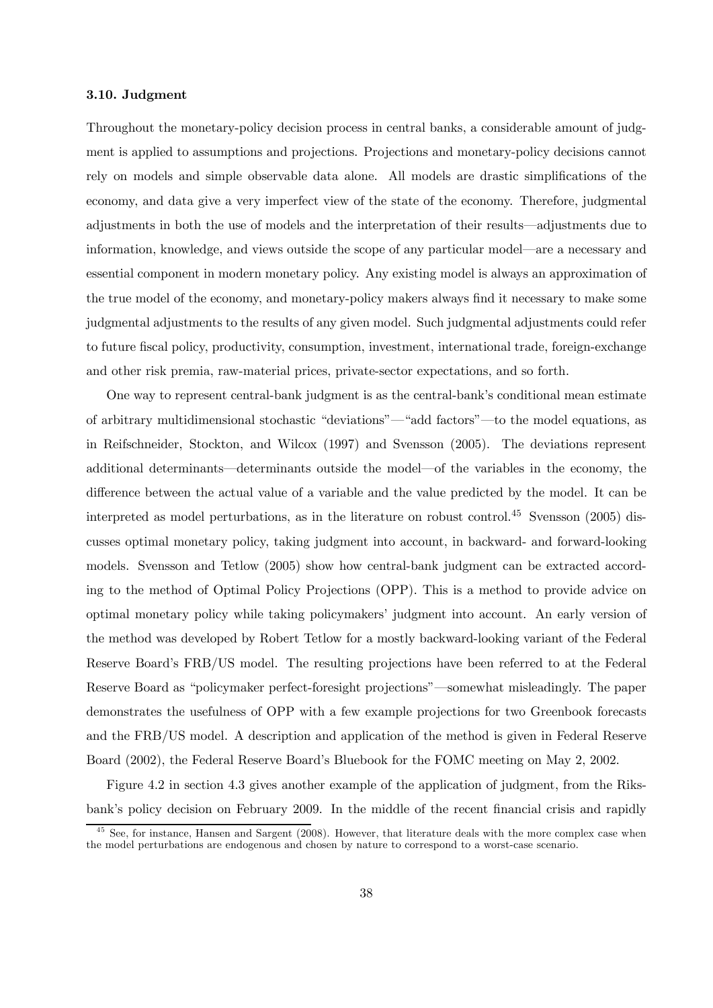#### 3.10. Judgment

Throughout the monetary-policy decision process in central banks, a considerable amount of judgment is applied to assumptions and projections. Projections and monetary-policy decisions cannot rely on models and simple observable data alone. All models are drastic simplifications of the economy, and data give a very imperfect view of the state of the economy. Therefore, judgmental adjustments in both the use of models and the interpretation of their results–adjustments due to information, knowledge, and views outside the scope of any particular model–are a necessary and essential component in modern monetary policy. Any existing model is always an approximation of the true model of the economy, and monetary-policy makers always find it necessary to make some judgmental adjustments to the results of any given model. Such judgmental adjustments could refer to future fiscal policy, productivity, consumption, investment, international trade, foreign-exchange and other risk premia, raw-material prices, private-sector expectations, and so forth.

One way to represent central-bank judgment is as the central-bank's conditional mean estimate of arbitrary multidimensional stochastic "deviations"–"add factors"–to the model equations, as in Reifschneider, Stockton, and Wilcox (1997) and Svensson (2005). The deviations represent additional determinants–determinants outside the model–of the variables in the economy, the difference between the actual value of a variable and the value predicted by the model. It can be interpreted as model perturbations, as in the literature on robust control.<sup>45</sup> Svensson (2005) discusses optimal monetary policy, taking judgment into account, in backward- and forward-looking models. Svensson and Tetlow (2005) show how central-bank judgment can be extracted according to the method of Optimal Policy Projections (OPP). This is a method to provide advice on optimal monetary policy while taking policymakers' judgment into account. An early version of the method was developed by Robert Tetlow for a mostly backward-looking variant of the Federal Reserve Board's FRB/US model. The resulting projections have been referred to at the Federal Reserve Board as "policymaker perfect-foresight projections"–somewhat misleadingly. The paper demonstrates the usefulness of OPP with a few example projections for two Greenbook forecasts and the FRB/US model. A description and application of the method is given in Federal Reserve Board (2002), the Federal Reserve Board's Bluebook for the FOMC meeting on May 2, 2002.

Figure 4.2 in section 4.3 gives another example of the application of judgment, from the Riksbank's policy decision on February 2009. In the middle of the recent financial crisis and rapidly

 $45$  See, for instance, Hansen and Sargent (2008). However, that literature deals with the more complex case when the model perturbations are endogenous and chosen by nature to correspond to a worst-case scenario.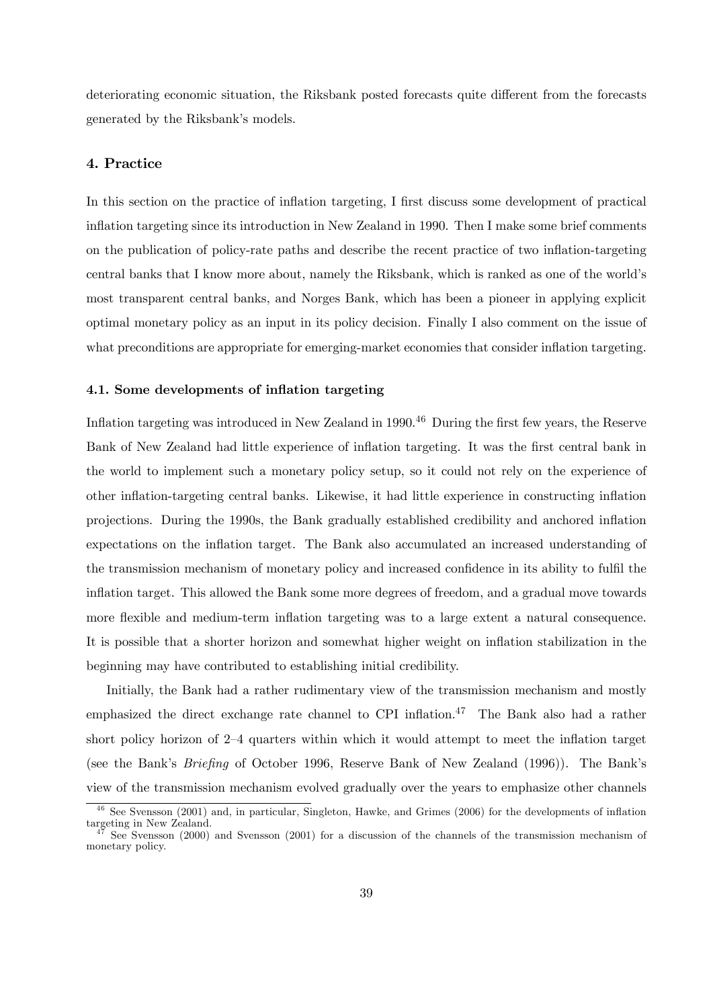deteriorating economic situation, the Riksbank posted forecasts quite different from the forecasts generated by the Riksbank's models.

# 4. Practice

In this section on the practice of inflation targeting, I first discuss some development of practical inflation targeting since its introduction in New Zealand in 1990. Then I make some brief comments on the publication of policy-rate paths and describe the recent practice of two inflation-targeting central banks that I know more about, namely the Riksbank, which is ranked as one of the world's most transparent central banks, and Norges Bank, which has been a pioneer in applying explicit optimal monetary policy as an input in its policy decision. Finally I also comment on the issue of what preconditions are appropriate for emerging-market economies that consider inflation targeting.

#### 4.1. Some developments of inflation targeting

Inflation targeting was introduced in New Zealand in 1990.<sup>46</sup> During the first few years, the Reserve Bank of New Zealand had little experience of inflation targeting. It was the first central bank in the world to implement such a monetary policy setup, so it could not rely on the experience of other inflation-targeting central banks. Likewise, it had little experience in constructing inflation projections. During the 1990s, the Bank gradually established credibility and anchored inflation expectations on the inflation target. The Bank also accumulated an increased understanding of the transmission mechanism of monetary policy and increased confidence in its ability to fulfil the inflation target. This allowed the Bank some more degrees of freedom, and a gradual move towards more flexible and medium-term inflation targeting was to a large extent a natural consequence. It is possible that a shorter horizon and somewhat higher weight on inflation stabilization in the beginning may have contributed to establishing initial credibility.

Initially, the Bank had a rather rudimentary view of the transmission mechanism and mostly emphasized the direct exchange rate channel to CPI inflation.<sup>47</sup> The Bank also had a rather short policy horizon of 2—4 quarters within which it would attempt to meet the inflation target (see the Bank's Briefing of October 1996, Reserve Bank of New Zealand (1996)). The Bank's view of the transmission mechanism evolved gradually over the years to emphasize other channels

 $^{46}$  See Svensson (2001) and, in particular, Singleton, Hawke, and Grimes (2006) for the developments of inflation targeting in New Zealand.

See Svensson (2000) and Svensson (2001) for a discussion of the channels of the transmission mechanism of monetary policy.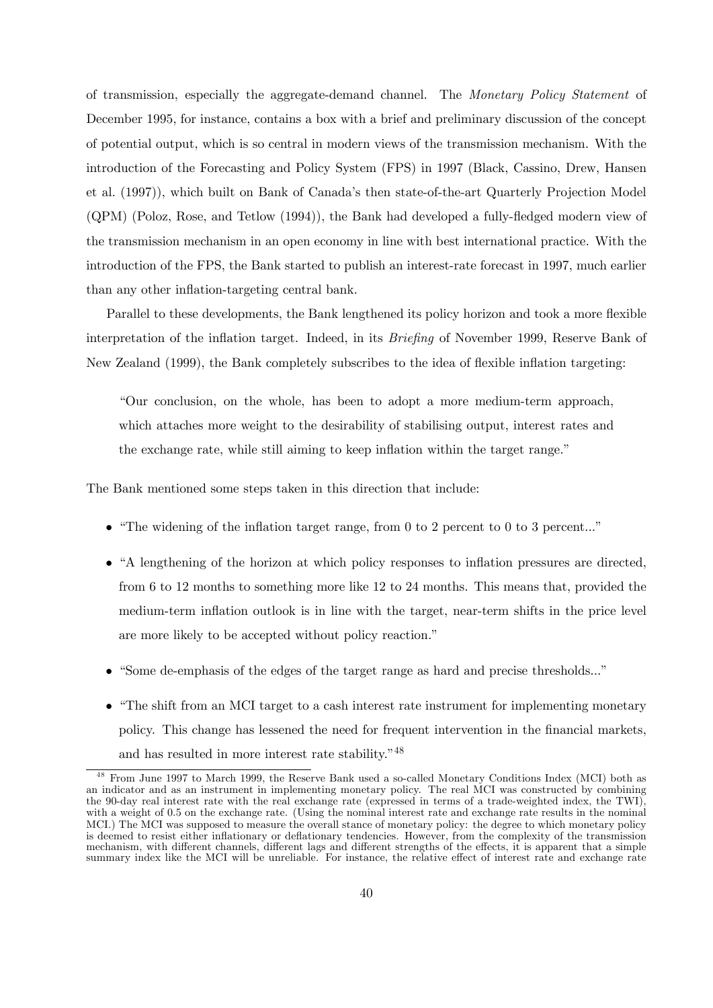of transmission, especially the aggregate-demand channel. The Monetary Policy Statement of December 1995, for instance, contains a box with a brief and preliminary discussion of the concept of potential output, which is so central in modern views of the transmission mechanism. With the introduction of the Forecasting and Policy System (FPS) in 1997 (Black, Cassino, Drew, Hansen et al. (1997)), which built on Bank of Canada's then state-of-the-art Quarterly Projection Model (QPM) (Poloz, Rose, and Tetlow (1994)), the Bank had developed a fully-fledged modern view of the transmission mechanism in an open economy in line with best international practice. With the introduction of the FPS, the Bank started to publish an interest-rate forecast in 1997, much earlier than any other inflation-targeting central bank.

Parallel to these developments, the Bank lengthened its policy horizon and took a more flexible interpretation of the inflation target. Indeed, in its Briefing of November 1999, Reserve Bank of New Zealand (1999), the Bank completely subscribes to the idea of flexible inflation targeting:

"Our conclusion, on the whole, has been to adopt a more medium-term approach, which attaches more weight to the desirability of stabilising output, interest rates and the exchange rate, while still aiming to keep inflation within the target range."

The Bank mentioned some steps taken in this direction that include:

- "The widening of the inflation target range, from 0 to 2 percent to 0 to 3 percent..."
- "A lengthening of the horizon at which policy responses to inflation pressures are directed, from 6 to 12 months to something more like 12 to 24 months. This means that, provided the medium-term inflation outlook is in line with the target, near-term shifts in the price level are more likely to be accepted without policy reaction."
- "Some de-emphasis of the edges of the target range as hard and precise thresholds..."
- "The shift from an MCI target to a cash interest rate instrument for implementing monetary policy. This change has lessened the need for frequent intervention in the financial markets, and has resulted in more interest rate stability."48

<sup>4 8</sup> From June 1997 to March 1999, the Reserve Bank used a so-called Monetary Conditions Index (MCI) both as an indicator and as an instrument in implementing monetary policy. The real MCI was constructed by combining the 90-day real interest rate with the real exchange rate (expressed in terms of a trade-weighted index, the TWI), with a weight of 0.5 on the exchange rate. (Using the nominal interest rate and exchange rate results in the nominal MCI.) The MCI was supposed to measure the overall stance of monetary policy: the degree to which monetary policy is deemed to resist either inflationary or deflationary tendencies. However, from the complexity of the transmission mechanism, with different channels, different lags and different strengths of the effects, it is apparent that a simple summary index like the MCI will be unreliable. For instance, the relative effect of interest rate and exchange rate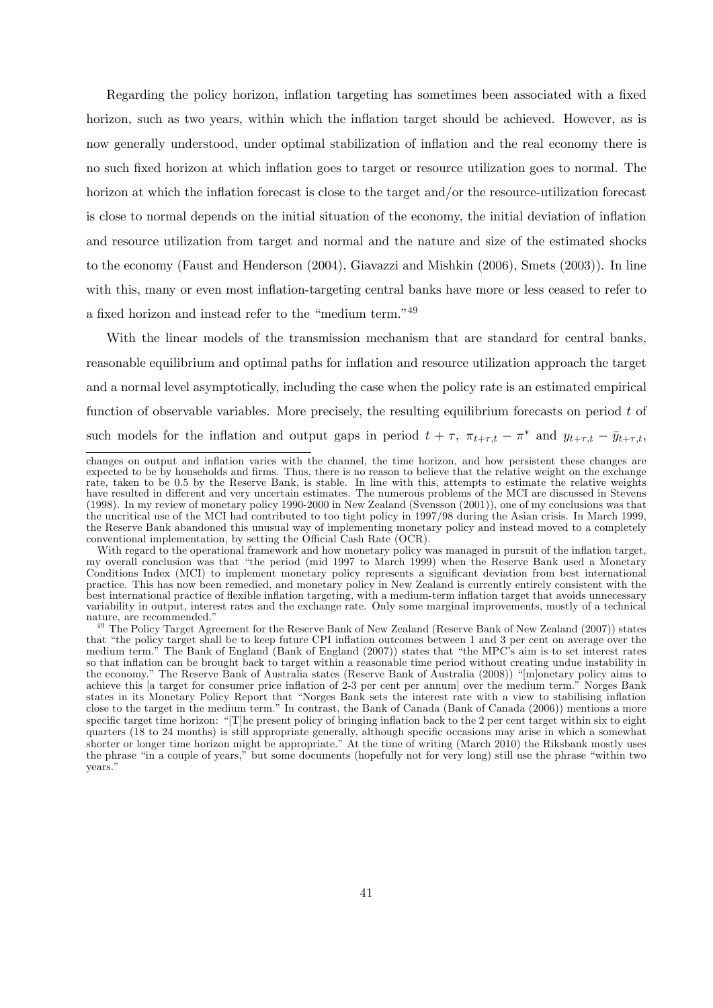Regarding the policy horizon, inflation targeting has sometimes been associated with a fixed horizon, such as two years, within which the inflation target should be achieved. However, as is now generally understood, under optimal stabilization of inflation and the real economy there is no such fixed horizon at which inflation goes to target or resource utilization goes to normal. The horizon at which the inflation forecast is close to the target and/or the resource-utilization forecast is close to normal depends on the initial situation of the economy, the initial deviation of inflation and resource utilization from target and normal and the nature and size of the estimated shocks to the economy (Faust and Henderson (2004), Giavazzi and Mishkin (2006), Smets (2003)). In line with this, many or even most inflation-targeting central banks have more or less ceased to refer to a fixed horizon and instead refer to the "medium term."49

With the linear models of the transmission mechanism that are standard for central banks, reasonable equilibrium and optimal paths for inflation and resource utilization approach the target and a normal level asymptotically, including the case when the policy rate is an estimated empirical function of observable variables. More precisely, the resulting equilibrium forecasts on period  $t$  of such models for the inflation and output gaps in period  $t + \tau$ ,  $\pi_{t+\tau,t} - \pi^*$  and  $y_{t+\tau,t} - \bar{y}_{t+\tau,t}$ ,

changes on output and inflation varies with the channel, the time horizon, and how persistent these changes are expected to be by households and firms. Thus, there is no reason to believe that the relative weight on the exchange rate, taken to be 0.5 by the Reserve Bank, is stable. In line with this, attempts to estimate the relative weights have resulted in different and very uncertain estimates. The numerous problems of the MCI are discussed in Stevens (1998). In my review of monetary policy 1990-2000 in New Zealand (Svensson (2001)), one of my conclusions was that the uncritical use of the MCI had contributed to too tight policy in 1997/98 during the Asian crisis. In March 1999, the Reserve Bank abandoned this unusual way of implementing monetary policy and instead moved to a completely conventional implementation, by setting the Official Cash Rate (OCR).

With regard to the operational framework and how monetary policy was managed in pursuit of the inflation target, my overall conclusion was that "the period (mid 1997 to March 1999) when the Reserve Bank used a Monetary Conditions Index (MCI) to implement monetary policy represents a significant deviation from best international practice. This has now been remedied, and monetary policy in New Zealand is currently entirely consistent with the best international practice of flexible inflation targeting, with a medium-term inflation target that avoids unnecessary variability in output, interest rates and the exchange rate. Only some marginal improvements, mostly of a technical nature, are recommended."<br><sup>49</sup> The Policy Target Agreement for the Reserve Bank of New Zealand (Reserve Bank of New Zealand (2007)) states

that "the policy target shall be to keep future CPI inflation outcomes between 1 and 3 per cent on average over the medium term." The Bank of England (Bank of England (2007)) states that "the MPC's aim is to set interest rates so that inflation can be brought back to target within a reasonable time period without creating undue instability in the economy." The Reserve Bank of Australia states (Reserve Bank of Australia (2008)) "[m]onetary policy aims to achieve this [a target for consumer price inflation of 2-3 per cent per annum] over the medium term." Norges Bank states in its Monetary Policy Report that "Norges Bank sets the interest rate with a view to stabilising inflation close to the target in the medium term." In contrast, the Bank of Canada (Bank of Canada (2006)) mentions a more specific target time horizon: "[T]he present policy of bringing inflation back to the 2 per cent target within six to eight quarters (18 to 24 months) is still appropriate generally, although specific occasions may arise in which a somewhat shorter or longer time horizon might be appropriate." At the time of writing (March 2010) the Riksbank mostly uses the phrase "in a couple of years," but some documents (hopefully not for very long) still use the phrase "within two years."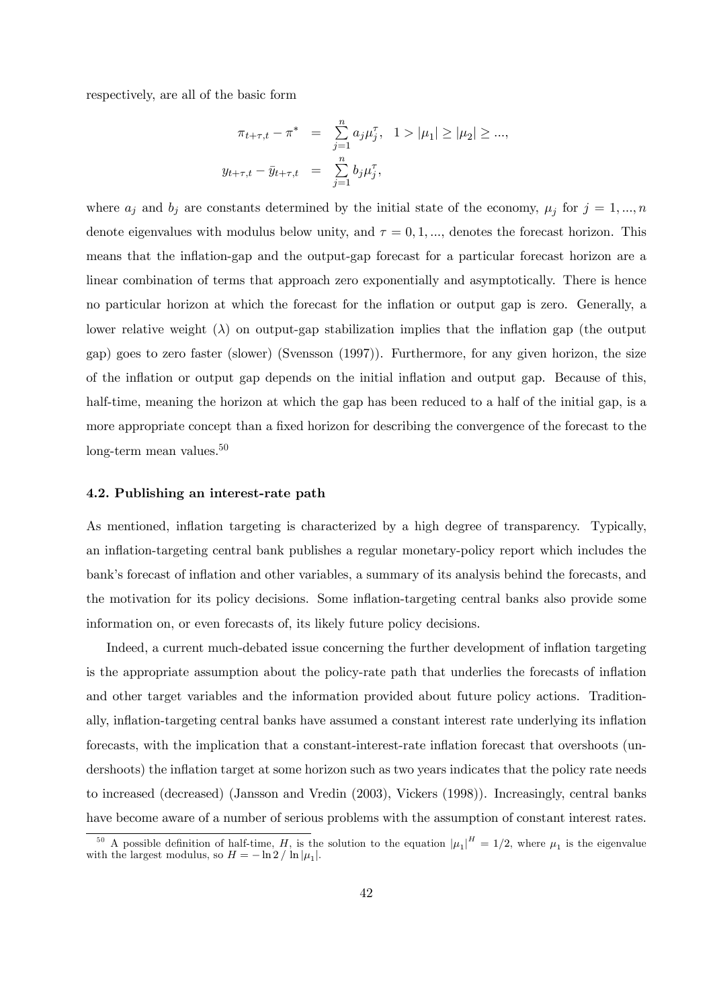respectively, are all of the basic form

$$
\pi_{t+\tau,t} - \pi^* = \sum_{j=1}^n a_j \mu_j^{\tau}, \quad 1 > |\mu_1| \ge |\mu_2| \ge ...,
$$
  

$$
y_{t+\tau,t} - \bar{y}_{t+\tau,t} = \sum_{j=1}^n b_j \mu_j^{\tau},
$$

where  $a_j$  and  $b_j$  are constants determined by the initial state of the economy,  $\mu_j$  for  $j = 1, ..., n$ denote eigenvalues with modulus below unity, and  $\tau = 0, 1, \dots$ , denotes the forecast horizon. This means that the inflation-gap and the output-gap forecast for a particular forecast horizon are a linear combination of terms that approach zero exponentially and asymptotically. There is hence no particular horizon at which the forecast for the inflation or output gap is zero. Generally, a lower relative weight  $(\lambda)$  on output-gap stabilization implies that the inflation gap (the output gap) goes to zero faster (slower) (Svensson (1997)). Furthermore, for any given horizon, the size of the inflation or output gap depends on the initial inflation and output gap. Because of this, half-time, meaning the horizon at which the gap has been reduced to a half of the initial gap, is a more appropriate concept than a fixed horizon for describing the convergence of the forecast to the long-term mean values.<sup>50</sup>

#### 4.2. Publishing an interest-rate path

As mentioned, inflation targeting is characterized by a high degree of transparency. Typically, an inflation-targeting central bank publishes a regular monetary-policy report which includes the bank's forecast of inflation and other variables, a summary of its analysis behind the forecasts, and the motivation for its policy decisions. Some inflation-targeting central banks also provide some information on, or even forecasts of, its likely future policy decisions.

Indeed, a current much-debated issue concerning the further development of inflation targeting is the appropriate assumption about the policy-rate path that underlies the forecasts of inflation and other target variables and the information provided about future policy actions. Traditionally, inflation-targeting central banks have assumed a constant interest rate underlying its inflation forecasts, with the implication that a constant-interest-rate inflation forecast that overshoots (undershoots) the inflation target at some horizon such as two years indicates that the policy rate needs to increased (decreased) (Jansson and Vredin (2003), Vickers (1998)). Increasingly, central banks have become aware of a number of serious problems with the assumption of constant interest rates.

<sup>&</sup>lt;sup>50</sup> A possible definition of half-time, H, is the solution to the equation  $|\mu_1|^H = 1/2$ , where  $\mu_1$  is the eigenvalue with the largest modulus, so  $H = -\ln 2 / \ln |\mu_1|$ .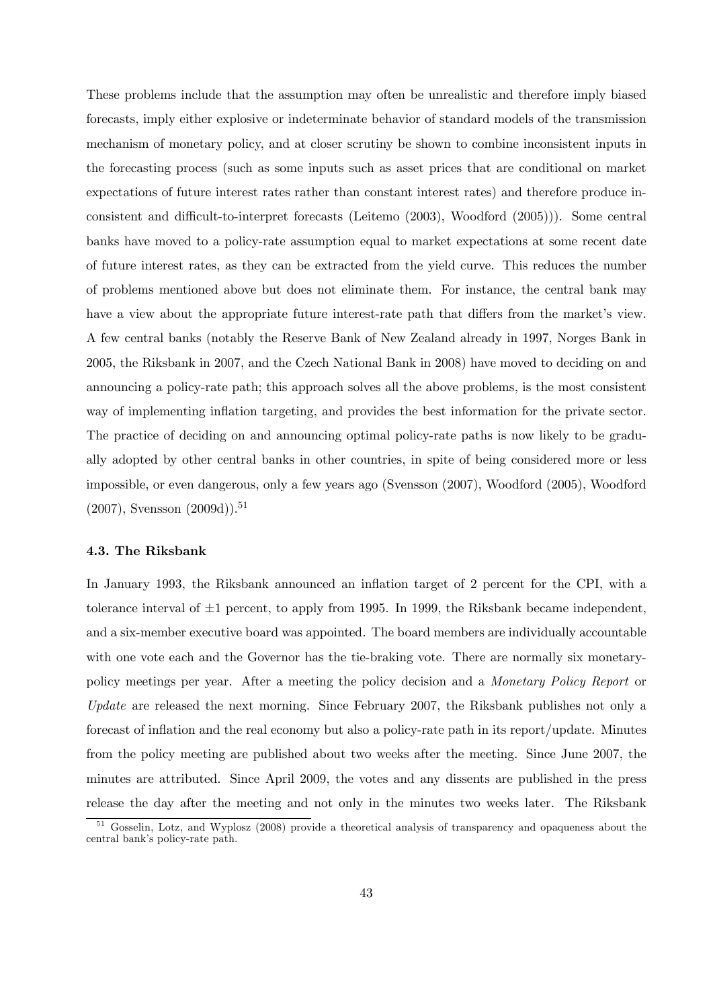These problems include that the assumption may often be unrealistic and therefore imply biased forecasts, imply either explosive or indeterminate behavior of standard models of the transmission mechanism of monetary policy, and at closer scrutiny be shown to combine inconsistent inputs in the forecasting process (such as some inputs such as asset prices that are conditional on market expectations of future interest rates rather than constant interest rates) and therefore produce inconsistent and difficult-to-interpret forecasts (Leitemo (2003), Woodford (2005))). Some central banks have moved to a policy-rate assumption equal to market expectations at some recent date of future interest rates, as they can be extracted from the yield curve. This reduces the number of problems mentioned above but does not eliminate them. For instance, the central bank may have a view about the appropriate future interest-rate path that differs from the market's view. A few central banks (notably the Reserve Bank of New Zealand already in 1997, Norges Bank in 2005, the Riksbank in 2007, and the Czech National Bank in 2008) have moved to deciding on and announcing a policy-rate path; this approach solves all the above problems, is the most consistent way of implementing inflation targeting, and provides the best information for the private sector. The practice of deciding on and announcing optimal policy-rate paths is now likely to be gradually adopted by other central banks in other countries, in spite of being considered more or less impossible, or even dangerous, only a few years ago (Svensson (2007), Woodford (2005), Woodford  $(2007)$ , Svensson  $(2009d)$ .<sup>51</sup>

### 4.3. The Riksbank

In January 1993, the Riksbank announced an inflation target of 2 percent for the CPI, with a tolerance interval of  $\pm 1$  percent, to apply from 1995. In 1999, the Riksbank became independent, and a six-member executive board was appointed. The board members are individually accountable with one vote each and the Governor has the tie-braking vote. There are normally six monetarypolicy meetings per year. After a meeting the policy decision and a Monetary Policy Report or Update are released the next morning. Since February 2007, the Riksbank publishes not only a forecast of inflation and the real economy but also a policy-rate path in its report/update. Minutes from the policy meeting are published about two weeks after the meeting. Since June 2007, the minutes are attributed. Since April 2009, the votes and any dissents are published in the press release the day after the meeting and not only in the minutes two weeks later. The Riksbank

<sup>&</sup>lt;sup>51</sup> Gosselin, Lotz, and Wyplosz (2008) provide a theoretical analysis of transparency and opaqueness about the central bank's policy-rate path.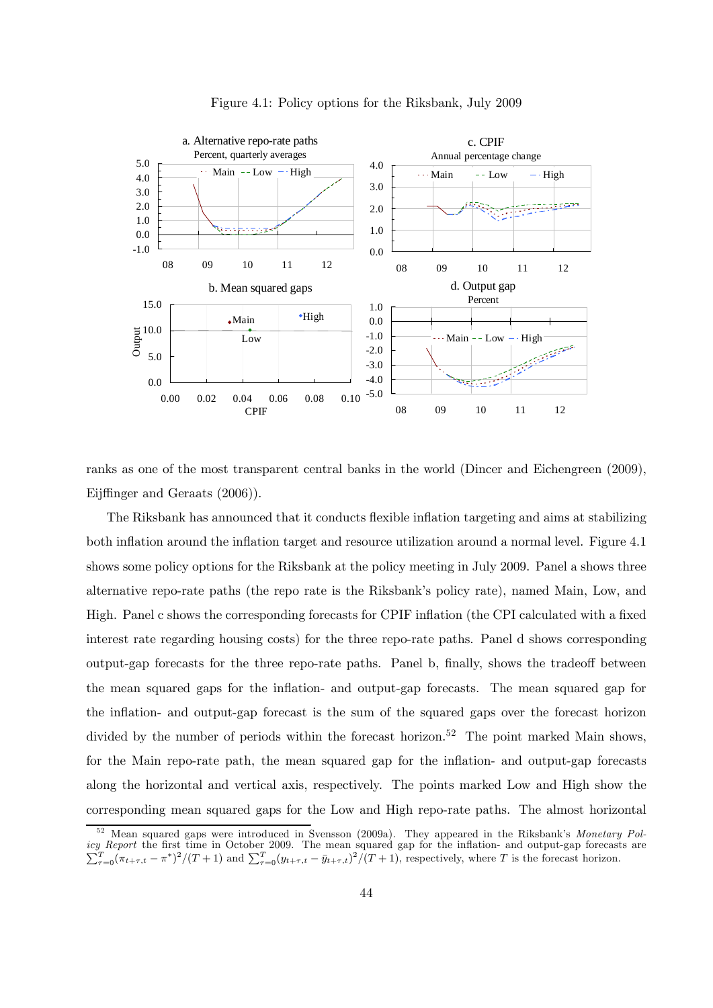

Figure 4.1: Policy options for the Riksbank, July 2009

ranks as one of the most transparent central banks in the world (Dincer and Eichengreen (2009), Eijffinger and Geraats (2006)).

The Riksbank has announced that it conducts flexible inflation targeting and aims at stabilizing both inflation around the inflation target and resource utilization around a normal level. Figure 4.1 shows some policy options for the Riksbank at the policy meeting in July 2009. Panel a shows three alternative repo-rate paths (the repo rate is the Riksbank's policy rate), named Main, Low, and High. Panel c shows the corresponding forecasts for CPIF inflation (the CPI calculated with a fixed interest rate regarding housing costs) for the three repo-rate paths. Panel d shows corresponding output-gap forecasts for the three repo-rate paths. Panel b, finally, shows the tradeoff between the mean squared gaps for the inflation- and output-gap forecasts. The mean squared gap for the inflation- and output-gap forecast is the sum of the squared gaps over the forecast horizon divided by the number of periods within the forecast horizon.<sup>52</sup> The point marked Main shows, for the Main repo-rate path, the mean squared gap for the inflation- and output-gap forecasts along the horizontal and vertical axis, respectively. The points marked Low and High show the corresponding mean squared gaps for the Low and High repo-rate paths. The almost horizontal

 $52$  Mean squared gaps were introduced in Svensson (2009a). They appeared in the Riksbank's Monetary Policy Report  $\overline{\Sigma}$ y Report the first time in October 2009. The mean squared gap for the inflation- and output-gap forecasts are  $T_{\tau=0}^T(\pi_{t+\tau,t}-\pi^*)^2/(T+1)$  and  $\sum_{\tau=0}^T(y_{t+\tau,t}-\bar{y}_{t+\tau,t})^2/(T+1)$ , respectively, where T is the forecast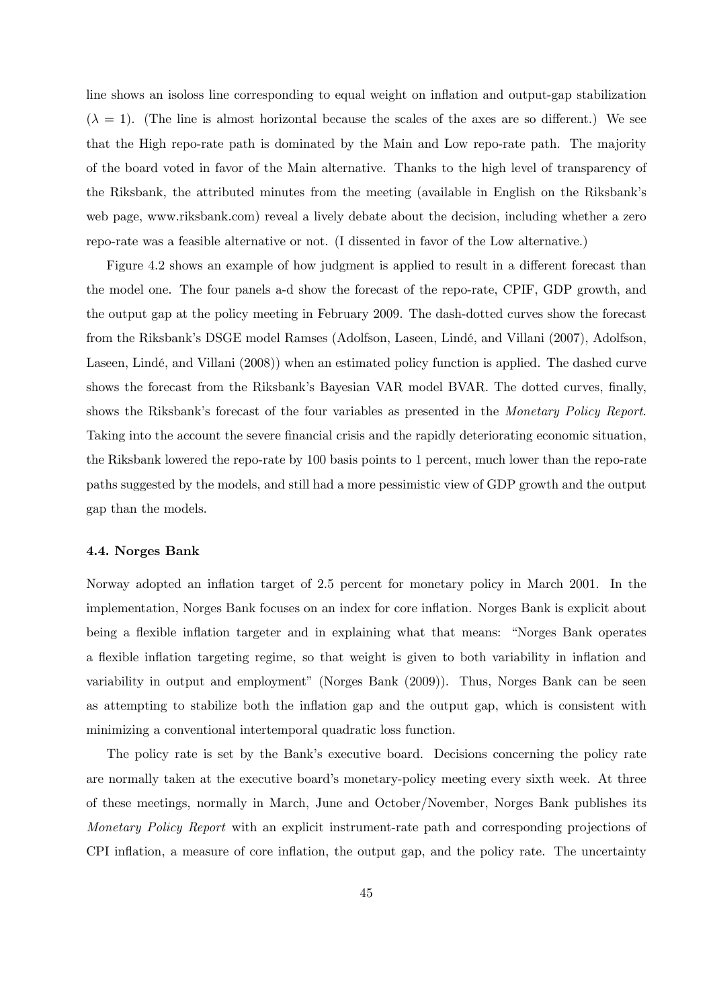line shows an isoloss line corresponding to equal weight on inflation and output-gap stabilization  $(\lambda = 1)$ . (The line is almost horizontal because the scales of the axes are so different.) We see that the High repo-rate path is dominated by the Main and Low repo-rate path. The majority of the board voted in favor of the Main alternative. Thanks to the high level of transparency of the Riksbank, the attributed minutes from the meeting (available in English on the Riksbank's web page, www.riksbank.com) reveal a lively debate about the decision, including whether a zero repo-rate was a feasible alternative or not. (I dissented in favor of the Low alternative.)

Figure 4.2 shows an example of how judgment is applied to result in a different forecast than the model one. The four panels a-d show the forecast of the repo-rate, CPIF, GDP growth, and the output gap at the policy meeting in February 2009. The dash-dotted curves show the forecast from the Riksbank's DSGE model Ramses (Adolfson, Laseen, Lindé, and Villani (2007), Adolfson, Laseen, Lindé, and Villani (2008)) when an estimated policy function is applied. The dashed curve shows the forecast from the Riksbank's Bayesian VAR model BVAR. The dotted curves, finally, shows the Riksbank's forecast of the four variables as presented in the Monetary Policy Report. Taking into the account the severe financial crisis and the rapidly deteriorating economic situation, the Riksbank lowered the repo-rate by 100 basis points to 1 percent, much lower than the repo-rate paths suggested by the models, and still had a more pessimistic view of GDP growth and the output gap than the models.

#### 4.4. Norges Bank

Norway adopted an inflation target of 2.5 percent for monetary policy in March 2001. In the implementation, Norges Bank focuses on an index for core inflation. Norges Bank is explicit about being a flexible inflation targeter and in explaining what that means: "Norges Bank operates a flexible inflation targeting regime, so that weight is given to both variability in inflation and variability in output and employment" (Norges Bank (2009)). Thus, Norges Bank can be seen as attempting to stabilize both the inflation gap and the output gap, which is consistent with minimizing a conventional intertemporal quadratic loss function.

The policy rate is set by the Bank's executive board. Decisions concerning the policy rate are normally taken at the executive board's monetary-policy meeting every sixth week. At three of these meetings, normally in March, June and October/November, Norges Bank publishes its Monetary Policy Report with an explicit instrument-rate path and corresponding projections of CPI inflation, a measure of core inflation, the output gap, and the policy rate. The uncertainty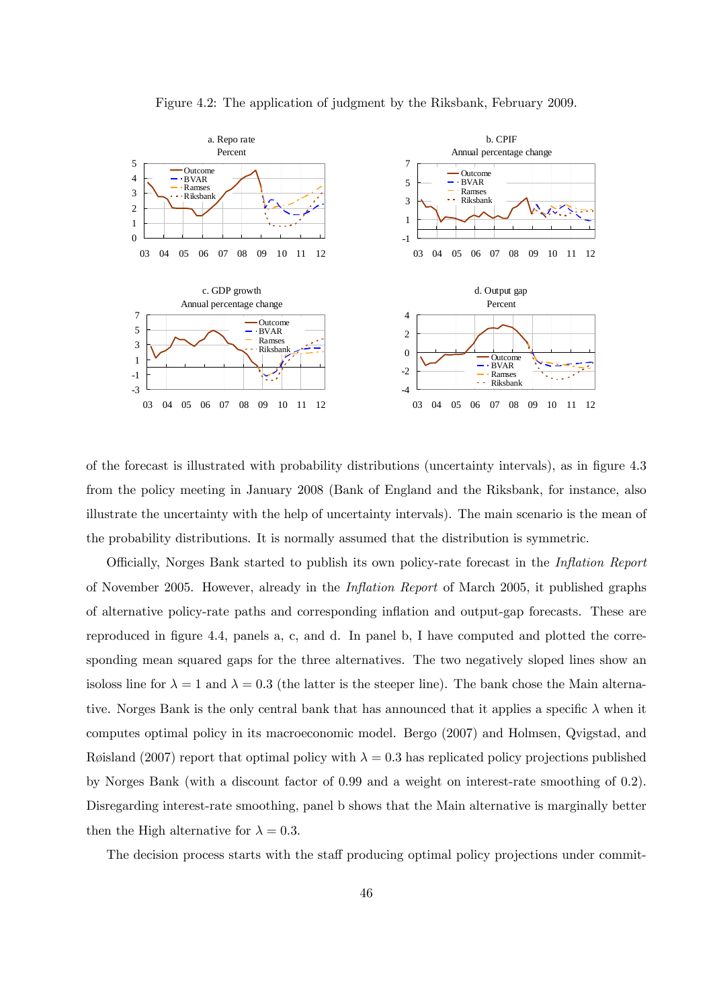

Figure 4.2: The application of judgment by the Riksbank, February 2009.

of the forecast is illustrated with probability distributions (uncertainty intervals), as in figure 4.3 from the policy meeting in January 2008 (Bank of England and the Riksbank, for instance, also illustrate the uncertainty with the help of uncertainty intervals). The main scenario is the mean of the probability distributions. It is normally assumed that the distribution is symmetric.

Officially, Norges Bank started to publish its own policy-rate forecast in the Inflation Report of November 2005. However, already in the Inflation Report of March 2005, it published graphs of alternative policy-rate paths and corresponding inflation and output-gap forecasts. These are reproduced in figure 4.4, panels a, c, and d. In panel b, I have computed and plotted the corresponding mean squared gaps for the three alternatives. The two negatively sloped lines show an isoloss line for  $\lambda = 1$  and  $\lambda = 0.3$  (the latter is the steeper line). The bank chose the Main alternative. Norges Bank is the only central bank that has announced that it applies a specific  $\lambda$  when it computes optimal policy in its macroeconomic model. Bergo (2007) and Holmsen, Qvigstad, and Røisland (2007) report that optimal policy with  $\lambda = 0.3$  has replicated policy projections published by Norges Bank (with a discount factor of 099 and a weight on interest-rate smoothing of 02). Disregarding interest-rate smoothing, panel b shows that the Main alternative is marginally better then the High alternative for  $\lambda = 0.3$ .

The decision process starts with the staff producing optimal policy projections under commit-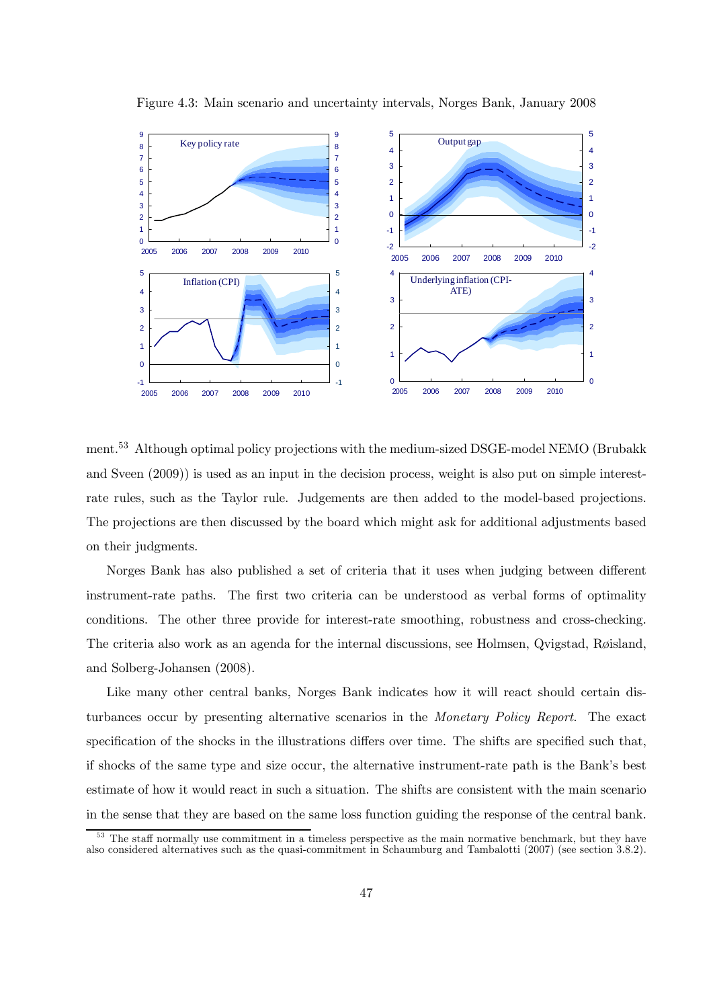

Figure 4.3: Main scenario and uncertainty intervals, Norges Bank, January 2008

ment.<sup>53</sup> Although optimal policy projections with the medium-sized DSGE-model NEMO (Brubakk and Sveen (2009)) is used as an input in the decision process, weight is also put on simple interestrate rules, such as the Taylor rule. Judgements are then added to the model-based projections. The projections are then discussed by the board which might ask for additional adjustments based on their judgments.

Norges Bank has also published a set of criteria that it uses when judging between different instrument-rate paths. The first two criteria can be understood as verbal forms of optimality conditions. The other three provide for interest-rate smoothing, robustness and cross-checking. The criteria also work as an agenda for the internal discussions, see Holmsen, Qvigstad, Røisland, and Solberg-Johansen (2008).

Like many other central banks, Norges Bank indicates how it will react should certain disturbances occur by presenting alternative scenarios in the Monetary Policy Report. The exact specification of the shocks in the illustrations differs over time. The shifts are specified such that, if shocks of the same type and size occur, the alternative instrument-rate path is the Bank's best estimate of how it would react in such a situation. The shifts are consistent with the main scenario in the sense that they are based on the same loss function guiding the response of the central bank.

<sup>&</sup>lt;sup>53</sup> The staff normally use commitment in a timeless perspective as the main normative benchmark, but they have also considered alternatives such as the quasi-commitment in Schaumburg and Tambalotti (2007) (see section 3.8.2).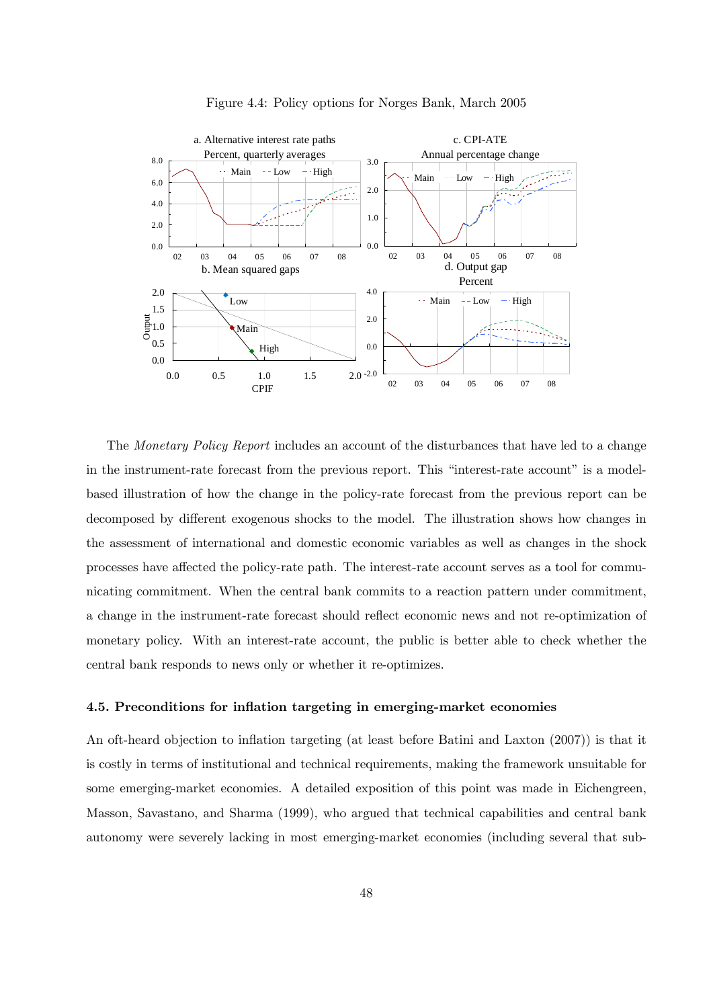

Figure 4.4: Policy options for Norges Bank, March 2005

The Monetary Policy Report includes an account of the disturbances that have led to a change in the instrument-rate forecast from the previous report. This "interest-rate account" is a modelbased illustration of how the change in the policy-rate forecast from the previous report can be decomposed by different exogenous shocks to the model. The illustration shows how changes in the assessment of international and domestic economic variables as well as changes in the shock processes have affected the policy-rate path. The interest-rate account serves as a tool for communicating commitment. When the central bank commits to a reaction pattern under commitment, a change in the instrument-rate forecast should reflect economic news and not re-optimization of monetary policy. With an interest-rate account, the public is better able to check whether the central bank responds to news only or whether it re-optimizes.

#### 4.5. Preconditions for inflation targeting in emerging-market economies

An oft-heard objection to inflation targeting (at least before Batini and Laxton (2007)) is that it is costly in terms of institutional and technical requirements, making the framework unsuitable for some emerging-market economies. A detailed exposition of this point was made in Eichengreen, Masson, Savastano, and Sharma (1999), who argued that technical capabilities and central bank autonomy were severely lacking in most emerging-market economies (including several that sub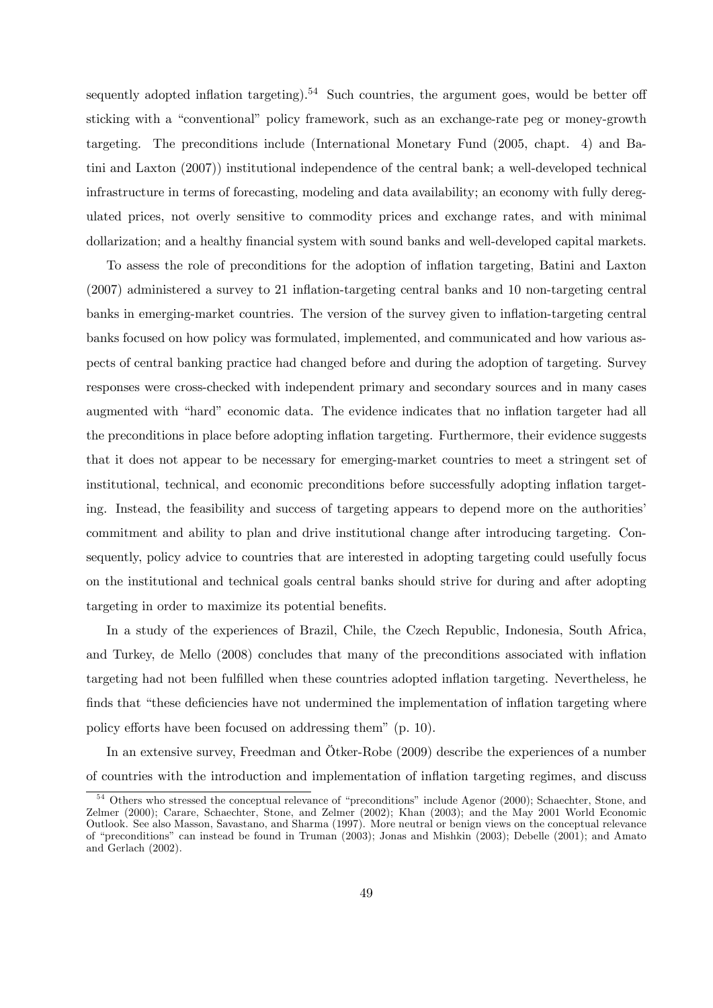sequently adopted inflation targeting).<sup>54</sup> Such countries, the argument goes, would be better off sticking with a "conventional" policy framework, such as an exchange-rate peg or money-growth targeting. The preconditions include (International Monetary Fund (2005, chapt. 4) and Batini and Laxton (2007)) institutional independence of the central bank; a well-developed technical infrastructure in terms of forecasting, modeling and data availability; an economy with fully deregulated prices, not overly sensitive to commodity prices and exchange rates, and with minimal dollarization; and a healthy financial system with sound banks and well-developed capital markets.

To assess the role of preconditions for the adoption of inflation targeting, Batini and Laxton (2007) administered a survey to 21 inflation-targeting central banks and 10 non-targeting central banks in emerging-market countries. The version of the survey given to inflation-targeting central banks focused on how policy was formulated, implemented, and communicated and how various aspects of central banking practice had changed before and during the adoption of targeting. Survey responses were cross-checked with independent primary and secondary sources and in many cases augmented with "hard" economic data. The evidence indicates that no inflation targeter had all the preconditions in place before adopting inflation targeting. Furthermore, their evidence suggests that it does not appear to be necessary for emerging-market countries to meet a stringent set of institutional, technical, and economic preconditions before successfully adopting inflation targeting. Instead, the feasibility and success of targeting appears to depend more on the authorities' commitment and ability to plan and drive institutional change after introducing targeting. Consequently, policy advice to countries that are interested in adopting targeting could usefully focus on the institutional and technical goals central banks should strive for during and after adopting targeting in order to maximize its potential benefits.

In a study of the experiences of Brazil, Chile, the Czech Republic, Indonesia, South Africa, and Turkey, de Mello (2008) concludes that many of the preconditions associated with inflation targeting had not been fulfilled when these countries adopted inflation targeting. Nevertheless, he finds that "these deficiencies have not undermined the implementation of inflation targeting where policy efforts have been focused on addressing them" (p. 10).

In an extensive survey, Freedman and Ötker-Robe (2009) describe the experiences of a number of countries with the introduction and implementation of inflation targeting regimes, and discuss

<sup>&</sup>lt;sup>54</sup> Others who stressed the conceptual relevance of "preconditions" include Agenor (2000); Schaechter, Stone, and Zelmer (2000); Carare, Schaechter, Stone, and Zelmer (2002); Khan (2003); and the May 2001 World Economic Outlook. See also Masson, Savastano, and Sharma (1997). More neutral or benign views on the conceptual relevance of "preconditions" can instead be found in Truman (2003); Jonas and Mishkin (2003); Debelle (2001); and Amato and Gerlach (2002).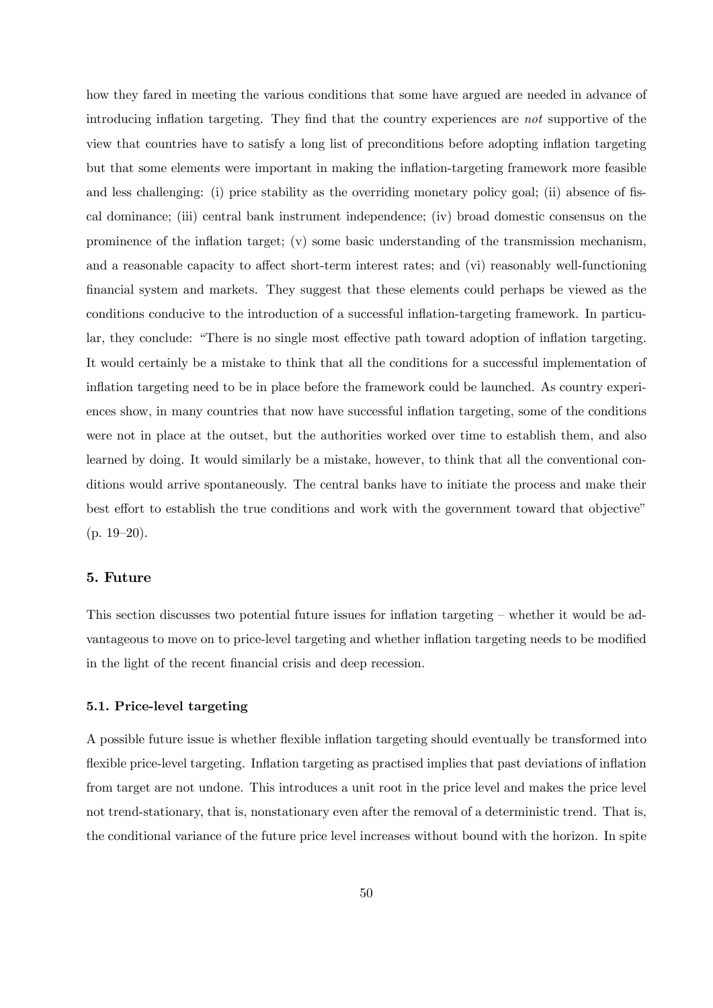how they fared in meeting the various conditions that some have argued are needed in advance of introducing inflation targeting. They find that the country experiences are not supportive of the view that countries have to satisfy a long list of preconditions before adopting inflation targeting but that some elements were important in making the inflation-targeting framework more feasible and less challenging: (i) price stability as the overriding monetary policy goal; (ii) absence of fiscal dominance; (iii) central bank instrument independence; (iv) broad domestic consensus on the prominence of the inflation target; (v) some basic understanding of the transmission mechanism, and a reasonable capacity to affect short-term interest rates; and (vi) reasonably well-functioning financial system and markets. They suggest that these elements could perhaps be viewed as the conditions conducive to the introduction of a successful inflation-targeting framework. In particular, they conclude: "There is no single most effective path toward adoption of inflation targeting. It would certainly be a mistake to think that all the conditions for a successful implementation of inflation targeting need to be in place before the framework could be launched. As country experiences show, in many countries that now have successful inflation targeting, some of the conditions were not in place at the outset, but the authorities worked over time to establish them, and also learned by doing. It would similarly be a mistake, however, to think that all the conventional conditions would arrive spontaneously. The central banks have to initiate the process and make their best effort to establish the true conditions and work with the government toward that objective"  $(p. 19-20)$ .

#### 5. Future

This section discusses two potential future issues for inflation targeting — whether it would be advantageous to move on to price-level targeting and whether inflation targeting needs to be modified in the light of the recent financial crisis and deep recession.

# 5.1. Price-level targeting

A possible future issue is whether flexible inflation targeting should eventually be transformed into flexible price-level targeting. Inflation targeting as practised implies that past deviations of inflation from target are not undone. This introduces a unit root in the price level and makes the price level not trend-stationary, that is, nonstationary even after the removal of a deterministic trend. That is, the conditional variance of the future price level increases without bound with the horizon. In spite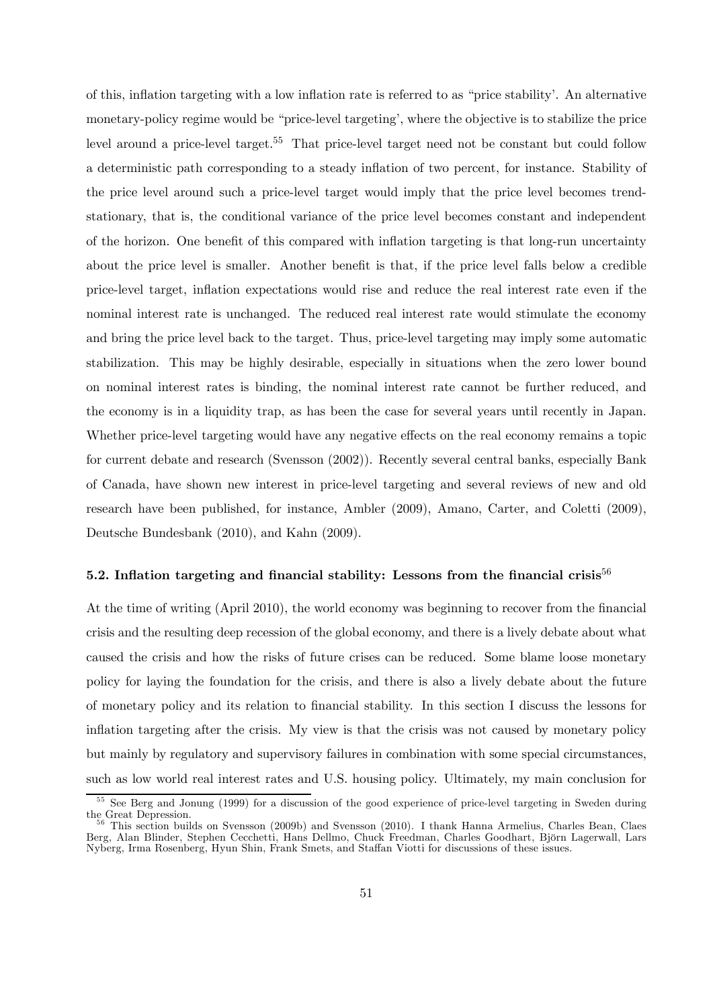of this, inflation targeting with a low inflation rate is referred to as "price stability'. An alternative monetary-policy regime would be "price-level targeting', where the objective is to stabilize the price level around a price-level target.55 That price-level target need not be constant but could follow a deterministic path corresponding to a steady inflation of two percent, for instance. Stability of the price level around such a price-level target would imply that the price level becomes trendstationary, that is, the conditional variance of the price level becomes constant and independent of the horizon. One benefit of this compared with inflation targeting is that long-run uncertainty about the price level is smaller. Another benefit is that, if the price level falls below a credible price-level target, inflation expectations would rise and reduce the real interest rate even if the nominal interest rate is unchanged. The reduced real interest rate would stimulate the economy and bring the price level back to the target. Thus, price-level targeting may imply some automatic stabilization. This may be highly desirable, especially in situations when the zero lower bound on nominal interest rates is binding, the nominal interest rate cannot be further reduced, and the economy is in a liquidity trap, as has been the case for several years until recently in Japan. Whether price-level targeting would have any negative effects on the real economy remains a topic for current debate and research (Svensson (2002)). Recently several central banks, especially Bank of Canada, have shown new interest in price-level targeting and several reviews of new and old research have been published, for instance, Ambler (2009), Amano, Carter, and Coletti (2009), Deutsche Bundesbank (2010), and Kahn (2009).

# 5.2. Inflation targeting and financial stability: Lessons from the financial crisis<sup>56</sup>

At the time of writing (April 2010), the world economy was beginning to recover from the financial crisis and the resulting deep recession of the global economy, and there is a lively debate about what caused the crisis and how the risks of future crises can be reduced. Some blame loose monetary policy for laying the foundation for the crisis, and there is also a lively debate about the future of monetary policy and its relation to financial stability. In this section I discuss the lessons for inflation targeting after the crisis. My view is that the crisis was not caused by monetary policy but mainly by regulatory and supervisory failures in combination with some special circumstances, such as low world real interest rates and U.S. housing policy. Ultimately, my main conclusion for

<sup>&</sup>lt;sup>55</sup> See Berg and Jonung (1999) for a discussion of the good experience of price-level targeting in Sweden during the Great Depression.<br><sup>56</sup> This section builds on Svensson (2009b) and Svensson (2010). I thank Hanna Armelius, Charles Bean, Claes

Berg, Alan Blinder, Stephen Cecchetti, Hans Dellmo, Chuck Freedman, Charles Goodhart, Björn Lagerwall, Lars Nyberg, Irma Rosenberg, Hyun Shin, Frank Smets, and Staffan Viotti for discussions of these issues.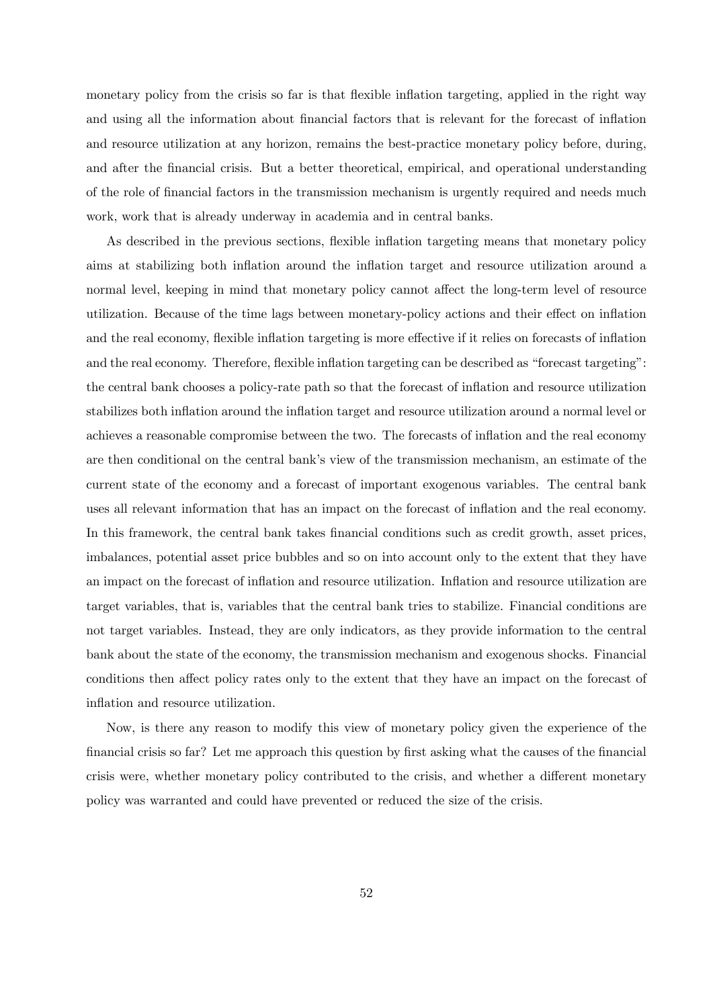monetary policy from the crisis so far is that flexible inflation targeting, applied in the right way and using all the information about financial factors that is relevant for the forecast of inflation and resource utilization at any horizon, remains the best-practice monetary policy before, during, and after the financial crisis. But a better theoretical, empirical, and operational understanding of the role of financial factors in the transmission mechanism is urgently required and needs much work, work that is already underway in academia and in central banks.

As described in the previous sections, flexible inflation targeting means that monetary policy aims at stabilizing both inflation around the inflation target and resource utilization around a normal level, keeping in mind that monetary policy cannot affect the long-term level of resource utilization. Because of the time lags between monetary-policy actions and their effect on inflation and the real economy, flexible inflation targeting is more effective if it relies on forecasts of inflation and the real economy. Therefore, flexible inflation targeting can be described as "forecast targeting": the central bank chooses a policy-rate path so that the forecast of inflation and resource utilization stabilizes both inflation around the inflation target and resource utilization around a normal level or achieves a reasonable compromise between the two. The forecasts of inflation and the real economy are then conditional on the central bank's view of the transmission mechanism, an estimate of the current state of the economy and a forecast of important exogenous variables. The central bank uses all relevant information that has an impact on the forecast of inflation and the real economy. In this framework, the central bank takes financial conditions such as credit growth, asset prices, imbalances, potential asset price bubbles and so on into account only to the extent that they have an impact on the forecast of inflation and resource utilization. Inflation and resource utilization are target variables, that is, variables that the central bank tries to stabilize. Financial conditions are not target variables. Instead, they are only indicators, as they provide information to the central bank about the state of the economy, the transmission mechanism and exogenous shocks. Financial conditions then affect policy rates only to the extent that they have an impact on the forecast of inflation and resource utilization.

Now, is there any reason to modify this view of monetary policy given the experience of the financial crisis so far? Let me approach this question by first asking what the causes of the financial crisis were, whether monetary policy contributed to the crisis, and whether a different monetary policy was warranted and could have prevented or reduced the size of the crisis.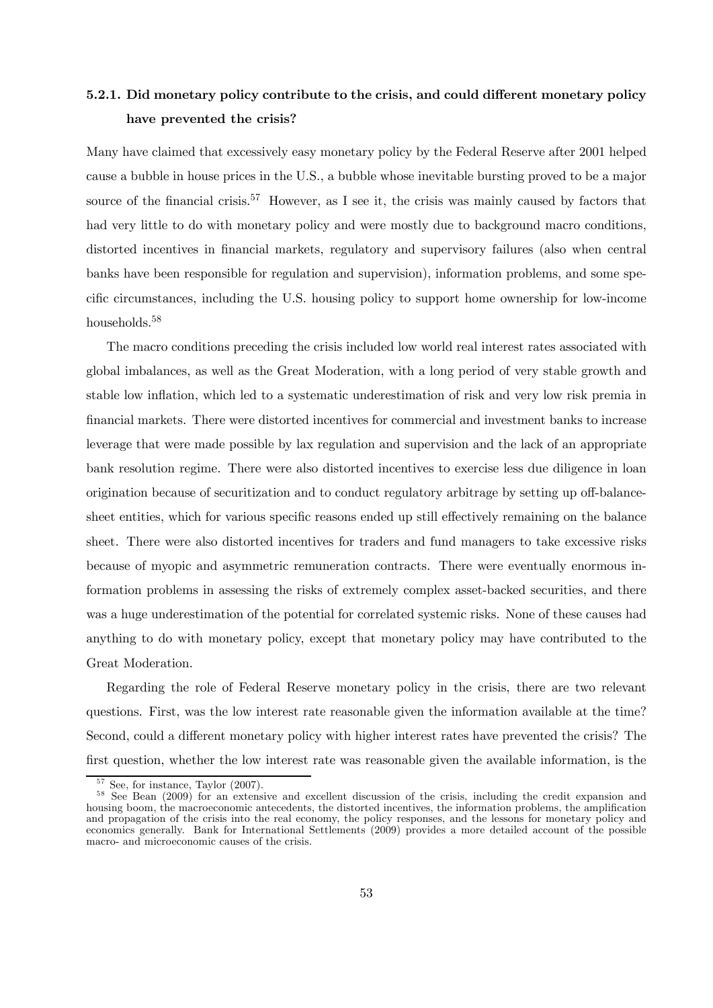# 5.2.1. Did monetary policy contribute to the crisis, and could different monetary policy have prevented the crisis?

Many have claimed that excessively easy monetary policy by the Federal Reserve after 2001 helped cause a bubble in house prices in the U.S., a bubble whose inevitable bursting proved to be a major source of the financial crisis.<sup>57</sup> However, as I see it, the crisis was mainly caused by factors that had very little to do with monetary policy and were mostly due to background macro conditions, distorted incentives in financial markets, regulatory and supervisory failures (also when central banks have been responsible for regulation and supervision), information problems, and some specific circumstances, including the U.S. housing policy to support home ownership for low-income households.<sup>58</sup>

The macro conditions preceding the crisis included low world real interest rates associated with global imbalances, as well as the Great Moderation, with a long period of very stable growth and stable low inflation, which led to a systematic underestimation of risk and very low risk premia in financial markets. There were distorted incentives for commercial and investment banks to increase leverage that were made possible by lax regulation and supervision and the lack of an appropriate bank resolution regime. There were also distorted incentives to exercise less due diligence in loan origination because of securitization and to conduct regulatory arbitrage by setting up off-balancesheet entities, which for various specific reasons ended up still effectively remaining on the balance sheet. There were also distorted incentives for traders and fund managers to take excessive risks because of myopic and asymmetric remuneration contracts. There were eventually enormous information problems in assessing the risks of extremely complex asset-backed securities, and there was a huge underestimation of the potential for correlated systemic risks. None of these causes had anything to do with monetary policy, except that monetary policy may have contributed to the Great Moderation.

Regarding the role of Federal Reserve monetary policy in the crisis, there are two relevant questions. First, was the low interest rate reasonable given the information available at the time? Second, could a different monetary policy with higher interest rates have prevented the crisis? The first question, whether the low interest rate was reasonable given the available information, is the

 $^{57}$  See, for instance, Taylor (2007).<br><sup>58</sup> See Bean (2009) for an extensive and excellent discussion of the crisis, including the credit expansion and housing boom, the macroeconomic antecedents, the distorted incentives, the information problems, the amplification and propagation of the crisis into the real economy, the policy responses, and the lessons for monetary policy and economics generally. Bank for International Settlements (2009) provides a more detailed account of the possible macro- and microeconomic causes of the crisis.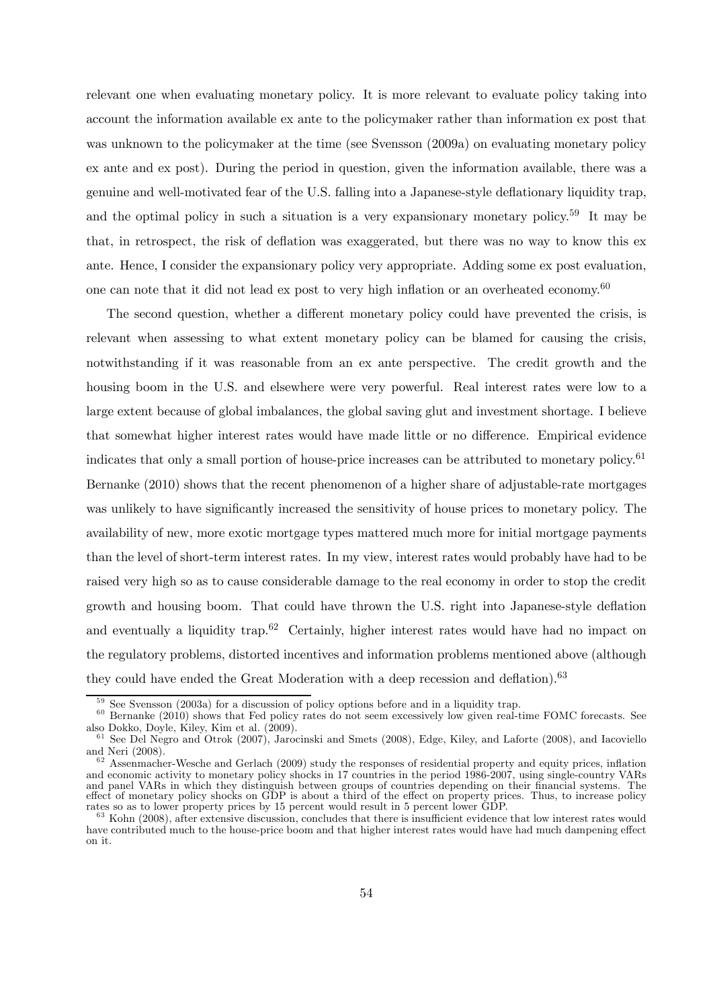relevant one when evaluating monetary policy. It is more relevant to evaluate policy taking into account the information available ex ante to the policymaker rather than information ex post that was unknown to the policymaker at the time (see Svensson  $(2009a)$ ) on evaluating monetary policy ex ante and ex post). During the period in question, given the information available, there was a genuine and well-motivated fear of the U.S. falling into a Japanese-style deflationary liquidity trap, and the optimal policy in such a situation is a very expansionary monetary policy.<sup>59</sup> It may be that, in retrospect, the risk of deflation was exaggerated, but there was no way to know this ex ante. Hence, I consider the expansionary policy very appropriate. Adding some ex post evaluation, one can note that it did not lead ex post to very high inflation or an overheated economy.<sup>60</sup>

The second question, whether a different monetary policy could have prevented the crisis, is relevant when assessing to what extent monetary policy can be blamed for causing the crisis, notwithstanding if it was reasonable from an ex ante perspective. The credit growth and the housing boom in the U.S. and elsewhere were very powerful. Real interest rates were low to a large extent because of global imbalances, the global saving glut and investment shortage. I believe that somewhat higher interest rates would have made little or no difference. Empirical evidence indicates that only a small portion of house-price increases can be attributed to monetary policy.<sup>61</sup> Bernanke (2010) shows that the recent phenomenon of a higher share of adjustable-rate mortgages was unlikely to have significantly increased the sensitivity of house prices to monetary policy. The availability of new, more exotic mortgage types mattered much more for initial mortgage payments than the level of short-term interest rates. In my view, interest rates would probably have had to be raised very high so as to cause considerable damage to the real economy in order to stop the credit growth and housing boom. That could have thrown the U.S. right into Japanese-style deflation and eventually a liquidity trap.<sup>62</sup> Certainly, higher interest rates would have had no impact on the regulatory problems, distorted incentives and information problems mentioned above (although they could have ended the Great Moderation with a deep recession and deflation).<sup>63</sup>

 $^{59}$  See Svensson (2003a) for a discussion of policy options before and in a liquidity trap.<br><sup>60</sup> Bernanke (2010) shows that Fed policy rates do not seem excessively low given real-time FOMC forecasts. See also Dokko, Doyle, Kiley, Kim et al. (2009).<br><sup>61</sup> See Del Negro and Otrok (2007), Jarocinski and Smets (2008), Edge, Kiley, and Laforte (2008), and Iacoviello

and Neri (2008).  $^{62}$  Assenmacher-Wesche and Gerlach (2009) study the responses of residential property and equity prices, inflation

and economic activity to monetary policy shocks in 17 countries in the period 1986-2007, using single-country VARs and panel VARs in which they distinguish between groups of countries depending on their financial systems. effect of monetary policy shocks on GDP is about a third of the effect on property prices. Thus, to increase policy<br>rates so as to lower property prices by 15 percent would result in 5 percent lower GDP.

 $\frac{63}{63}$  Kohn (2008), after extensive discussion, concludes that there is insufficient evidence that low interest rates would have contributed much to the house-price boom and that higher interest rates would have had much dampening effect on it.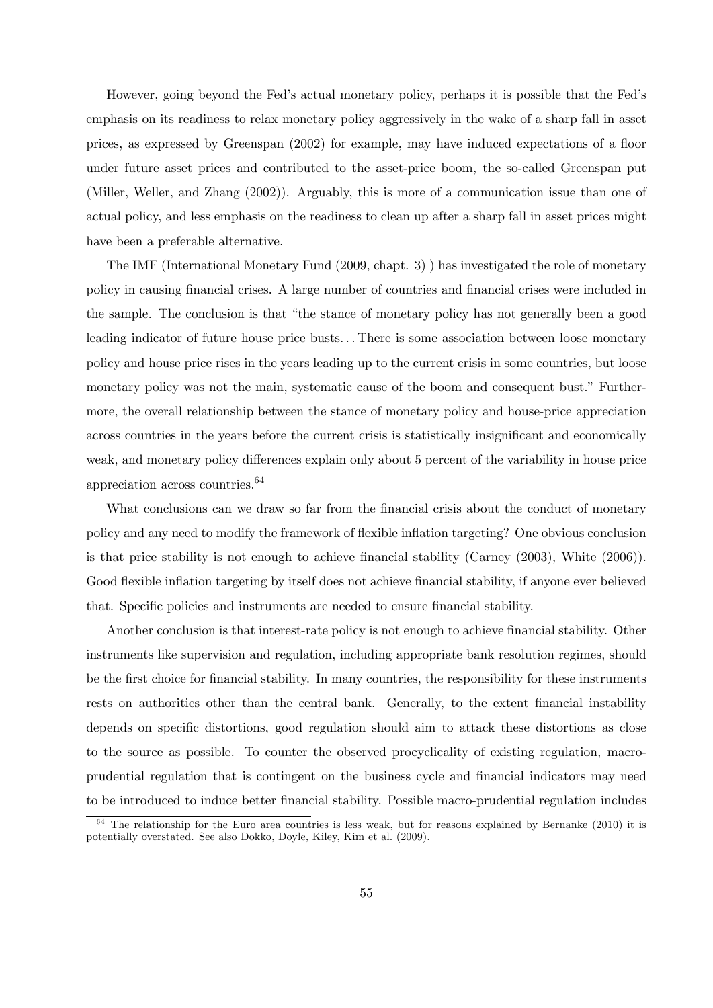However, going beyond the Fed's actual monetary policy, perhaps it is possible that the Fed's emphasis on its readiness to relax monetary policy aggressively in the wake of a sharp fall in asset prices, as expressed by Greenspan (2002) for example, may have induced expectations of a floor under future asset prices and contributed to the asset-price boom, the so-called Greenspan put (Miller, Weller, and Zhang (2002)). Arguably, this is more of a communication issue than one of actual policy, and less emphasis on the readiness to clean up after a sharp fall in asset prices might have been a preferable alternative.

The IMF (International Monetary Fund (2009, chapt. 3) ) has investigated the role of monetary policy in causing financial crises. A large number of countries and financial crises were included in the sample. The conclusion is that "the stance of monetary policy has not generally been a good leading indicator of future house price busts. . . There is some association between loose monetary policy and house price rises in the years leading up to the current crisis in some countries, but loose monetary policy was not the main, systematic cause of the boom and consequent bust." Furthermore, the overall relationship between the stance of monetary policy and house-price appreciation across countries in the years before the current crisis is statistically insignificant and economically weak, and monetary policy differences explain only about 5 percent of the variability in house price appreciation across countries.64

What conclusions can we draw so far from the financial crisis about the conduct of monetary policy and any need to modify the framework of flexible inflation targeting? One obvious conclusion is that price stability is not enough to achieve financial stability (Carney (2003), White (2006)). Good flexible inflation targeting by itself does not achieve financial stability, if anyone ever believed that. Specific policies and instruments are needed to ensure financial stability.

Another conclusion is that interest-rate policy is not enough to achieve financial stability. Other instruments like supervision and regulation, including appropriate bank resolution regimes, should be the first choice for financial stability. In many countries, the responsibility for these instruments rests on authorities other than the central bank. Generally, to the extent financial instability depends on specific distortions, good regulation should aim to attack these distortions as close to the source as possible. To counter the observed procyclicality of existing regulation, macroprudential regulation that is contingent on the business cycle and financial indicators may need to be introduced to induce better financial stability. Possible macro-prudential regulation includes

 $64$  The relationship for the Euro area countries is less weak, but for reasons explained by Bernanke (2010) it is potentially overstated. See also Dokko, Doyle, Kiley, Kim et al. (2009).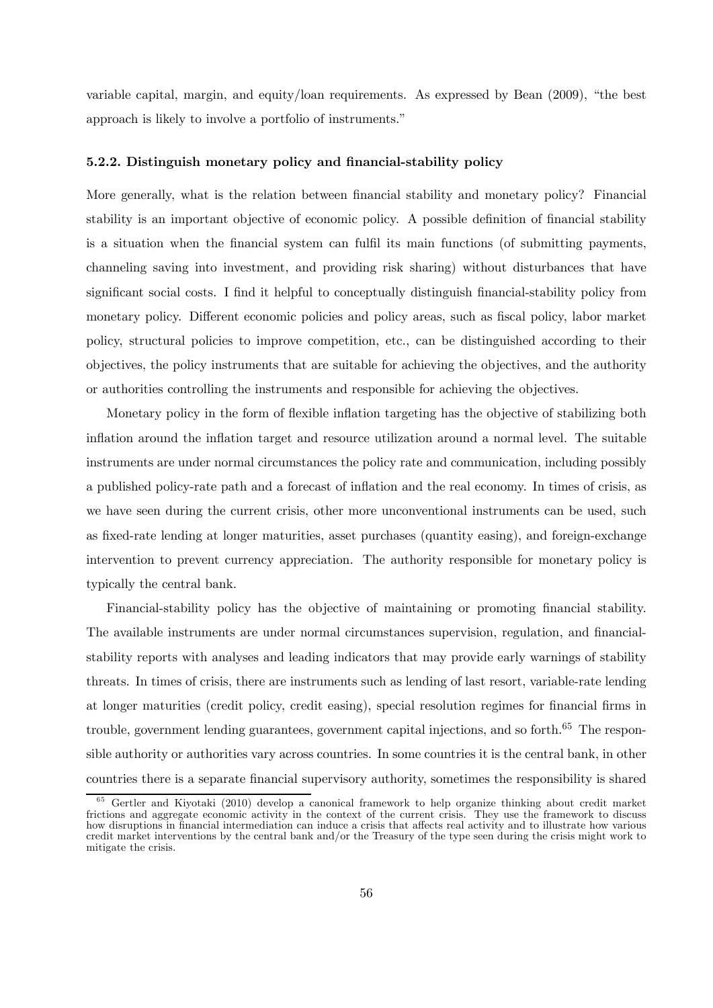variable capital, margin, and equity/loan requirements. As expressed by Bean (2009), "the best approach is likely to involve a portfolio of instruments."

#### 5.2.2. Distinguish monetary policy and financial-stability policy

More generally, what is the relation between financial stability and monetary policy? Financial stability is an important objective of economic policy. A possible definition of financial stability is a situation when the financial system can fulfil its main functions (of submitting payments, channeling saving into investment, and providing risk sharing) without disturbances that have significant social costs. I find it helpful to conceptually distinguish financial-stability policy from monetary policy. Different economic policies and policy areas, such as fiscal policy, labor market policy, structural policies to improve competition, etc., can be distinguished according to their objectives, the policy instruments that are suitable for achieving the objectives, and the authority or authorities controlling the instruments and responsible for achieving the objectives.

Monetary policy in the form of flexible inflation targeting has the objective of stabilizing both inflation around the inflation target and resource utilization around a normal level. The suitable instruments are under normal circumstances the policy rate and communication, including possibly a published policy-rate path and a forecast of inflation and the real economy. In times of crisis, as we have seen during the current crisis, other more unconventional instruments can be used, such as fixed-rate lending at longer maturities, asset purchases (quantity easing), and foreign-exchange intervention to prevent currency appreciation. The authority responsible for monetary policy is typically the central bank.

Financial-stability policy has the objective of maintaining or promoting financial stability. The available instruments are under normal circumstances supervision, regulation, and financialstability reports with analyses and leading indicators that may provide early warnings of stability threats. In times of crisis, there are instruments such as lending of last resort, variable-rate lending at longer maturities (credit policy, credit easing), special resolution regimes for financial firms in trouble, government lending guarantees, government capital injections, and so forth.<sup>65</sup> The responsible authority or authorities vary across countries. In some countries it is the central bank, in other countries there is a separate financial supervisory authority, sometimes the responsibility is shared

<sup>6 5</sup> Gertler and Kiyotaki (2010) develop a canonical framework to help organize thinking about credit market frictions and aggregate economic activity in the context of the current crisis. They use the framework to discuss how disruptions in financial intermediation can induce a crisis that affects real activity and to illustrate how various credit market interventions by the central bank and/or the Treasury of the type seen during the crisis might work to mitigate the crisis.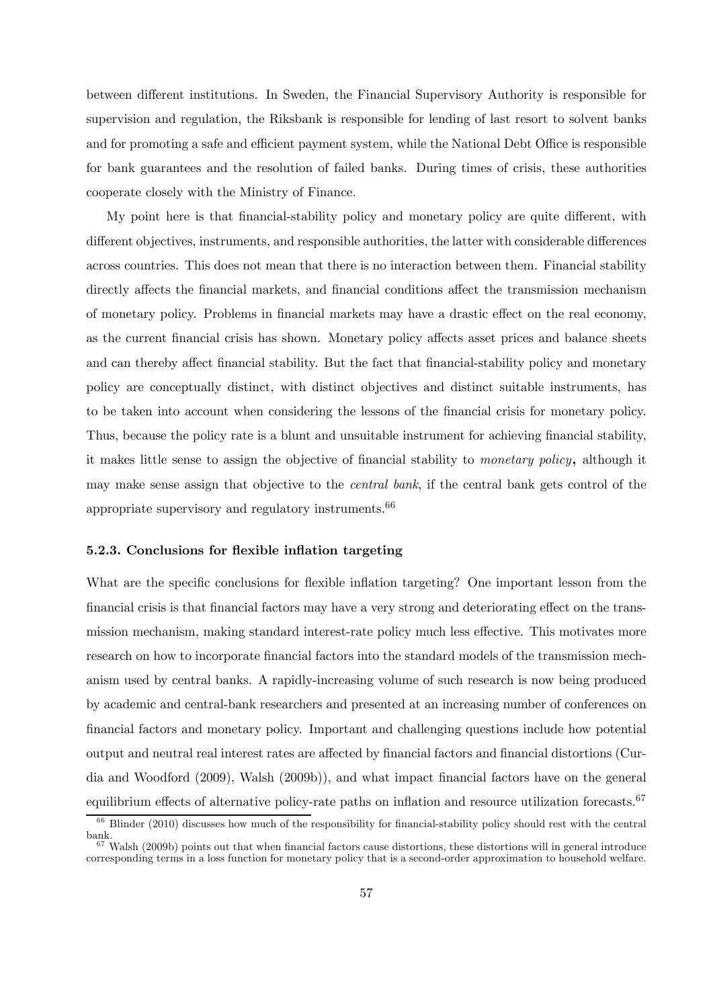between different institutions. In Sweden, the Financial Supervisory Authority is responsible for supervision and regulation, the Riksbank is responsible for lending of last resort to solvent banks and for promoting a safe and efficient payment system, while the National Debt Office is responsible for bank guarantees and the resolution of failed banks. During times of crisis, these authorities cooperate closely with the Ministry of Finance.

My point here is that financial-stability policy and monetary policy are quite different, with different objectives, instruments, and responsible authorities, the latter with considerable differences across countries. This does not mean that there is no interaction between them. Financial stability directly affects the financial markets, and financial conditions affect the transmission mechanism of monetary policy. Problems in financial markets may have a drastic effect on the real economy, as the current financial crisis has shown. Monetary policy affects asset prices and balance sheets and can thereby affect financial stability. But the fact that financial-stability policy and monetary policy are conceptually distinct, with distinct objectives and distinct suitable instruments, has to be taken into account when considering the lessons of the financial crisis for monetary policy. Thus, because the policy rate is a blunt and unsuitable instrument for achieving financial stability, it makes little sense to assign the objective of financial stability to monetary policy, although it may make sense assign that objective to the central bank, if the central bank gets control of the appropriate supervisory and regulatory instruments.66

#### 5.2.3. Conclusions for flexible inflation targeting

What are the specific conclusions for flexible inflation targeting? One important lesson from the financial crisis is that financial factors may have a very strong and deteriorating effect on the transmission mechanism, making standard interest-rate policy much less effective. This motivates more research on how to incorporate financial factors into the standard models of the transmission mechanism used by central banks. A rapidly-increasing volume of such research is now being produced by academic and central-bank researchers and presented at an increasing number of conferences on financial factors and monetary policy. Important and challenging questions include how potential output and neutral real interest rates are affected by financial factors and financial distortions (Curdia and Woodford (2009), Walsh (2009b)), and what impact financial factors have on the general equilibrium effects of alternative policy-rate paths on inflation and resource utilization forecasts.<sup>67</sup>

 $66$  Blinder (2010) discusses how much of the responsibility for financial-stability policy should rest with the central

 $67$  Walsh (2009b) points out that when financial factors cause distortions, these distortions will in general introduce corresponding terms in a loss function for monetary policy that is a second-order approximation to household welfare.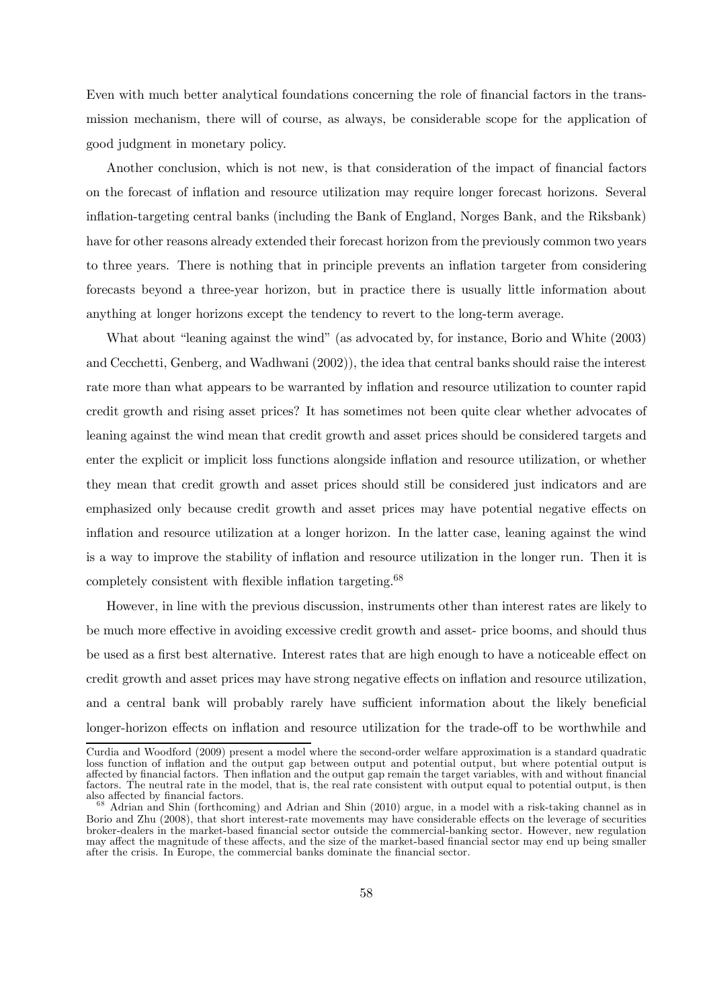Even with much better analytical foundations concerning the role of financial factors in the transmission mechanism, there will of course, as always, be considerable scope for the application of good judgment in monetary policy.

Another conclusion, which is not new, is that consideration of the impact of financial factors on the forecast of inflation and resource utilization may require longer forecast horizons. Several inflation-targeting central banks (including the Bank of England, Norges Bank, and the Riksbank) have for other reasons already extended their forecast horizon from the previously common two years to three years. There is nothing that in principle prevents an inflation targeter from considering forecasts beyond a three-year horizon, but in practice there is usually little information about anything at longer horizons except the tendency to revert to the long-term average.

What about "leaning against the wind" (as advocated by, for instance, Borio and White (2003) and Cecchetti, Genberg, and Wadhwani (2002)), the idea that central banks should raise the interest rate more than what appears to be warranted by inflation and resource utilization to counter rapid credit growth and rising asset prices? It has sometimes not been quite clear whether advocates of leaning against the wind mean that credit growth and asset prices should be considered targets and enter the explicit or implicit loss functions alongside inflation and resource utilization, or whether they mean that credit growth and asset prices should still be considered just indicators and are emphasized only because credit growth and asset prices may have potential negative effects on inflation and resource utilization at a longer horizon. In the latter case, leaning against the wind is a way to improve the stability of inflation and resource utilization in the longer run. Then it is completely consistent with flexible inflation targeting.68

However, in line with the previous discussion, instruments other than interest rates are likely to be much more effective in avoiding excessive credit growth and asset- price booms, and should thus be used as a first best alternative. Interest rates that are high enough to have a noticeable effect on credit growth and asset prices may have strong negative effects on inflation and resource utilization, and a central bank will probably rarely have sufficient information about the likely beneficial longer-horizon effects on inflation and resource utilization for the trade-off to be worthwhile and

Curdia and Woodford (2009) present a model where the second-order welfare approximation is a standard quadratic affected by financial factors. Then inflation and the output gap remain the target variables, with and without financial factors. The neutral rate in the model, that is, the real rate consistent with output equal to potential output, is then also affected by financial factors.

 $68$  Adrian and Shin (forthcoming) and Adrian and Shin (2010) argue, in a model with a risk-taking channel as in Borio and Zhu (2008), that short interest-rate movements may have considerable effects on the leverage of securities broker-dealers in the market-based financial sector outside the commercial-banking sector. However, new regulation may affect the magnitude of these affects, and the size of the market-based financial sector may end up being smaller after the crisis. In Europe, the commercial banks dominate the financial sector.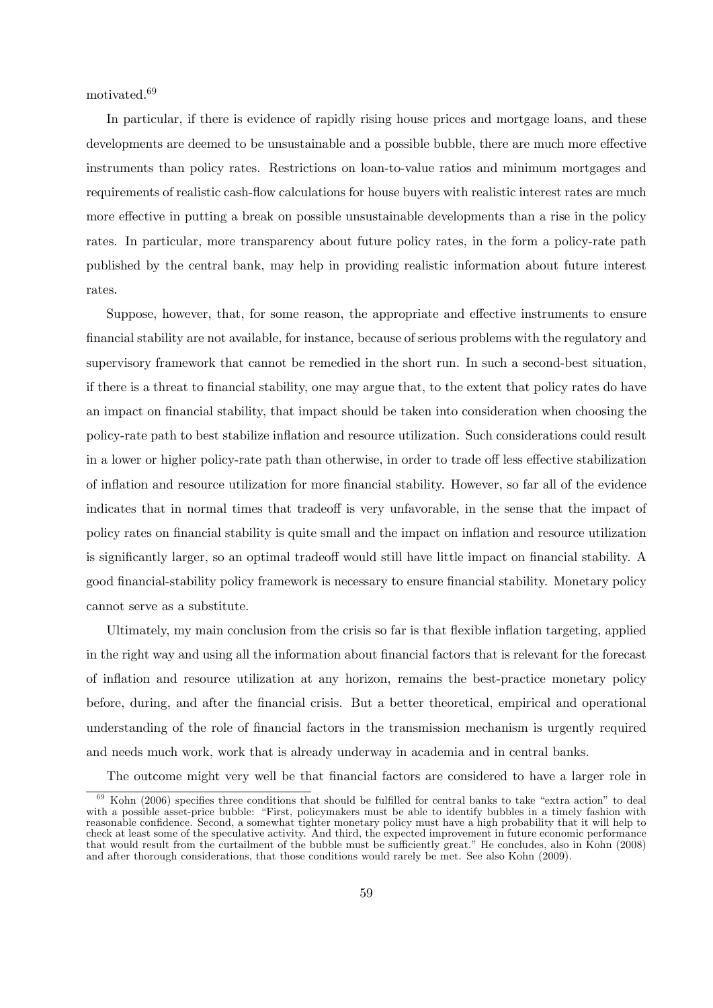motivated.69

In particular, if there is evidence of rapidly rising house prices and mortgage loans, and these developments are deemed to be unsustainable and a possible bubble, there are much more effective instruments than policy rates. Restrictions on loan-to-value ratios and minimum mortgages and requirements of realistic cash-flow calculations for house buyers with realistic interest rates are much more effective in putting a break on possible unsustainable developments than a rise in the policy rates. In particular, more transparency about future policy rates, in the form a policy-rate path published by the central bank, may help in providing realistic information about future interest rates.

Suppose, however, that, for some reason, the appropriate and effective instruments to ensure financial stability are not available, for instance, because of serious problems with the regulatory and supervisory framework that cannot be remedied in the short run. In such a second-best situation, if there is a threat to financial stability, one may argue that, to the extent that policy rates do have an impact on financial stability, that impact should be taken into consideration when choosing the policy-rate path to best stabilize inflation and resource utilization. Such considerations could result in a lower or higher policy-rate path than otherwise, in order to trade off less effective stabilization of inflation and resource utilization for more financial stability. However, so far all of the evidence indicates that in normal times that tradeoff is very unfavorable, in the sense that the impact of policy rates on financial stability is quite small and the impact on inflation and resource utilization is significantly larger, so an optimal tradeoff would still have little impact on financial stability. A good financial-stability policy framework is necessary to ensure financial stability. Monetary policy cannot serve as a substitute.

Ultimately, my main conclusion from the crisis so far is that flexible inflation targeting, applied in the right way and using all the information about financial factors that is relevant for the forecast of inflation and resource utilization at any horizon, remains the best-practice monetary policy before, during, and after the financial crisis. But a better theoretical, empirical and operational understanding of the role of financial factors in the transmission mechanism is urgently required and needs much work, work that is already underway in academia and in central banks.

The outcome might very well be that financial factors are considered to have a larger role in

Kohn (2006) specifies three conditions that should be fulfilled for central banks to take "extra action" to deal with a possible asset-price bubble: "First, policymakers must be able to identify bubbles in a timely fashion with reasonable confidence. Second, a somewhat tighter monetary policy must have a high probability that it will help to check at least some of the speculative activity. And third, the expected improvement in future economic performance that would result from the curtailment of the bubble must be sufficiently great." He concludes, also in Kohn (2008) and after thorough considerations, that those conditions would rarely be met. See also Kohn (2009).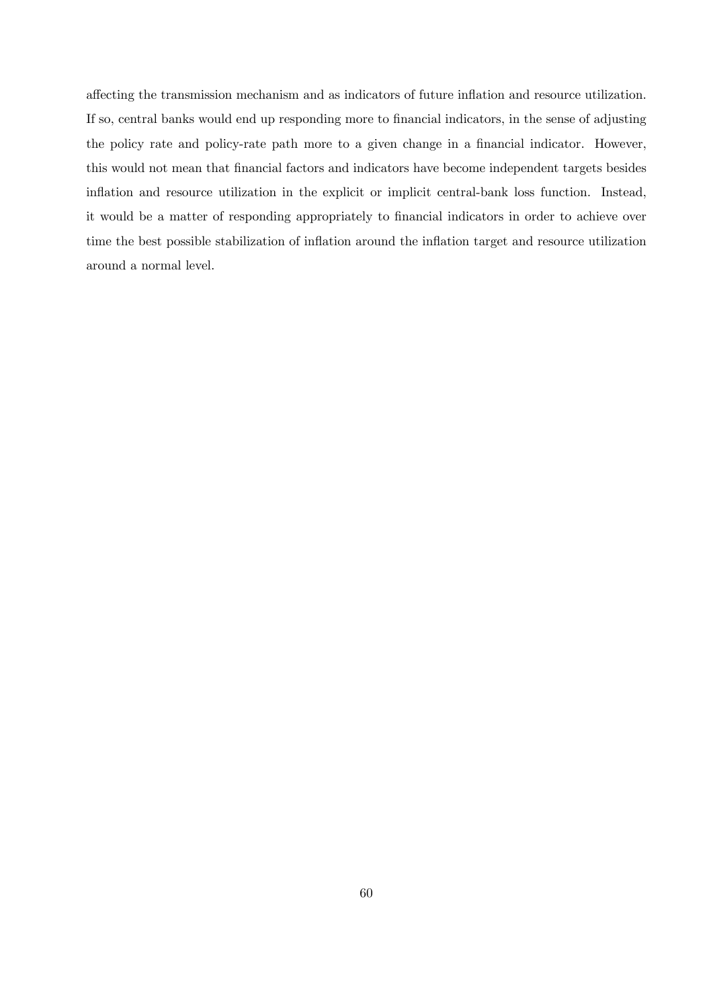affecting the transmission mechanism and as indicators of future inflation and resource utilization. If so, central banks would end up responding more to financial indicators, in the sense of adjusting the policy rate and policy-rate path more to a given change in a financial indicator. However, this would not mean that financial factors and indicators have become independent targets besides inflation and resource utilization in the explicit or implicit central-bank loss function. Instead, it would be a matter of responding appropriately to financial indicators in order to achieve over time the best possible stabilization of inflation around the inflation target and resource utilization around a normal level.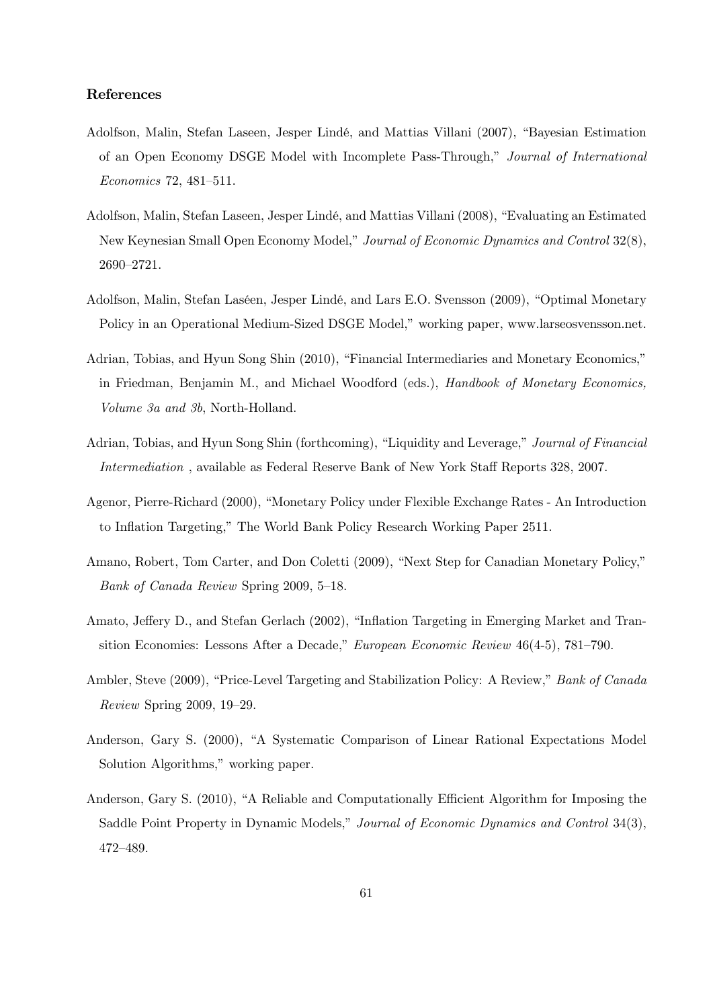# References

- Adolfson, Malin, Stefan Laseen, Jesper Lindé, and Mattias Villani (2007), "Bayesian Estimation of an Open Economy DSGE Model with Incomplete Pass-Through," Journal of International Economics 72, 481—511.
- Adolfson, Malin, Stefan Laseen, Jesper Lindé, and Mattias Villani (2008), "Evaluating an Estimated New Keynesian Small Open Economy Model," Journal of Economic Dynamics and Control 32(8), 2690—2721.
- Adolfson, Malin, Stefan Laséen, Jesper Lindé, and Lars E.O. Svensson (2009), "Optimal Monetary Policy in an Operational Medium-Sized DSGE Model," working paper, www.larseosvensson.net.
- Adrian, Tobias, and Hyun Song Shin (2010), "Financial Intermediaries and Monetary Economics," in Friedman, Benjamin M., and Michael Woodford (eds.), Handbook of Monetary Economics, Volume 3a and 3b, North-Holland.
- Adrian, Tobias, and Hyun Song Shin (forthcoming), "Liquidity and Leverage," Journal of Financial Intermediation , available as Federal Reserve Bank of New York Staff Reports 328, 2007.
- Agenor, Pierre-Richard (2000), "Monetary Policy under Flexible Exchange Rates An Introduction to Inflation Targeting," The World Bank Policy Research Working Paper 2511.
- Amano, Robert, Tom Carter, and Don Coletti (2009), "Next Step for Canadian Monetary Policy," Bank of Canada Review Spring 2009, 5—18.
- Amato, Jeffery D., and Stefan Gerlach (2002), "Inflation Targeting in Emerging Market and Transition Economies: Lessons After a Decade," European Economic Review 46(4-5), 781—790.
- Ambler, Steve (2009), "Price-Level Targeting and Stabilization Policy: A Review," Bank of Canada Review Spring 2009, 19—29.
- Anderson, Gary S. (2000), "A Systematic Comparison of Linear Rational Expectations Model Solution Algorithms," working paper.
- Anderson, Gary S. (2010), "A Reliable and Computationally Efficient Algorithm for Imposing the Saddle Point Property in Dynamic Models," Journal of Economic Dynamics and Control 34(3), 472—489.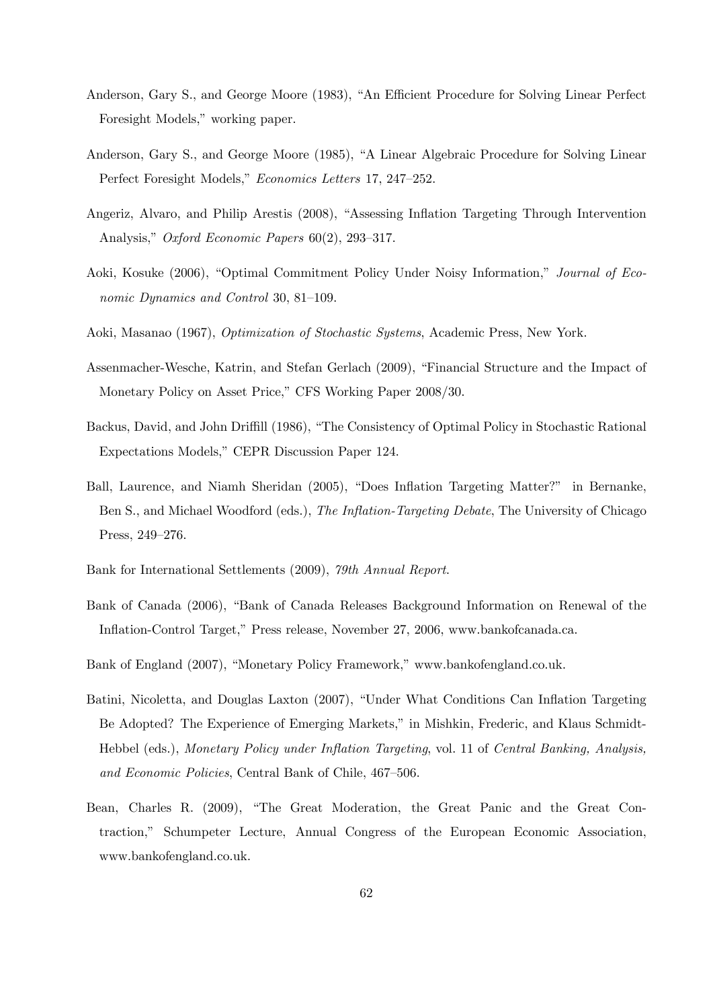- Anderson, Gary S., and George Moore (1983), "An Efficient Procedure for Solving Linear Perfect Foresight Models," working paper.
- Anderson, Gary S., and George Moore (1985), "A Linear Algebraic Procedure for Solving Linear Perfect Foresight Models," Economics Letters 17, 247—252.
- Angeriz, Alvaro, and Philip Arestis (2008), "Assessing Inflation Targeting Through Intervention Analysis," Oxford Economic Papers 60(2), 293—317.
- Aoki, Kosuke (2006), "Optimal Commitment Policy Under Noisy Information," Journal of Economic Dynamics and Control 30, 81—109.
- Aoki, Masanao (1967), Optimization of Stochastic Systems, Academic Press, New York.
- Assenmacher-Wesche, Katrin, and Stefan Gerlach (2009), "Financial Structure and the Impact of Monetary Policy on Asset Price," CFS Working Paper 2008/30.
- Backus, David, and John Driffill (1986), "The Consistency of Optimal Policy in Stochastic Rational Expectations Models," CEPR Discussion Paper 124.
- Ball, Laurence, and Niamh Sheridan (2005), "Does Inflation Targeting Matter?" in Bernanke, Ben S., and Michael Woodford (eds.), The Inflation-Targeting Debate, The University of Chicago Press, 249—276.
- Bank for International Settlements (2009), 79th Annual Report.
- Bank of Canada (2006), "Bank of Canada Releases Background Information on Renewal of the Inflation-Control Target," Press release, November 27, 2006, www.bankofcanada.ca.
- Bank of England (2007), "Monetary Policy Framework," www.bankofengland.co.uk.
- Batini, Nicoletta, and Douglas Laxton (2007), "Under What Conditions Can Inflation Targeting Be Adopted? The Experience of Emerging Markets," in Mishkin, Frederic, and Klaus Schmidt-Hebbel (eds.), Monetary Policy under Inflation Targeting, vol. 11 of Central Banking, Analysis, and Economic Policies, Central Bank of Chile, 467—506.
- Bean, Charles R. (2009), "The Great Moderation, the Great Panic and the Great Contraction," Schumpeter Lecture, Annual Congress of the European Economic Association, www.bankofengland.co.uk.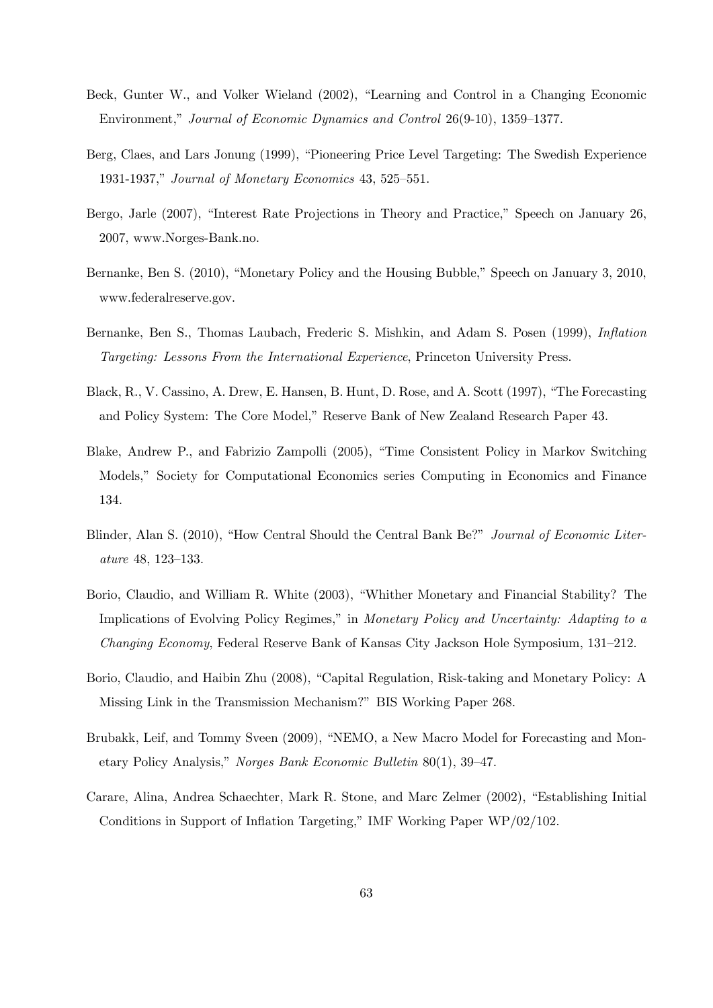- Beck, Gunter W., and Volker Wieland (2002), "Learning and Control in a Changing Economic Environment," Journal of Economic Dynamics and Control 26(9-10), 1359—1377.
- Berg, Claes, and Lars Jonung (1999), "Pioneering Price Level Targeting: The Swedish Experience 1931-1937," Journal of Monetary Economics 43, 525—551.
- Bergo, Jarle (2007), "Interest Rate Projections in Theory and Practice," Speech on January 26, 2007, www.Norges-Bank.no.
- Bernanke, Ben S. (2010), "Monetary Policy and the Housing Bubble," Speech on January 3, 2010, www.federalreserve.gov.
- Bernanke, Ben S., Thomas Laubach, Frederic S. Mishkin, and Adam S. Posen (1999), Inflation Targeting: Lessons From the International Experience, Princeton University Press.
- Black, R., V. Cassino, A. Drew, E. Hansen, B. Hunt, D. Rose, and A. Scott (1997), "The Forecasting and Policy System: The Core Model," Reserve Bank of New Zealand Research Paper 43.
- Blake, Andrew P., and Fabrizio Zampolli (2005), "Time Consistent Policy in Markov Switching Models," Society for Computational Economics series Computing in Economics and Finance 134.
- Blinder, Alan S. (2010), "How Central Should the Central Bank Be?" Journal of Economic Literature 48, 123—133.
- Borio, Claudio, and William R. White (2003), "Whither Monetary and Financial Stability? The Implications of Evolving Policy Regimes," in Monetary Policy and Uncertainty: Adapting to a Changing Economy, Federal Reserve Bank of Kansas City Jackson Hole Symposium, 131—212.
- Borio, Claudio, and Haibin Zhu (2008), "Capital Regulation, Risk-taking and Monetary Policy: A Missing Link in the Transmission Mechanism?" BIS Working Paper 268.
- Brubakk, Leif, and Tommy Sveen (2009), "NEMO, a New Macro Model for Forecasting and Monetary Policy Analysis," Norges Bank Economic Bulletin 80(1), 39—47.
- Carare, Alina, Andrea Schaechter, Mark R. Stone, and Marc Zelmer (2002), "Establishing Initial Conditions in Support of Inflation Targeting," IMF Working Paper WP/02/102.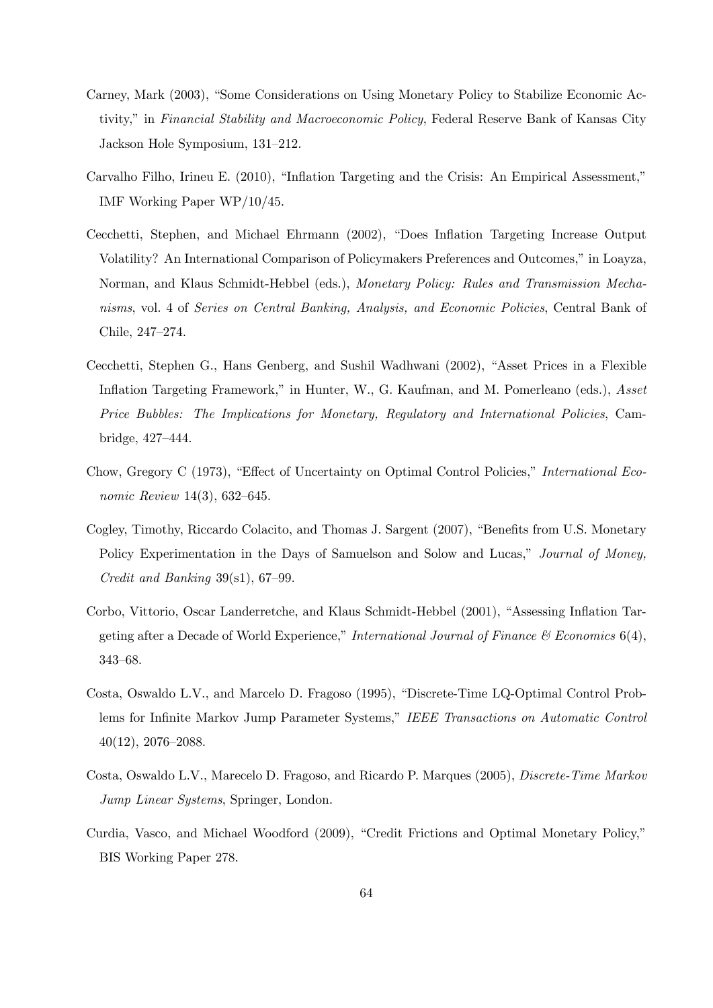- Carney, Mark (2003), "Some Considerations on Using Monetary Policy to Stabilize Economic Activity," in Financial Stability and Macroeconomic Policy, Federal Reserve Bank of Kansas City Jackson Hole Symposium, 131—212.
- Carvalho Filho, Irineu E. (2010), "Inflation Targeting and the Crisis: An Empirical Assessment," IMF Working Paper WP/10/45.
- Cecchetti, Stephen, and Michael Ehrmann (2002), "Does Inflation Targeting Increase Output Volatility? An International Comparison of Policymakers Preferences and Outcomes," in Loayza, Norman, and Klaus Schmidt-Hebbel (eds.), Monetary Policy: Rules and Transmission Mechanisms, vol. 4 of Series on Central Banking, Analysis, and Economic Policies, Central Bank of Chile, 247—274.
- Cecchetti, Stephen G., Hans Genberg, and Sushil Wadhwani (2002), "Asset Prices in a Flexible Inflation Targeting Framework," in Hunter, W., G. Kaufman, and M. Pomerleano (eds.), Asset Price Bubbles: The Implications for Monetary, Regulatory and International Policies, Cambridge, 427—444.
- Chow, Gregory C (1973), "Effect of Uncertainty on Optimal Control Policies," International Economic Review 14(3), 632—645.
- Cogley, Timothy, Riccardo Colacito, and Thomas J. Sargent (2007), "Benefits from U.S. Monetary Policy Experimentation in the Days of Samuelson and Solow and Lucas," Journal of Money, Credit and Banking 39(s1), 67—99.
- Corbo, Vittorio, Oscar Landerretche, and Klaus Schmidt-Hebbel (2001), "Assessing Inflation Targeting after a Decade of World Experience," International Journal of Finance  $\mathcal{C}$  Economics 6(4), 343—68.
- Costa, Oswaldo L.V., and Marcelo D. Fragoso (1995), "Discrete-Time LQ-Optimal Control Problems for Infinite Markov Jump Parameter Systems," IEEE Transactions on Automatic Control 40(12), 2076—2088.
- Costa, Oswaldo L.V., Marecelo D. Fragoso, and Ricardo P. Marques (2005), Discrete-Time Markov Jump Linear Systems, Springer, London.
- Curdia, Vasco, and Michael Woodford (2009), "Credit Frictions and Optimal Monetary Policy," BIS Working Paper 278.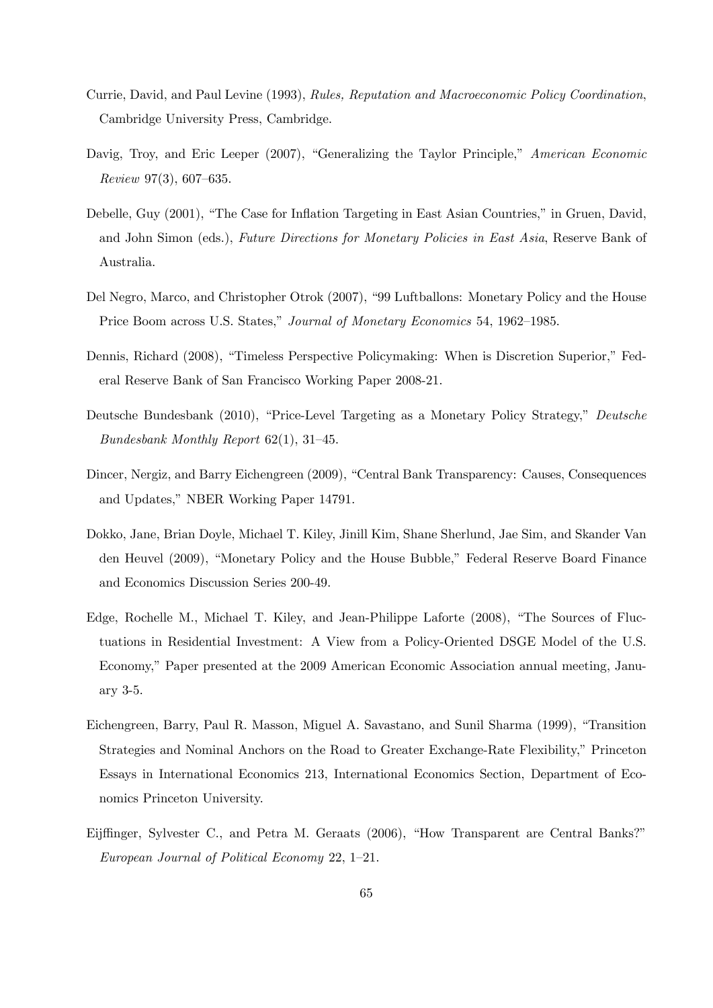- Currie, David, and Paul Levine (1993), Rules, Reputation and Macroeconomic Policy Coordination, Cambridge University Press, Cambridge.
- Davig, Troy, and Eric Leeper (2007), "Generalizing the Taylor Principle," American Economic Review 97(3), 607—635.
- Debelle, Guy (2001), "The Case for Inflation Targeting in East Asian Countries," in Gruen, David, and John Simon (eds.), Future Directions for Monetary Policies in East Asia, Reserve Bank of Australia.
- Del Negro, Marco, and Christopher Otrok (2007), "99 Luftballons: Monetary Policy and the House Price Boom across U.S. States," Journal of Monetary Economics 54, 1962—1985.
- Dennis, Richard (2008), "Timeless Perspective Policymaking: When is Discretion Superior," Federal Reserve Bank of San Francisco Working Paper 2008-21.
- Deutsche Bundesbank (2010), "Price-Level Targeting as a Monetary Policy Strategy," Deutsche Bundesbank Monthly Report 62(1), 31—45.
- Dincer, Nergiz, and Barry Eichengreen (2009), "Central Bank Transparency: Causes, Consequences and Updates," NBER Working Paper 14791.
- Dokko, Jane, Brian Doyle, Michael T. Kiley, Jinill Kim, Shane Sherlund, Jae Sim, and Skander Van den Heuvel (2009), "Monetary Policy and the House Bubble," Federal Reserve Board Finance and Economics Discussion Series 200-49.
- Edge, Rochelle M., Michael T. Kiley, and Jean-Philippe Laforte (2008), "The Sources of Fluctuations in Residential Investment: A View from a Policy-Oriented DSGE Model of the U.S. Economy," Paper presented at the 2009 American Economic Association annual meeting, January 3-5.
- Eichengreen, Barry, Paul R. Masson, Miguel A. Savastano, and Sunil Sharma (1999), "Transition Strategies and Nominal Anchors on the Road to Greater Exchange-Rate Flexibility," Princeton Essays in International Economics 213, International Economics Section, Department of Economics Princeton University.
- Eijffinger, Sylvester C., and Petra M. Geraats (2006), "How Transparent are Central Banks?" European Journal of Political Economy 22, 1—21.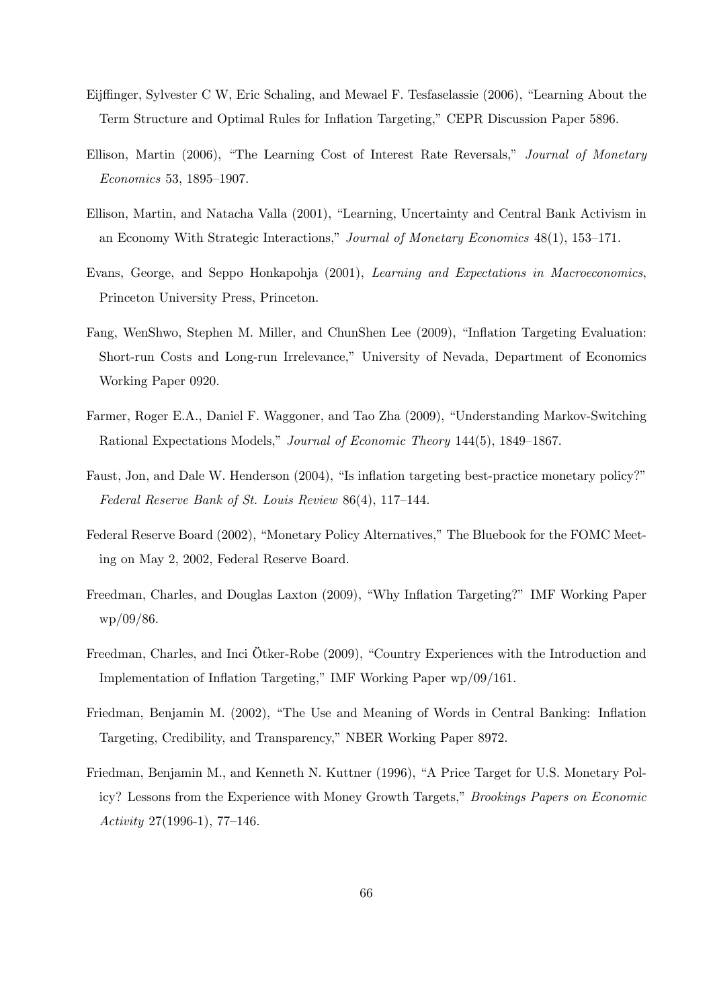- Eijffinger, Sylvester C W, Eric Schaling, and Mewael F. Tesfaselassie (2006), "Learning About the Term Structure and Optimal Rules for Inflation Targeting," CEPR Discussion Paper 5896.
- Ellison, Martin (2006), "The Learning Cost of Interest Rate Reversals," Journal of Monetary Economics 53, 1895—1907.
- Ellison, Martin, and Natacha Valla (2001), "Learning, Uncertainty and Central Bank Activism in an Economy With Strategic Interactions," Journal of Monetary Economics 48(1), 153—171.
- Evans, George, and Seppo Honkapohja (2001), Learning and Expectations in Macroeconomics, Princeton University Press, Princeton.
- Fang, WenShwo, Stephen M. Miller, and ChunShen Lee (2009), "Inflation Targeting Evaluation: Short-run Costs and Long-run Irrelevance," University of Nevada, Department of Economics Working Paper 0920.
- Farmer, Roger E.A., Daniel F. Waggoner, and Tao Zha (2009), "Understanding Markov-Switching Rational Expectations Models," Journal of Economic Theory 144(5), 1849—1867.
- Faust, Jon, and Dale W. Henderson (2004), "Is inflation targeting best-practice monetary policy?" Federal Reserve Bank of St. Louis Review 86(4), 117—144.
- Federal Reserve Board (2002), "Monetary Policy Alternatives," The Bluebook for the FOMC Meeting on May 2, 2002, Federal Reserve Board.
- Freedman, Charles, and Douglas Laxton (2009), "Why Inflation Targeting?" IMF Working Paper wp/09/86.
- Freedman, Charles, and Inci Ötker-Robe (2009), "Country Experiences with the Introduction and Implementation of Inflation Targeting," IMF Working Paper wp/09/161.
- Friedman, Benjamin M. (2002), "The Use and Meaning of Words in Central Banking: Inflation Targeting, Credibility, and Transparency," NBER Working Paper 8972.
- Friedman, Benjamin M., and Kenneth N. Kuttner (1996), "A Price Target for U.S. Monetary Policy? Lessons from the Experience with Money Growth Targets," Brookings Papers on Economic Activity 27(1996-1), 77—146.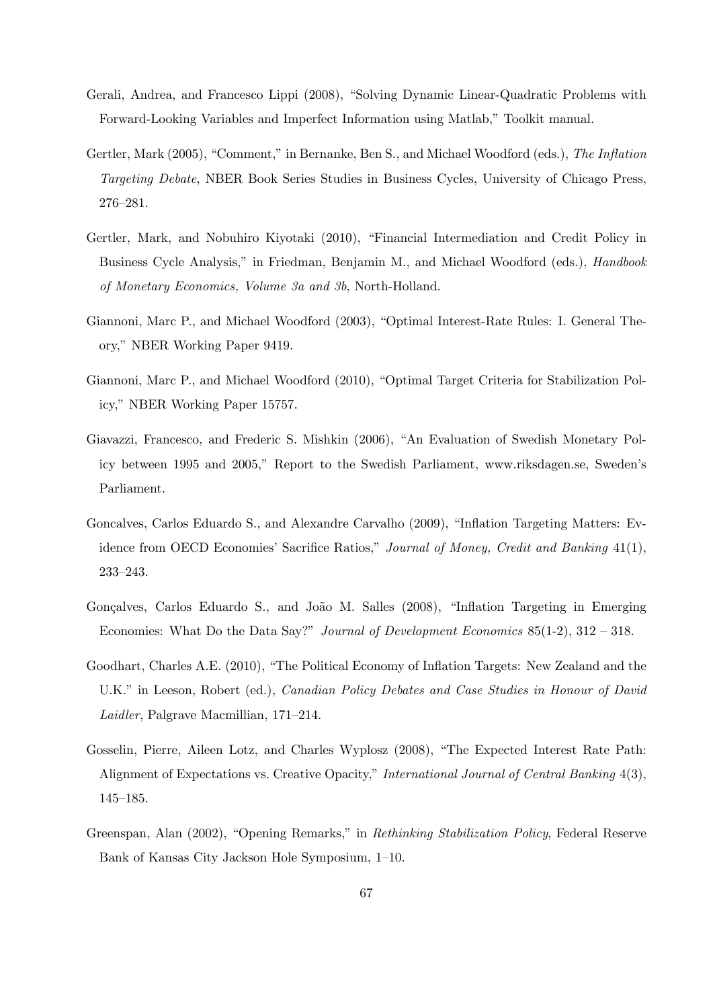- Gerali, Andrea, and Francesco Lippi (2008), "Solving Dynamic Linear-Quadratic Problems with Forward-Looking Variables and Imperfect Information using Matlab," Toolkit manual.
- Gertler, Mark (2005), "Comment," in Bernanke, Ben S., and Michael Woodford (eds.), The Inflation Targeting Debate, NBER Book Series Studies in Business Cycles, University of Chicago Press, 276—281.
- Gertler, Mark, and Nobuhiro Kiyotaki (2010), "Financial Intermediation and Credit Policy in Business Cycle Analysis," in Friedman, Benjamin M., and Michael Woodford (eds.), *Handbook* of Monetary Economics, Volume 3a and 3b, North-Holland.
- Giannoni, Marc P., and Michael Woodford (2003), "Optimal Interest-Rate Rules: I. General Theory," NBER Working Paper 9419.
- Giannoni, Marc P., and Michael Woodford (2010), "Optimal Target Criteria for Stabilization Policy," NBER Working Paper 15757.
- Giavazzi, Francesco, and Frederic S. Mishkin (2006), "An Evaluation of Swedish Monetary Policy between 1995 and 2005," Report to the Swedish Parliament, www.riksdagen.se, Sweden's Parliament.
- Goncalves, Carlos Eduardo S., and Alexandre Carvalho (2009), "Inflation Targeting Matters: Evidence from OECD Economies' Sacrifice Ratios," Journal of Money, Credit and Banking 41(1), 233—243.
- Gonçalves, Carlos Eduardo S., and João M. Salles (2008), "Inflation Targeting in Emerging Economies: What Do the Data Say?" Journal of Development Economics 85(1-2), 312 — 318.
- Goodhart, Charles A.E. (2010), "The Political Economy of Inflation Targets: New Zealand and the U.K." in Leeson, Robert (ed.), Canadian Policy Debates and Case Studies in Honour of David Laidler, Palgrave Macmillian, 171—214.
- Gosselin, Pierre, Aileen Lotz, and Charles Wyplosz (2008), "The Expected Interest Rate Path: Alignment of Expectations vs. Creative Opacity," International Journal of Central Banking 4(3), 145—185.
- Greenspan, Alan (2002), "Opening Remarks," in Rethinking Stabilization Policy, Federal Reserve Bank of Kansas City Jackson Hole Symposium, 1—10.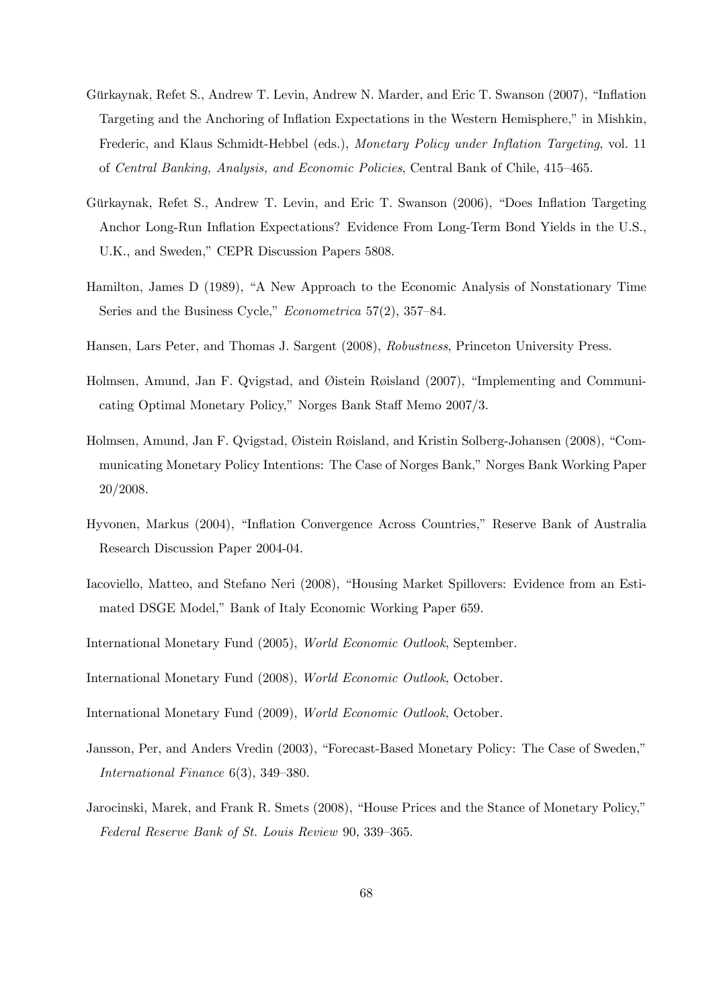- Gürkaynak, Refet S., Andrew T. Levin, Andrew N. Marder, and Eric T. Swanson (2007), "Inflation Targeting and the Anchoring of Inflation Expectations in the Western Hemisphere," in Mishkin, Frederic, and Klaus Schmidt-Hebbel (eds.), Monetary Policy under Inflation Targeting, vol. 11 of Central Banking, Analysis, and Economic Policies, Central Bank of Chile, 415—465.
- Gürkaynak, Refet S., Andrew T. Levin, and Eric T. Swanson (2006), "Does Inflation Targeting Anchor Long-Run Inflation Expectations? Evidence From Long-Term Bond Yields in the U.S., U.K., and Sweden," CEPR Discussion Papers 5808.
- Hamilton, James D (1989), "A New Approach to the Economic Analysis of Nonstationary Time Series and the Business Cycle," Econometrica 57(2), 357—84.
- Hansen, Lars Peter, and Thomas J. Sargent (2008), Robustness, Princeton University Press.
- Holmsen, Amund, Jan F. Qvigstad, and Øistein Røisland (2007), "Implementing and Communicating Optimal Monetary Policy," Norges Bank Staff Memo 2007/3.
- Holmsen, Amund, Jan F. Qvigstad, Øistein Røisland, and Kristin Solberg-Johansen (2008), "Communicating Monetary Policy Intentions: The Case of Norges Bank," Norges Bank Working Paper 20/2008.
- Hyvonen, Markus (2004), "Inflation Convergence Across Countries," Reserve Bank of Australia Research Discussion Paper 2004-04.
- Iacoviello, Matteo, and Stefano Neri (2008), "Housing Market Spillovers: Evidence from an Estimated DSGE Model," Bank of Italy Economic Working Paper 659.
- International Monetary Fund (2005), World Economic Outlook, September.
- International Monetary Fund (2008), World Economic Outlook, October.
- International Monetary Fund (2009), World Economic Outlook, October.
- Jansson, Per, and Anders Vredin (2003), "Forecast-Based Monetary Policy: The Case of Sweden," International Finance 6(3), 349—380.
- Jarocinski, Marek, and Frank R. Smets (2008), "House Prices and the Stance of Monetary Policy," Federal Reserve Bank of St. Louis Review 90, 339—365.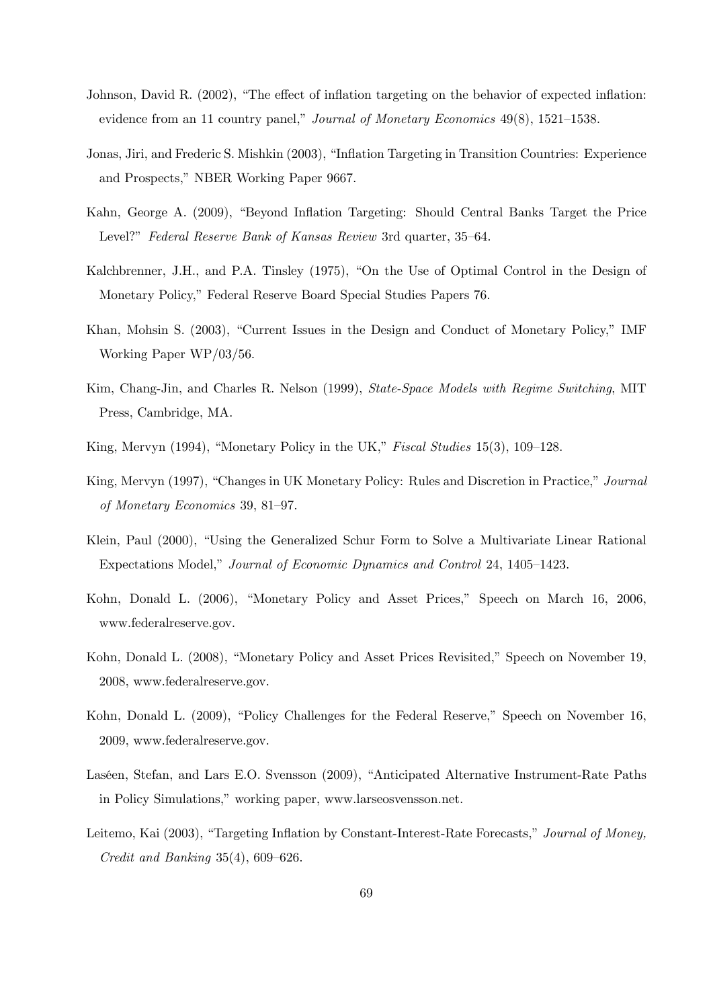- Johnson, David R. (2002), "The effect of inflation targeting on the behavior of expected inflation: evidence from an 11 country panel," Journal of Monetary Economics 49(8), 1521–1538.
- Jonas, Jiri, and Frederic S. Mishkin (2003), "Inflation Targeting in Transition Countries: Experience and Prospects," NBER Working Paper 9667.
- Kahn, George A. (2009), "Beyond Inflation Targeting: Should Central Banks Target the Price Level?" Federal Reserve Bank of Kansas Review 3rd quarter, 35—64.
- Kalchbrenner, J.H., and P.A. Tinsley (1975), "On the Use of Optimal Control in the Design of Monetary Policy," Federal Reserve Board Special Studies Papers 76.
- Khan, Mohsin S. (2003), "Current Issues in the Design and Conduct of Monetary Policy," IMF Working Paper WP/03/56.
- Kim, Chang-Jin, and Charles R. Nelson (1999), State-Space Models with Regime Switching, MIT Press, Cambridge, MA.
- King, Mervyn (1994), "Monetary Policy in the UK," Fiscal Studies 15(3), 109—128.
- King, Mervyn (1997), "Changes in UK Monetary Policy: Rules and Discretion in Practice," Journal of Monetary Economics 39, 81—97.
- Klein, Paul (2000), "Using the Generalized Schur Form to Solve a Multivariate Linear Rational Expectations Model," Journal of Economic Dynamics and Control 24, 1405—1423.
- Kohn, Donald L. (2006), "Monetary Policy and Asset Prices," Speech on March 16, 2006, www.federalreserve.gov.
- Kohn, Donald L. (2008), "Monetary Policy and Asset Prices Revisited," Speech on November 19, 2008, www.federalreserve.gov.
- Kohn, Donald L. (2009), "Policy Challenges for the Federal Reserve," Speech on November 16, 2009, www.federalreserve.gov.
- Laséen, Stefan, and Lars E.O. Svensson (2009), "Anticipated Alternative Instrument-Rate Paths in Policy Simulations," working paper, www.larseosvensson.net.
- Leitemo, Kai (2003), "Targeting Inflation by Constant-Interest-Rate Forecasts," Journal of Money, Credit and Banking 35(4), 609—626.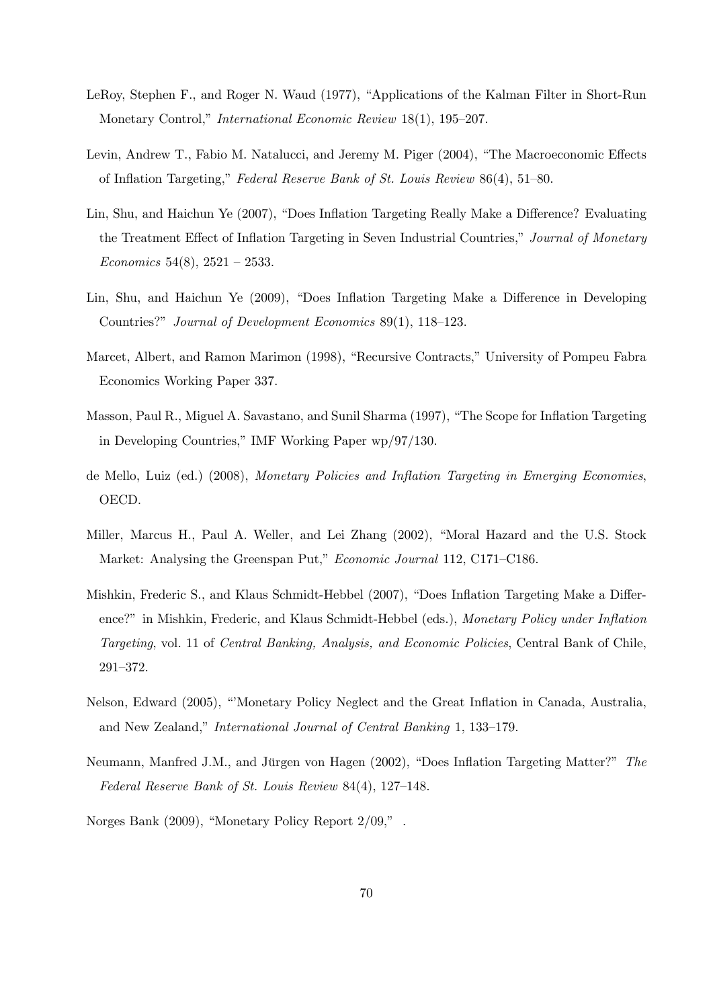- LeRoy, Stephen F., and Roger N. Waud (1977), "Applications of the Kalman Filter in Short-Run Monetary Control," International Economic Review 18(1), 195—207.
- Levin, Andrew T., Fabio M. Natalucci, and Jeremy M. Piger (2004), "The Macroeconomic Effects of Inflation Targeting," Federal Reserve Bank of St. Louis Review 86(4), 51—80.
- Lin, Shu, and Haichun Ye (2007), "Does Inflation Targeting Really Make a Difference? Evaluating the Treatment Effect of Inflation Targeting in Seven Industrial Countries," Journal of Monetary Economics 54(8),  $2521 - 2533$ .
- Lin, Shu, and Haichun Ye (2009), "Does Inflation Targeting Make a Difference in Developing Countries?" Journal of Development Economics 89(1), 118—123.
- Marcet, Albert, and Ramon Marimon (1998), "Recursive Contracts," University of Pompeu Fabra Economics Working Paper 337.
- Masson, Paul R., Miguel A. Savastano, and Sunil Sharma (1997), "The Scope for Inflation Targeting in Developing Countries," IMF Working Paper wp/97/130.
- de Mello, Luiz (ed.) (2008), Monetary Policies and Inflation Targeting in Emerging Economies, OECD.
- Miller, Marcus H., Paul A. Weller, and Lei Zhang (2002), "Moral Hazard and the U.S. Stock Market: Analysing the Greenspan Put," Economic Journal 112, C171—C186.
- Mishkin, Frederic S., and Klaus Schmidt-Hebbel (2007), "Does Inflation Targeting Make a Difference?" in Mishkin, Frederic, and Klaus Schmidt-Hebbel (eds.), Monetary Policy under Inflation Targeting, vol. 11 of Central Banking, Analysis, and Economic Policies, Central Bank of Chile, 291—372.
- Nelson, Edward (2005), "'Monetary Policy Neglect and the Great Inflation in Canada, Australia, and New Zealand," International Journal of Central Banking 1, 133—179.
- Neumann, Manfred J.M., and Jürgen von Hagen (2002), "Does Inflation Targeting Matter?" The Federal Reserve Bank of St. Louis Review 84(4), 127—148.

Norges Bank (2009), "Monetary Policy Report 2/09," .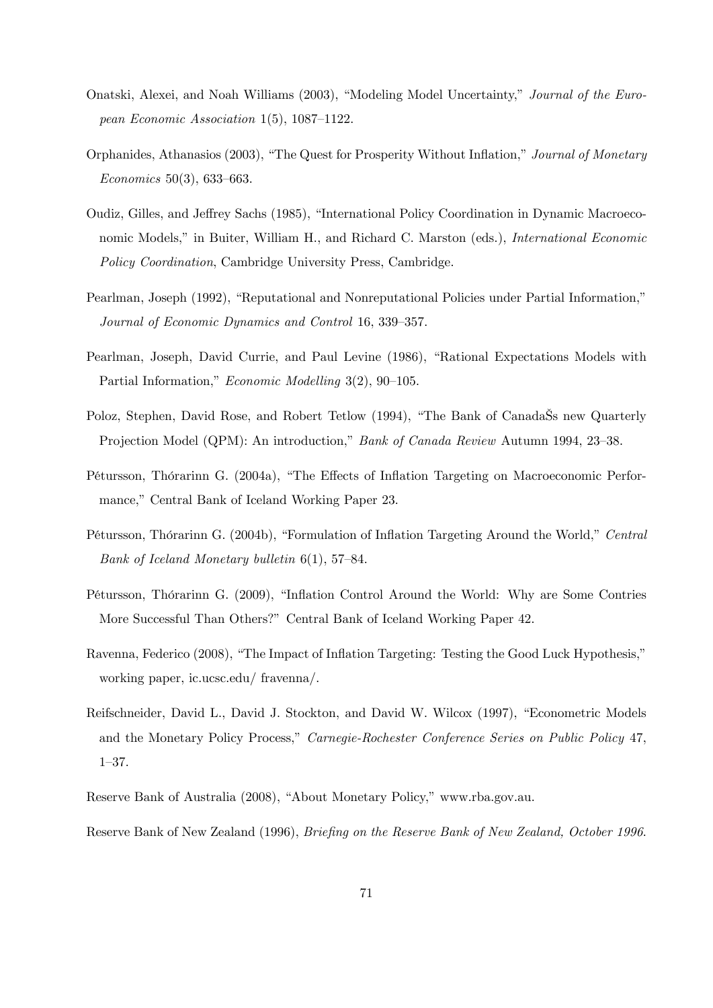- Onatski, Alexei, and Noah Williams (2003), "Modeling Model Uncertainty," Journal of the European Economic Association 1(5), 1087—1122.
- Orphanides, Athanasios (2003), "The Quest for Prosperity Without Inflation," Journal of Monetary Economics 50(3), 633—663.
- Oudiz, Gilles, and Jeffrey Sachs (1985), "International Policy Coordination in Dynamic Macroeconomic Models," in Buiter, William H., and Richard C. Marston (eds.), International Economic Policy Coordination, Cambridge University Press, Cambridge.
- Pearlman, Joseph (1992), "Reputational and Nonreputational Policies under Partial Information," Journal of Economic Dynamics and Control 16, 339—357.
- Pearlman, Joseph, David Currie, and Paul Levine (1986), "Rational Expectations Models with Partial Information," Economic Modelling 3(2), 90—105.
- Poloz, Stephen, David Rose, and Robert Tetlow (1994), "The Bank of CanadaŠs new Quarterly Projection Model (QPM): An introduction," Bank of Canada Review Autumn 1994, 23—38.
- Pétursson, Thórarinn G. (2004a), "The Effects of Inflation Targeting on Macroeconomic Performance," Central Bank of Iceland Working Paper 23.
- Pétursson, Thórarinn G. (2004b), "Formulation of Inflation Targeting Around the World," Central Bank of Iceland Monetary bulletin 6(1), 57—84.
- Pétursson, Thórarinn G. (2009), "Inflation Control Around the World: Why are Some Contries More Successful Than Others?" Central Bank of Iceland Working Paper 42.
- Ravenna, Federico (2008), "The Impact of Inflation Targeting: Testing the Good Luck Hypothesis," working paper, ic.ucsc.edu/ fravenna/.
- Reifschneider, David L., David J. Stockton, and David W. Wilcox (1997), "Econometric Models and the Monetary Policy Process," Carnegie-Rochester Conference Series on Public Policy 47, 1—37.
- Reserve Bank of Australia (2008), "About Monetary Policy," www.rba.gov.au.
- Reserve Bank of New Zealand (1996), Briefing on the Reserve Bank of New Zealand, October 1996.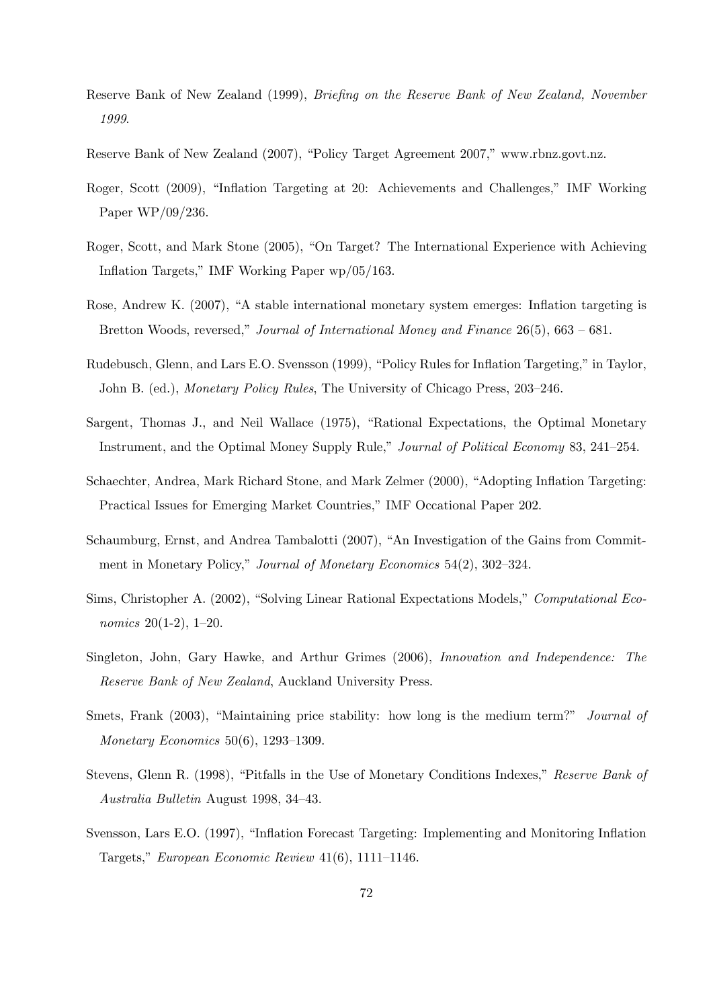- Reserve Bank of New Zealand (1999), Briefing on the Reserve Bank of New Zealand, November 1999.
- Reserve Bank of New Zealand (2007), "Policy Target Agreement 2007," www.rbnz.govt.nz.
- Roger, Scott (2009), "Inflation Targeting at 20: Achievements and Challenges," IMF Working Paper WP/09/236.
- Roger, Scott, and Mark Stone (2005), "On Target? The International Experience with Achieving Inflation Targets," IMF Working Paper wp/05/163.
- Rose, Andrew K. (2007), "A stable international monetary system emerges: Inflation targeting is Bretton Woods, reversed," Journal of International Money and Finance 26(5), 663 – 681.
- Rudebusch, Glenn, and Lars E.O. Svensson (1999), "Policy Rules for Inflation Targeting," in Taylor, John B. (ed.), Monetary Policy Rules, The University of Chicago Press, 203—246.
- Sargent, Thomas J., and Neil Wallace (1975), "Rational Expectations, the Optimal Monetary Instrument, and the Optimal Money Supply Rule," Journal of Political Economy 83, 241—254.
- Schaechter, Andrea, Mark Richard Stone, and Mark Zelmer (2000), "Adopting Inflation Targeting: Practical Issues for Emerging Market Countries," IMF Occational Paper 202.
- Schaumburg, Ernst, and Andrea Tambalotti (2007), "An Investigation of the Gains from Commitment in Monetary Policy," Journal of Monetary Economics 54(2), 302—324.
- Sims, Christopher A. (2002), "Solving Linear Rational Expectations Models," Computational Economics 20(1-2), 1—20.
- Singleton, John, Gary Hawke, and Arthur Grimes (2006), Innovation and Independence: The Reserve Bank of New Zealand, Auckland University Press.
- Smets, Frank (2003), "Maintaining price stability: how long is the medium term?" *Journal of* Monetary Economics 50(6), 1293—1309.
- Stevens, Glenn R. (1998), "Pitfalls in the Use of Monetary Conditions Indexes," Reserve Bank of Australia Bulletin August 1998, 34—43.
- Svensson, Lars E.O. (1997), "Inflation Forecast Targeting: Implementing and Monitoring Inflation Targets," European Economic Review 41(6), 1111—1146.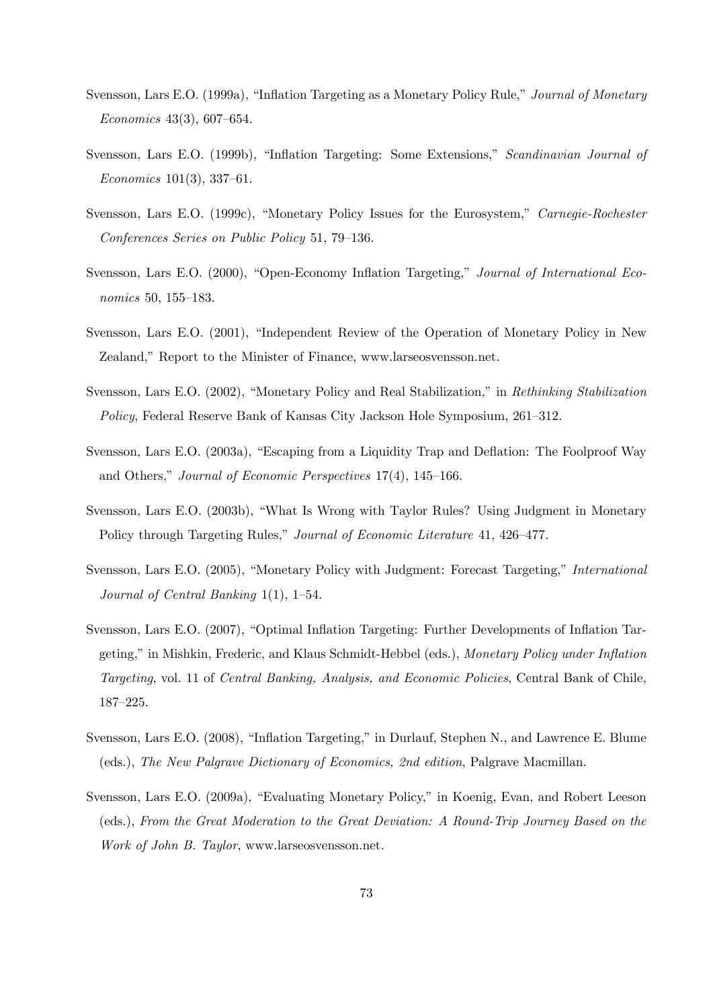- Svensson, Lars E.O. (1999a), "Inflation Targeting as a Monetary Policy Rule," Journal of Monetary Economics 43(3), 607—654.
- Svensson, Lars E.O. (1999b), "Inflation Targeting: Some Extensions," Scandinavian Journal of Economics 101(3), 337—61.
- Svensson, Lars E.O. (1999c), "Monetary Policy Issues for the Eurosystem," Carnegie-Rochester Conferences Series on Public Policy 51, 79—136.
- Svensson, Lars E.O. (2000), "Open-Economy Inflation Targeting," Journal of International Economics 50, 155—183.
- Svensson, Lars E.O. (2001), "Independent Review of the Operation of Monetary Policy in New Zealand," Report to the Minister of Finance, www.larseosvensson.net.
- Svensson, Lars E.O. (2002), "Monetary Policy and Real Stabilization," in Rethinking Stabilization Policy, Federal Reserve Bank of Kansas City Jackson Hole Symposium, 261—312.
- Svensson, Lars E.O. (2003a), "Escaping from a Liquidity Trap and Deflation: The Foolproof Way and Others," Journal of Economic Perspectives 17(4), 145—166.
- Svensson, Lars E.O. (2003b), "What Is Wrong with Taylor Rules? Using Judgment in Monetary Policy through Targeting Rules," Journal of Economic Literature 41, 426—477.
- Svensson, Lars E.O. (2005), "Monetary Policy with Judgment: Forecast Targeting," International Journal of Central Banking 1(1), 1—54.
- Svensson, Lars E.O. (2007), "Optimal Inflation Targeting: Further Developments of Inflation Targeting," in Mishkin, Frederic, and Klaus Schmidt-Hebbel (eds.), Monetary Policy under Inflation Targeting, vol. 11 of Central Banking, Analysis, and Economic Policies, Central Bank of Chile, 187—225.
- Svensson, Lars E.O. (2008), "Inflation Targeting," in Durlauf, Stephen N., and Lawrence E. Blume (eds.), The New Palgrave Dictionary of Economics, 2nd edition, Palgrave Macmillan.
- Svensson, Lars E.O. (2009a), "Evaluating Monetary Policy," in Koenig, Evan, and Robert Leeson (eds.), From the Great Moderation to the Great Deviation: A Round-Trip Journey Based on the Work of John B. Taylor, www.larseosvensson.net.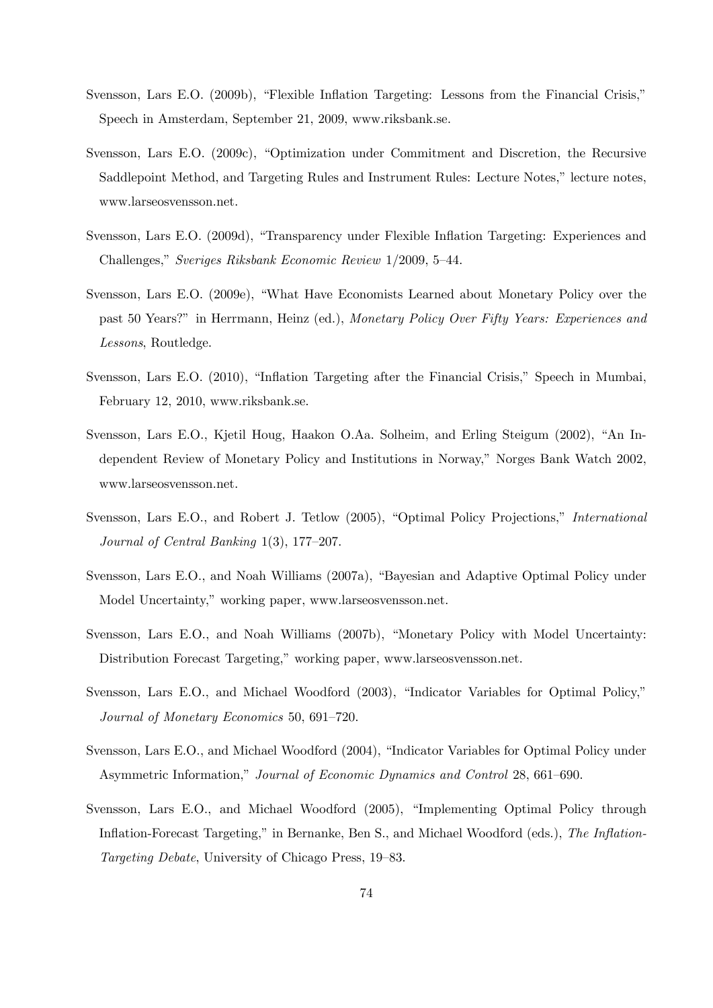- Svensson, Lars E.O. (2009b), "Flexible Inflation Targeting: Lessons from the Financial Crisis," Speech in Amsterdam, September 21, 2009, www.riksbank.se.
- Svensson, Lars E.O. (2009c), "Optimization under Commitment and Discretion, the Recursive Saddlepoint Method, and Targeting Rules and Instrument Rules: Lecture Notes," lecture notes, www.larseosvensson.net.
- Svensson, Lars E.O. (2009d), "Transparency under Flexible Inflation Targeting: Experiences and Challenges," Sveriges Riksbank Economic Review 1/2009, 5—44.
- Svensson, Lars E.O. (2009e), "What Have Economists Learned about Monetary Policy over the past 50 Years?" in Herrmann, Heinz (ed.), Monetary Policy Over Fifty Years: Experiences and Lessons, Routledge.
- Svensson, Lars E.O. (2010), "Inflation Targeting after the Financial Crisis," Speech in Mumbai, February 12, 2010, www.riksbank.se.
- Svensson, Lars E.O., Kjetil Houg, Haakon O.Aa. Solheim, and Erling Steigum (2002), "An Independent Review of Monetary Policy and Institutions in Norway," Norges Bank Watch 2002, www.larseosvensson.net.
- Svensson, Lars E.O., and Robert J. Tetlow (2005), "Optimal Policy Projections," International Journal of Central Banking 1(3), 177—207.
- Svensson, Lars E.O., and Noah Williams (2007a), "Bayesian and Adaptive Optimal Policy under Model Uncertainty," working paper, www.larseosvensson.net.
- Svensson, Lars E.O., and Noah Williams (2007b), "Monetary Policy with Model Uncertainty: Distribution Forecast Targeting," working paper, www.larseosvensson.net.
- Svensson, Lars E.O., and Michael Woodford (2003), "Indicator Variables for Optimal Policy," Journal of Monetary Economics 50, 691—720.
- Svensson, Lars E.O., and Michael Woodford (2004), "Indicator Variables for Optimal Policy under Asymmetric Information," Journal of Economic Dynamics and Control 28, 661—690.
- Svensson, Lars E.O., and Michael Woodford (2005), "Implementing Optimal Policy through Inflation-Forecast Targeting," in Bernanke, Ben S., and Michael Woodford (eds.), The Inflation-Targeting Debate, University of Chicago Press, 19—83.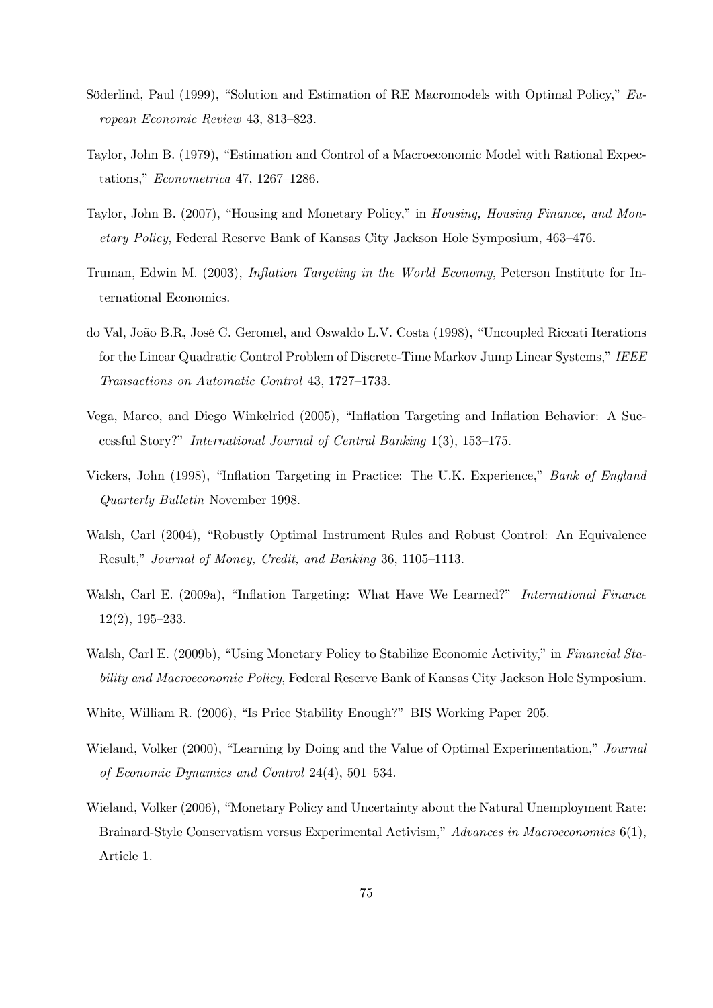- Söderlind, Paul (1999), "Solution and Estimation of RE Macromodels with Optimal Policy," European Economic Review 43, 813—823.
- Taylor, John B. (1979), "Estimation and Control of a Macroeconomic Model with Rational Expectations," Econometrica 47, 1267—1286.
- Taylor, John B. (2007), "Housing and Monetary Policy," in Housing, Housing Finance, and Monetary Policy, Federal Reserve Bank of Kansas City Jackson Hole Symposium, 463—476.
- Truman, Edwin M. (2003), Inflation Targeting in the World Economy, Peterson Institute for International Economics.
- do Val, João B.R, José C. Geromel, and Oswaldo L.V. Costa (1998), "Uncoupled Riccati Iterations for the Linear Quadratic Control Problem of Discrete-Time Markov Jump Linear Systems," IEEE Transactions on Automatic Control 43, 1727—1733.
- Vega, Marco, and Diego Winkelried (2005), "Inflation Targeting and Inflation Behavior: A Successful Story?" International Journal of Central Banking 1(3), 153—175.
- Vickers, John (1998), "Inflation Targeting in Practice: The U.K. Experience," Bank of England Quarterly Bulletin November 1998.
- Walsh, Carl (2004), "Robustly Optimal Instrument Rules and Robust Control: An Equivalence Result," Journal of Money, Credit, and Banking 36, 1105—1113.
- Walsh, Carl E. (2009a), "Inflation Targeting: What Have We Learned?" International Finance 12(2), 195—233.
- Walsh, Carl E. (2009b), "Using Monetary Policy to Stabilize Economic Activity," in Financial Stability and Macroeconomic Policy, Federal Reserve Bank of Kansas City Jackson Hole Symposium.
- White, William R. (2006), "Is Price Stability Enough?" BIS Working Paper 205.
- Wieland, Volker (2000), "Learning by Doing and the Value of Optimal Experimentation," Journal of Economic Dynamics and Control 24(4), 501—534.
- Wieland, Volker (2006), "Monetary Policy and Uncertainty about the Natural Unemployment Rate: Brainard-Style Conservatism versus Experimental Activism," Advances in Macroeconomics 6(1), Article 1.